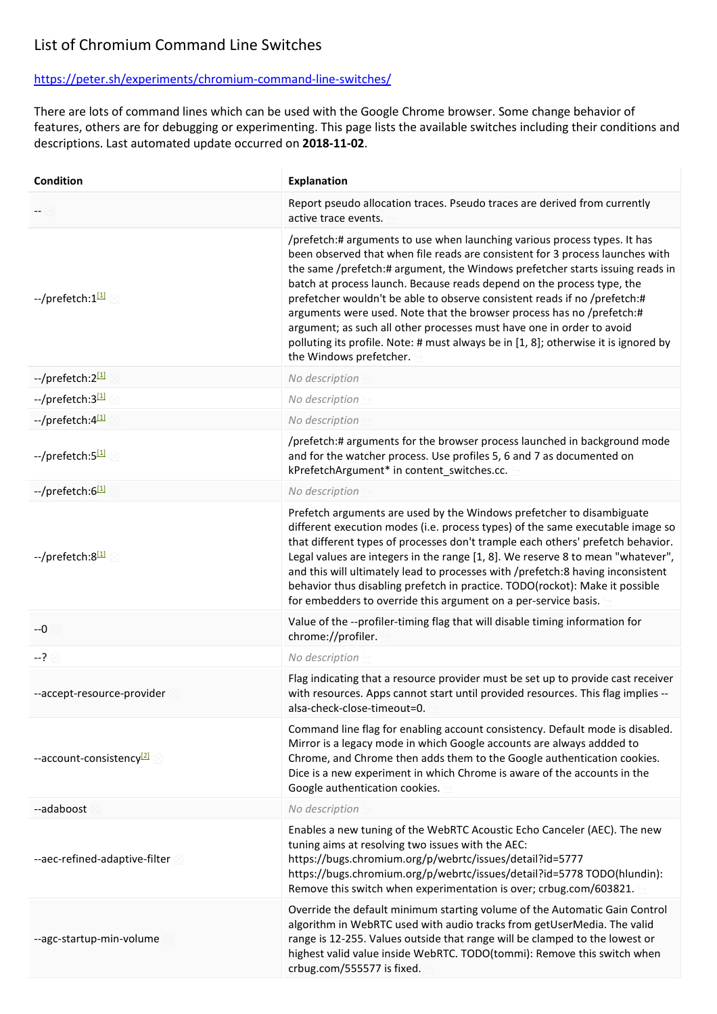## List of Chromium Command Line Switches

## https://peter.sh/experiments/chromium-command-line-switches/

There are lots of command lines which can be used with the Google Chrome browser. Some change behavior of features, others are for debugging or experimenting. This page lists the available switches including their conditions and descriptions. Last automated update occurred on **2018-11-02**.

| Condition                            | Explanation                                                                                                                                                                                                                                                                                                                                                                                                                                                                                                                                                                                                                                                            |
|--------------------------------------|------------------------------------------------------------------------------------------------------------------------------------------------------------------------------------------------------------------------------------------------------------------------------------------------------------------------------------------------------------------------------------------------------------------------------------------------------------------------------------------------------------------------------------------------------------------------------------------------------------------------------------------------------------------------|
|                                      | Report pseudo allocation traces. Pseudo traces are derived from currently<br>active trace events.                                                                                                                                                                                                                                                                                                                                                                                                                                                                                                                                                                      |
| --/prefetch:1[1]                     | /prefetch:# arguments to use when launching various process types. It has<br>been observed that when file reads are consistent for 3 process launches with<br>the same /prefetch:# argument, the Windows prefetcher starts issuing reads in<br>batch at process launch. Because reads depend on the process type, the<br>prefetcher wouldn't be able to observe consistent reads if no /prefetch:#<br>arguments were used. Note that the browser process has no /prefetch:#<br>argument; as such all other processes must have one in order to avoid<br>polluting its profile. Note: # must always be in [1, 8]; otherwise it is ignored by<br>the Windows prefetcher. |
| --/prefetch:2[1]                     | No description                                                                                                                                                                                                                                                                                                                                                                                                                                                                                                                                                                                                                                                         |
| --/prefetch:3[1]                     | No description                                                                                                                                                                                                                                                                                                                                                                                                                                                                                                                                                                                                                                                         |
| --/prefetch:4[1]                     | No description                                                                                                                                                                                                                                                                                                                                                                                                                                                                                                                                                                                                                                                         |
| --/prefetch:5[1]                     | /prefetch:# arguments for the browser process launched in background mode<br>and for the watcher process. Use profiles 5, 6 and 7 as documented on<br>kPrefetchArgument* in content_switches.cc.                                                                                                                                                                                                                                                                                                                                                                                                                                                                       |
| --/prefetch:6[1]                     | No description                                                                                                                                                                                                                                                                                                                                                                                                                                                                                                                                                                                                                                                         |
| --/prefetch:8[1]                     | Prefetch arguments are used by the Windows prefetcher to disambiguate<br>different execution modes (i.e. process types) of the same executable image so<br>that different types of processes don't trample each others' prefetch behavior.<br>Legal values are integers in the range [1, 8]. We reserve 8 to mean "whatever",<br>and this will ultimately lead to processes with /prefetch:8 having inconsistent<br>behavior thus disabling prefetch in practice. TODO(rockot): Make it possible<br>for embedders to override this argument on a per-service basis.                                                                                                    |
| $-0$                                 | Value of the --profiler-timing flag that will disable timing information for<br>chrome://profiler.                                                                                                                                                                                                                                                                                                                                                                                                                                                                                                                                                                     |
| $-? \otimes$                         | No description                                                                                                                                                                                                                                                                                                                                                                                                                                                                                                                                                                                                                                                         |
| --accept-resource-provider           | Flag indicating that a resource provider must be set up to provide cast receiver<br>with resources. Apps cannot start until provided resources. This flag implies --<br>alsa-check-close-timeout=0.                                                                                                                                                                                                                                                                                                                                                                                                                                                                    |
| --account-consistency <sup>[2]</sup> | Command line flag for enabling account consistency. Default mode is disabled.<br>Mirror is a legacy mode in which Google accounts are always addded to<br>Chrome, and Chrome then adds them to the Google authentication cookies.<br>Dice is a new experiment in which Chrome is aware of the accounts in the<br>Google authentication cookies.                                                                                                                                                                                                                                                                                                                        |
| --adaboost                           | No description                                                                                                                                                                                                                                                                                                                                                                                                                                                                                                                                                                                                                                                         |
| --aec-refined-adaptive-filter 2      | Enables a new tuning of the WebRTC Acoustic Echo Canceler (AEC). The new<br>tuning aims at resolving two issues with the AEC:<br>https://bugs.chromium.org/p/webrtc/issues/detail?id=5777<br>https://bugs.chromium.org/p/webrtc/issues/detail?id=5778 TODO(hlundin):<br>Remove this switch when experimentation is over; crbug.com/603821.                                                                                                                                                                                                                                                                                                                             |
| --agc-startup-min-volume             | Override the default minimum starting volume of the Automatic Gain Control<br>algorithm in WebRTC used with audio tracks from getUserMedia. The valid<br>range is 12-255. Values outside that range will be clamped to the lowest or<br>highest valid value inside WebRTC. TODO(tommi): Remove this switch when<br>crbug.com/555577 is fixed.                                                                                                                                                                                                                                                                                                                          |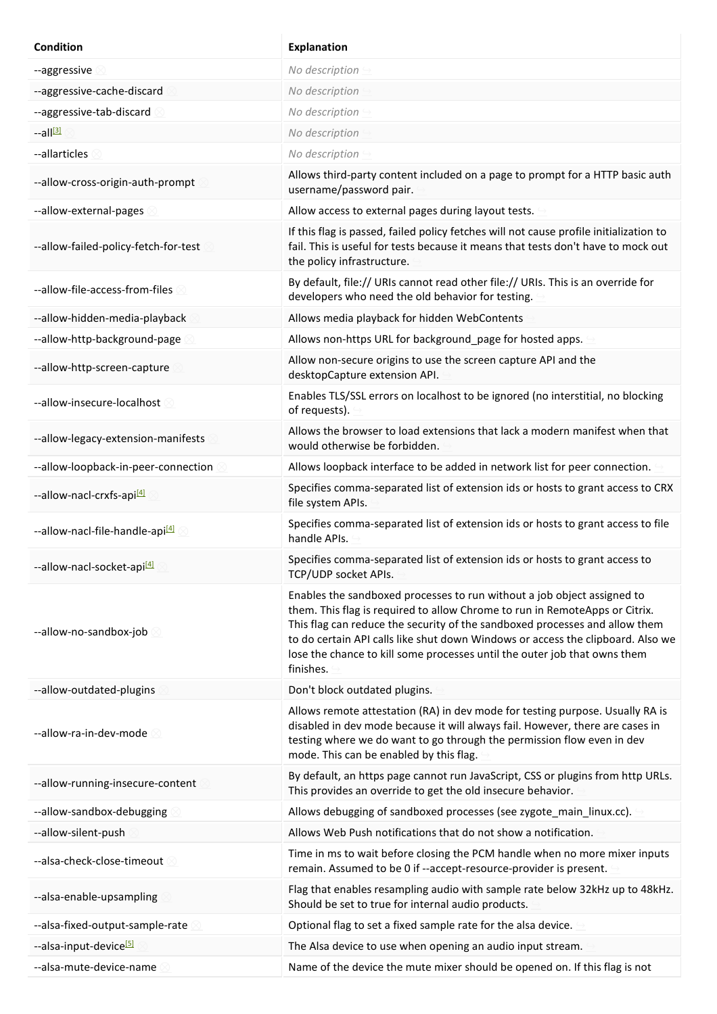| Condition                                   | <b>Explanation</b>                                                                                                                                                                                                                                                                                                                                                                                                 |
|---------------------------------------------|--------------------------------------------------------------------------------------------------------------------------------------------------------------------------------------------------------------------------------------------------------------------------------------------------------------------------------------------------------------------------------------------------------------------|
| --aggressive                                | No description                                                                                                                                                                                                                                                                                                                                                                                                     |
| --aggressive-cache-discard                  | No description                                                                                                                                                                                                                                                                                                                                                                                                     |
| --aggressive-tab-discard                    | No description                                                                                                                                                                                                                                                                                                                                                                                                     |
| $-$ all $\frac{131}{2}$                     | No description                                                                                                                                                                                                                                                                                                                                                                                                     |
| --allarticles                               | No description                                                                                                                                                                                                                                                                                                                                                                                                     |
| --allow-cross-origin-auth-prompt            | Allows third-party content included on a page to prompt for a HTTP basic auth<br>username/password pair.                                                                                                                                                                                                                                                                                                           |
| --allow-external-pages                      | Allow access to external pages during layout tests.                                                                                                                                                                                                                                                                                                                                                                |
| --allow-failed-policy-fetch-for-test        | If this flag is passed, failed policy fetches will not cause profile initialization to<br>fail. This is useful for tests because it means that tests don't have to mock out<br>the policy infrastructure.                                                                                                                                                                                                          |
| --allow-file-access-from-files              | By default, file:// URIs cannot read other file:// URIs. This is an override for<br>developers who need the old behavior for testing.                                                                                                                                                                                                                                                                              |
| --allow-hidden-media-playback               | Allows media playback for hidden WebContents                                                                                                                                                                                                                                                                                                                                                                       |
| --allow-http-background-page                | Allows non-https URL for background_page for hosted apps.                                                                                                                                                                                                                                                                                                                                                          |
| --allow-http-screen-capture                 | Allow non-secure origins to use the screen capture API and the<br>desktopCapture extension API.                                                                                                                                                                                                                                                                                                                    |
| --allow-insecure-localhost                  | Enables TLS/SSL errors on localhost to be ignored (no interstitial, no blocking<br>of requests).                                                                                                                                                                                                                                                                                                                   |
| --allow-legacy-extension-manifests          | Allows the browser to load extensions that lack a modern manifest when that<br>would otherwise be forbidden.                                                                                                                                                                                                                                                                                                       |
| --allow-loopback-in-peer-connection         | Allows loopback interface to be added in network list for peer connection.                                                                                                                                                                                                                                                                                                                                         |
| --allow-nacl-crxfs-api <sup>[4]</sup>       | Specifies comma-separated list of extension ids or hosts to grant access to CRX<br>file system APIs.                                                                                                                                                                                                                                                                                                               |
| --allow-nacl-file-handle-api <sup>[4]</sup> | Specifies comma-separated list of extension ids or hosts to grant access to file<br>handle APIs.                                                                                                                                                                                                                                                                                                                   |
| --allow-nacl-socket-api <sup>[4]</sup>      | Specifies comma-separated list of extension ids or hosts to grant access to<br>TCP/UDP socket APIs.                                                                                                                                                                                                                                                                                                                |
| --allow-no-sandbox-job                      | Enables the sandboxed processes to run without a job object assigned to<br>them. This flag is required to allow Chrome to run in RemoteApps or Citrix.<br>This flag can reduce the security of the sandboxed processes and allow them<br>to do certain API calls like shut down Windows or access the clipboard. Also we<br>lose the chance to kill some processes until the outer job that owns them<br>finishes. |
| --allow-outdated-plugins                    | Don't block outdated plugins.                                                                                                                                                                                                                                                                                                                                                                                      |
| --allow-ra-in-dev-mode                      | Allows remote attestation (RA) in dev mode for testing purpose. Usually RA is<br>disabled in dev mode because it will always fail. However, there are cases in<br>testing where we do want to go through the permission flow even in dev<br>mode. This can be enabled by this flag.                                                                                                                                |
| --allow-running-insecure-content            | By default, an https page cannot run JavaScript, CSS or plugins from http URLs.<br>This provides an override to get the old insecure behavior.                                                                                                                                                                                                                                                                     |
| --allow-sandbox-debugging                   | Allows debugging of sandboxed processes (see zygote_main_linux.cc).                                                                                                                                                                                                                                                                                                                                                |
| --allow-silent-push                         | Allows Web Push notifications that do not show a notification.                                                                                                                                                                                                                                                                                                                                                     |
| --alsa-check-close-timeout                  | Time in ms to wait before closing the PCM handle when no more mixer inputs<br>remain. Assumed to be 0 if --accept-resource-provider is present.                                                                                                                                                                                                                                                                    |
| --alsa-enable-upsampling                    | Flag that enables resampling audio with sample rate below 32kHz up to 48kHz.<br>Should be set to true for internal audio products.                                                                                                                                                                                                                                                                                 |
| --alsa-fixed-output-sample-rate             | Optional flag to set a fixed sample rate for the alsa device.                                                                                                                                                                                                                                                                                                                                                      |
| --alsa-input-device <sup>[5]</sup>          | The Alsa device to use when opening an audio input stream.                                                                                                                                                                                                                                                                                                                                                         |
| --alsa-mute-device-name                     | Name of the device the mute mixer should be opened on. If this flag is not                                                                                                                                                                                                                                                                                                                                         |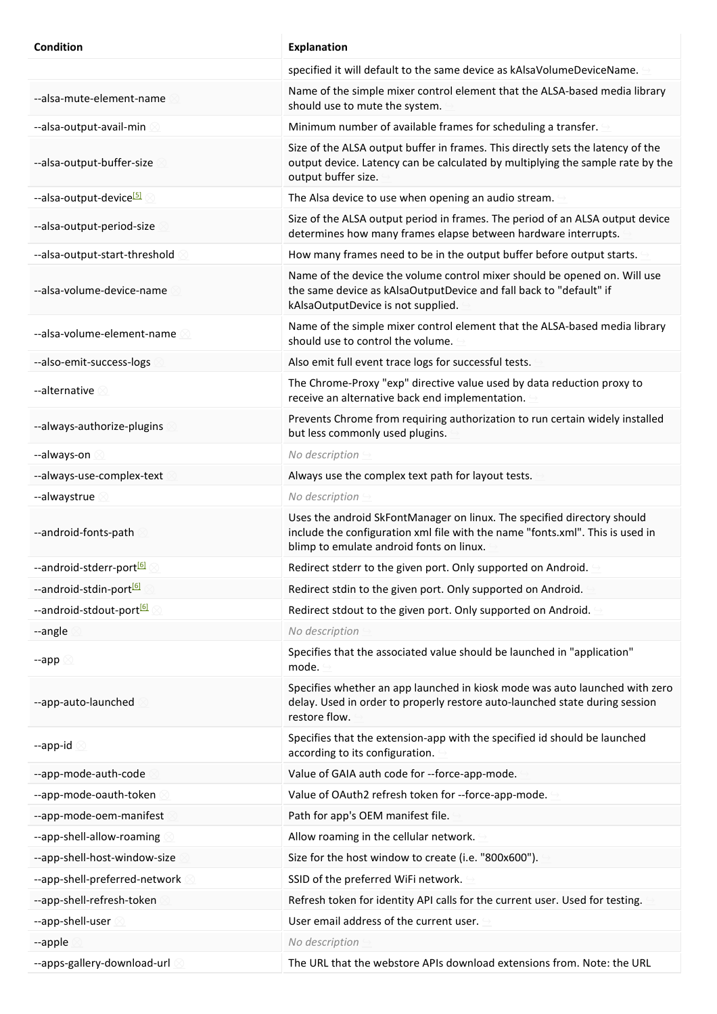| <b>Condition</b>                     | <b>Explanation</b>                                                                                                                                                                                   |
|--------------------------------------|------------------------------------------------------------------------------------------------------------------------------------------------------------------------------------------------------|
|                                      | specified it will default to the same device as kAlsaVolumeDeviceName.                                                                                                                               |
| --alsa-mute-element-name             | Name of the simple mixer control element that the ALSA-based media library<br>should use to mute the system.                                                                                         |
| --alsa-output-avail-min              | Minimum number of available frames for scheduling a transfer.                                                                                                                                        |
| --alsa-output-buffer-size            | Size of the ALSA output buffer in frames. This directly sets the latency of the<br>output device. Latency can be calculated by multiplying the sample rate by the<br>output buffer size.             |
| --alsa-output-device <sup>[5]</sup>  | The Alsa device to use when opening an audio stream.                                                                                                                                                 |
| --alsa-output-period-size            | Size of the ALSA output period in frames. The period of an ALSA output device<br>determines how many frames elapse between hardware interrupts.                                                      |
| --alsa-output-start-threshold        | How many frames need to be in the output buffer before output starts.                                                                                                                                |
| --alsa-volume-device-name            | Name of the device the volume control mixer should be opened on. Will use<br>the same device as kAlsaOutputDevice and fall back to "default" if<br>kAlsaOutputDevice is not supplied.                |
| --alsa-volume-element-name           | Name of the simple mixer control element that the ALSA-based media library<br>should use to control the volume.                                                                                      |
| --also-emit-success-logs             | Also emit full event trace logs for successful tests.                                                                                                                                                |
| --alternative                        | The Chrome-Proxy "exp" directive value used by data reduction proxy to<br>receive an alternative back end implementation.                                                                            |
| --always-authorize-plugins           | Prevents Chrome from requiring authorization to run certain widely installed<br>but less commonly used plugins.                                                                                      |
| --always-on                          | No description                                                                                                                                                                                       |
| --always-use-complex-text            | Always use the complex text path for layout tests.                                                                                                                                                   |
| --alwaystrue                         | No description                                                                                                                                                                                       |
| --android-fonts-path                 | Uses the android SkFontManager on linux. The specified directory should<br>include the configuration xml file with the name "fonts.xml". This is used in<br>blimp to emulate android fonts on linux. |
| --android-stderr-port <sup>[6]</sup> | Redirect stderr to the given port. Only supported on Android.                                                                                                                                        |
| --android-stdin-port <sup>[6]</sup>  | Redirect stdin to the given port. Only supported on Android.                                                                                                                                         |
| --android-stdout-port <sup>[6]</sup> | Redirect stdout to the given port. Only supported on Android.                                                                                                                                        |
| --angle                              | No description                                                                                                                                                                                       |
| --app $\otimes$                      | Specifies that the associated value should be launched in "application"<br>mode.                                                                                                                     |
| --app-auto-launched                  | Specifies whether an app launched in kiosk mode was auto launched with zero<br>delay. Used in order to properly restore auto-launched state during session<br>restore flow.                          |
| --app-id                             | Specifies that the extension-app with the specified id should be launched<br>according to its configuration.                                                                                         |
| --app-mode-auth-code                 | Value of GAIA auth code for --force-app-mode.                                                                                                                                                        |
| --app-mode-oauth-token               | Value of OAuth2 refresh token for --force-app-mode.                                                                                                                                                  |
| --app-mode-oem-manifest              | Path for app's OEM manifest file.                                                                                                                                                                    |
| --app-shell-allow-roaming            | Allow roaming in the cellular network.                                                                                                                                                               |
| --app-shell-host-window-size         | Size for the host window to create (i.e. "800x600").                                                                                                                                                 |
| --app-shell-preferred-network        | SSID of the preferred WiFi network.                                                                                                                                                                  |
| --app-shell-refresh-token            | Refresh token for identity API calls for the current user. Used for testing.                                                                                                                         |
| --app-shell-user 2                   | User email address of the current user.                                                                                                                                                              |
| --apple                              | No description                                                                                                                                                                                       |
| --apps-gallery-download-url          | The URL that the webstore APIs download extensions from. Note: the URL                                                                                                                               |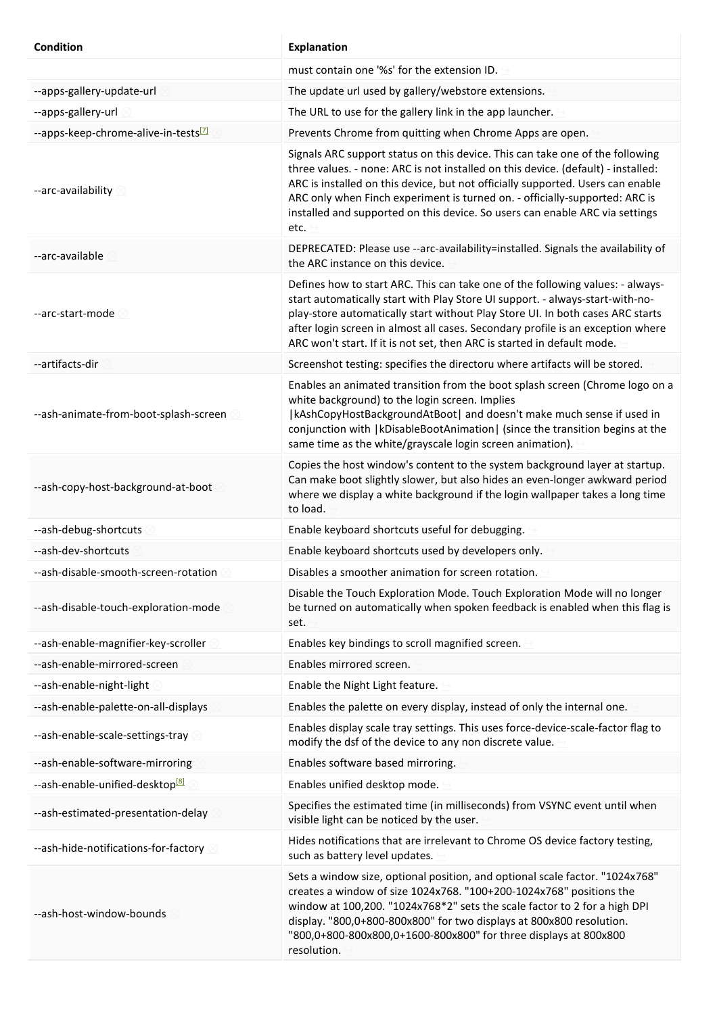| <b>Condition</b>                                 | <b>Explanation</b>                                                                                                                                                                                                                                                                                                                                                                                                           |
|--------------------------------------------------|------------------------------------------------------------------------------------------------------------------------------------------------------------------------------------------------------------------------------------------------------------------------------------------------------------------------------------------------------------------------------------------------------------------------------|
|                                                  | must contain one '%s' for the extension ID.                                                                                                                                                                                                                                                                                                                                                                                  |
| --apps-gallery-update-url                        | The update url used by gallery/webstore extensions.                                                                                                                                                                                                                                                                                                                                                                          |
| --apps-gallery-url                               | The URL to use for the gallery link in the app launcher.                                                                                                                                                                                                                                                                                                                                                                     |
| --apps-keep-chrome-alive-in-tests <sup>[7]</sup> | Prevents Chrome from quitting when Chrome Apps are open.                                                                                                                                                                                                                                                                                                                                                                     |
| --arc-availability                               | Signals ARC support status on this device. This can take one of the following<br>three values. - none: ARC is not installed on this device. (default) - installed:<br>ARC is installed on this device, but not officially supported. Users can enable<br>ARC only when Finch experiment is turned on. - officially-supported: ARC is<br>installed and supported on this device. So users can enable ARC via settings<br>etc. |
| --arc-available                                  | DEPRECATED: Please use -- arc-availability=installed. Signals the availability of<br>the ARC instance on this device.                                                                                                                                                                                                                                                                                                        |
| --arc-start-mode                                 | Defines how to start ARC. This can take one of the following values: - always-<br>start automatically start with Play Store UI support. - always-start-with-no-<br>play-store automatically start without Play Store UI. In both cases ARC starts<br>after login screen in almost all cases. Secondary profile is an exception where<br>ARC won't start. If it is not set, then ARC is started in default mode.              |
| --artifacts-dir                                  | Screenshot testing: specifies the directoru where artifacts will be stored.                                                                                                                                                                                                                                                                                                                                                  |
| --ash-animate-from-boot-splash-screen            | Enables an animated transition from the boot splash screen (Chrome logo on a<br>white background) to the login screen. Implies<br> kAshCopyHostBackgroundAtBoot  and doesn't make much sense if used in<br>conjunction with   kDisableBootAnimation   (since the transition begins at the<br>same time as the white/grayscale login screen animation).                                                                       |
| --ash-copy-host-background-at-boot               | Copies the host window's content to the system background layer at startup.<br>Can make boot slightly slower, but also hides an even-longer awkward period<br>where we display a white background if the login wallpaper takes a long time<br>to load.                                                                                                                                                                       |
| --ash-debug-shortcuts                            | Enable keyboard shortcuts useful for debugging.                                                                                                                                                                                                                                                                                                                                                                              |
| --ash-dev-shortcuts                              | Enable keyboard shortcuts used by developers only.                                                                                                                                                                                                                                                                                                                                                                           |
| --ash-disable-smooth-screen-rotation             | Disables a smoother animation for screen rotation.                                                                                                                                                                                                                                                                                                                                                                           |
| --ash-disable-touch-exploration-mode             | Disable the Touch Exploration Mode. Touch Exploration Mode will no longer<br>be turned on automatically when spoken feedback is enabled when this flag is<br>set.                                                                                                                                                                                                                                                            |
| --ash-enable-magnifier-key-scroller              | Enables key bindings to scroll magnified screen.                                                                                                                                                                                                                                                                                                                                                                             |
| --ash-enable-mirrored-screen                     | Enables mirrored screen.                                                                                                                                                                                                                                                                                                                                                                                                     |
| --ash-enable-night-light                         | Enable the Night Light feature.                                                                                                                                                                                                                                                                                                                                                                                              |
| --ash-enable-palette-on-all-displays             | Enables the palette on every display, instead of only the internal one.                                                                                                                                                                                                                                                                                                                                                      |
| --ash-enable-scale-settings-tray                 | Enables display scale tray settings. This uses force-device-scale-factor flag to<br>modify the dsf of the device to any non discrete value.                                                                                                                                                                                                                                                                                  |
| --ash-enable-software-mirroring                  | Enables software based mirroring.                                                                                                                                                                                                                                                                                                                                                                                            |
| --ash-enable-unified-desktop <sup>[8]</sup>      | Enables unified desktop mode.                                                                                                                                                                                                                                                                                                                                                                                                |
| --ash-estimated-presentation-delay               | Specifies the estimated time (in milliseconds) from VSYNC event until when<br>visible light can be noticed by the user.                                                                                                                                                                                                                                                                                                      |
| --ash-hide-notifications-for-factory             | Hides notifications that are irrelevant to Chrome OS device factory testing,<br>such as battery level updates.                                                                                                                                                                                                                                                                                                               |
| --ash-host-window-bounds                         | Sets a window size, optional position, and optional scale factor. "1024x768"<br>creates a window of size 1024x768. "100+200-1024x768" positions the<br>window at 100,200. "1024x768*2" sets the scale factor to 2 for a high DPI<br>display. "800,0+800-800x800" for two displays at 800x800 resolution.<br>"800,0+800-800x800,0+1600-800x800" for three displays at 800x800<br>resolution.                                  |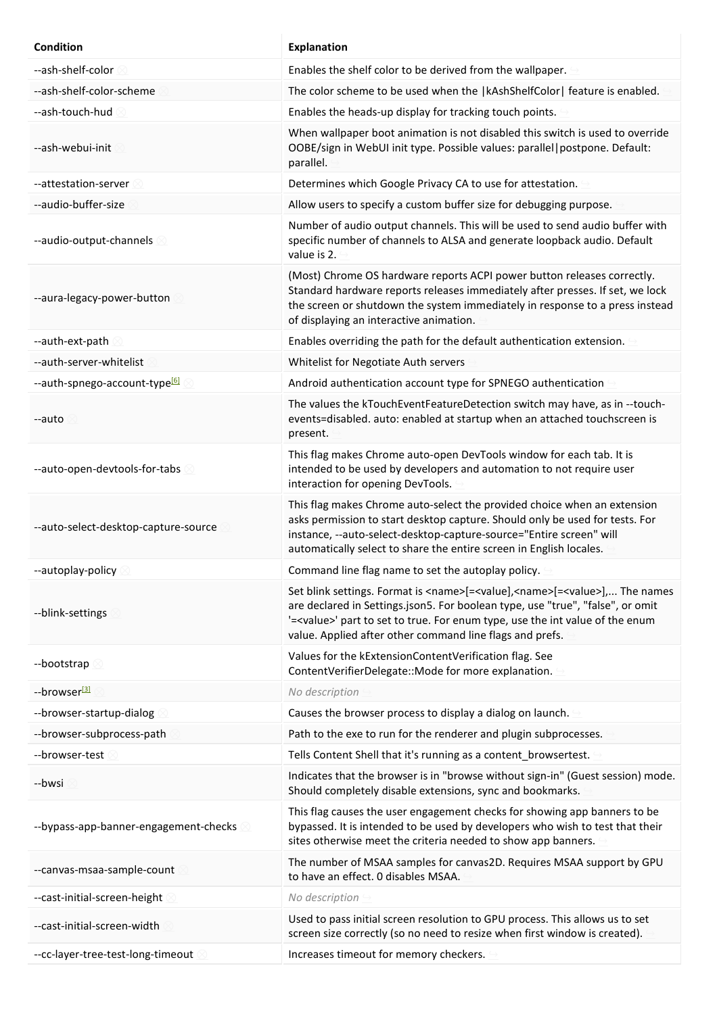| <b>Condition</b>                          | Explanation                                                                                                                                                                                                                                                                                                                                      |
|-------------------------------------------|--------------------------------------------------------------------------------------------------------------------------------------------------------------------------------------------------------------------------------------------------------------------------------------------------------------------------------------------------|
| --ash-shelf-color                         | Enables the shelf color to be derived from the wallpaper.                                                                                                                                                                                                                                                                                        |
| --ash-shelf-color-scheme                  | The color scheme to be used when the  kAshShelfColor  feature is enabled.                                                                                                                                                                                                                                                                        |
| --ash-touch-hud                           | Enables the heads-up display for tracking touch points.                                                                                                                                                                                                                                                                                          |
| --ash-webui-init                          | When wallpaper boot animation is not disabled this switch is used to override<br>OOBE/sign in WebUI init type. Possible values: parallel   postpone. Default:<br>parallel.                                                                                                                                                                       |
| --attestation-server                      | Determines which Google Privacy CA to use for attestation.                                                                                                                                                                                                                                                                                       |
| --audio-buffer-size                       | Allow users to specify a custom buffer size for debugging purpose.                                                                                                                                                                                                                                                                               |
| --audio-output-channels                   | Number of audio output channels. This will be used to send audio buffer with<br>specific number of channels to ALSA and generate loopback audio. Default<br>value is 2.                                                                                                                                                                          |
| --aura-legacy-power-button                | (Most) Chrome OS hardware reports ACPI power button releases correctly.<br>Standard hardware reports releases immediately after presses. If set, we lock<br>the screen or shutdown the system immediately in response to a press instead<br>of displaying an interactive animation.                                                              |
| --auth-ext-path                           | Enables overriding the path for the default authentication extension.                                                                                                                                                                                                                                                                            |
| --auth-server-whitelist                   | Whitelist for Negotiate Auth servers                                                                                                                                                                                                                                                                                                             |
| --auth-spnego-account-type <sup>[6]</sup> | Android authentication account type for SPNEGO authentication                                                                                                                                                                                                                                                                                    |
| --auto                                    | The values the kTouchEventFeatureDetection switch may have, as in --touch-<br>events=disabled. auto: enabled at startup when an attached touchscreen is<br>present.                                                                                                                                                                              |
| --auto-open-devtools-for-tabs             | This flag makes Chrome auto-open DevTools window for each tab. It is<br>intended to be used by developers and automation to not require user<br>interaction for opening DevTools.                                                                                                                                                                |
| --auto-select-desktop-capture-source      | This flag makes Chrome auto-select the provided choice when an extension<br>asks permission to start desktop capture. Should only be used for tests. For<br>instance, --auto-select-desktop-capture-source="Entire screen" will<br>automatically select to share the entire screen in English locales.                                           |
| --autoplay-policy                         | Command line flag name to set the autoplay policy.                                                                                                                                                                                                                                                                                               |
| --blink-settings                          | Set blink settings. Format is <name>[=<value],<name>[=<value>], The names<br/>are declared in Settings.json5. For boolean type, use "true", "false", or omit<br/>'=<value>' part to set to true. For enum type, use the int value of the enum<br/>value. Applied after other command line flags and prefs.</value></value></value],<name></name> |
| --bootstrap                               | Values for the kExtensionContentVerification flag. See<br>ContentVerifierDelegate::Mode for more explanation.                                                                                                                                                                                                                                    |
| --browser <sup>3</sup>                    | No description                                                                                                                                                                                                                                                                                                                                   |
| --browser-startup-dialog                  | Causes the browser process to display a dialog on launch.                                                                                                                                                                                                                                                                                        |
| --browser-subprocess-path                 | Path to the exe to run for the renderer and plugin subprocesses.                                                                                                                                                                                                                                                                                 |
| --browser-test                            | Tells Content Shell that it's running as a content_browsertest.                                                                                                                                                                                                                                                                                  |
| --bwsi                                    | Indicates that the browser is in "browse without sign-in" (Guest session) mode.<br>Should completely disable extensions, sync and bookmarks.                                                                                                                                                                                                     |
| --bypass-app-banner-engagement-checks     | This flag causes the user engagement checks for showing app banners to be<br>bypassed. It is intended to be used by developers who wish to test that their<br>sites otherwise meet the criteria needed to show app banners.                                                                                                                      |
| --canvas-msaa-sample-count                | The number of MSAA samples for canvas2D. Requires MSAA support by GPU<br>to have an effect. 0 disables MSAA.                                                                                                                                                                                                                                     |
| -- cast-initial-screen-height             | No description                                                                                                                                                                                                                                                                                                                                   |
| --cast-initial-screen-width               | Used to pass initial screen resolution to GPU process. This allows us to set<br>screen size correctly (so no need to resize when first window is created).                                                                                                                                                                                       |
| --cc-layer-tree-test-long-timeout         | Increases timeout for memory checkers.                                                                                                                                                                                                                                                                                                           |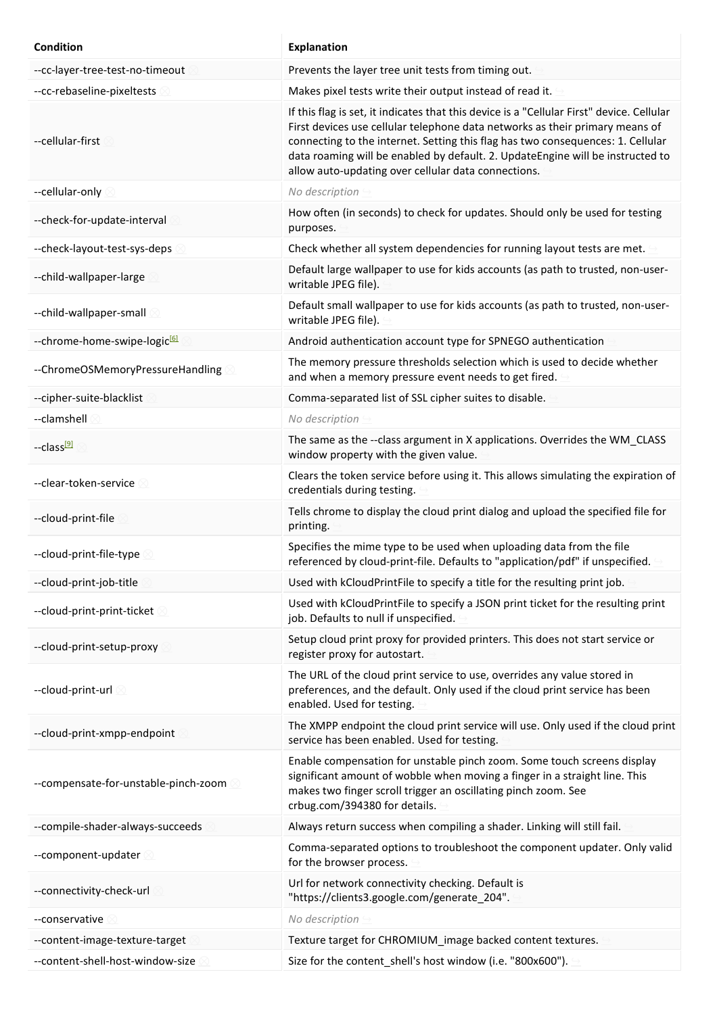| <b>Condition</b>                         | <b>Explanation</b>                                                                                                                                                                                                                                                                                                                                                                                    |
|------------------------------------------|-------------------------------------------------------------------------------------------------------------------------------------------------------------------------------------------------------------------------------------------------------------------------------------------------------------------------------------------------------------------------------------------------------|
| --cc-layer-tree-test-no-timeout          | Prevents the layer tree unit tests from timing out.                                                                                                                                                                                                                                                                                                                                                   |
| --cc-rebaseline-pixeltests               | Makes pixel tests write their output instead of read it.                                                                                                                                                                                                                                                                                                                                              |
| --cellular-first                         | If this flag is set, it indicates that this device is a "Cellular First" device. Cellular<br>First devices use cellular telephone data networks as their primary means of<br>connecting to the internet. Setting this flag has two consequences: 1. Cellular<br>data roaming will be enabled by default. 2. UpdateEngine will be instructed to<br>allow auto-updating over cellular data connections. |
| --cellular-only                          | No description                                                                                                                                                                                                                                                                                                                                                                                        |
| --check-for-update-interval              | How often (in seconds) to check for updates. Should only be used for testing<br>purposes.                                                                                                                                                                                                                                                                                                             |
| --check-layout-test-sys-deps             | Check whether all system dependencies for running layout tests are met.                                                                                                                                                                                                                                                                                                                               |
| --child-wallpaper-large                  | Default large wallpaper to use for kids accounts (as path to trusted, non-user-<br>writable JPEG file).                                                                                                                                                                                                                                                                                               |
| --child-wallpaper-small                  | Default small wallpaper to use for kids accounts (as path to trusted, non-user-<br>writable JPEG file).                                                                                                                                                                                                                                                                                               |
| --chrome-home-swipe-logic <sup>[6]</sup> | Android authentication account type for SPNEGO authentication                                                                                                                                                                                                                                                                                                                                         |
| --ChromeOSMemoryPressureHandling         | The memory pressure thresholds selection which is used to decide whether<br>and when a memory pressure event needs to get fired.                                                                                                                                                                                                                                                                      |
| --cipher-suite-blacklist                 | Comma-separated list of SSL cipher suites to disable.                                                                                                                                                                                                                                                                                                                                                 |
| --clamshell                              | No description                                                                                                                                                                                                                                                                                                                                                                                        |
| --class <sup>[9]</sup>                   | The same as the --class argument in X applications. Overrides the WM_CLASS<br>window property with the given value.                                                                                                                                                                                                                                                                                   |
| --clear-token-service                    | Clears the token service before using it. This allows simulating the expiration of<br>credentials during testing.                                                                                                                                                                                                                                                                                     |
| --cloud-print-file                       | Tells chrome to display the cloud print dialog and upload the specified file for<br>printing.                                                                                                                                                                                                                                                                                                         |
| --cloud-print-file-type                  | Specifies the mime type to be used when uploading data from the file<br>referenced by cloud-print-file. Defaults to "application/pdf" if unspecified.                                                                                                                                                                                                                                                 |
| --cloud-print-job-title                  | Used with kCloudPrintFile to specify a title for the resulting print job.                                                                                                                                                                                                                                                                                                                             |
| --cloud-print-print-ticket               | Used with kCloudPrintFile to specify a JSON print ticket for the resulting print<br>job. Defaults to null if unspecified.                                                                                                                                                                                                                                                                             |
| --cloud-print-setup-proxy                | Setup cloud print proxy for provided printers. This does not start service or<br>register proxy for autostart.                                                                                                                                                                                                                                                                                        |
| --cloud-print-url 2                      | The URL of the cloud print service to use, overrides any value stored in<br>preferences, and the default. Only used if the cloud print service has been<br>enabled. Used for testing.                                                                                                                                                                                                                 |
| --cloud-print-xmpp-endpoint              | The XMPP endpoint the cloud print service will use. Only used if the cloud print<br>service has been enabled. Used for testing.                                                                                                                                                                                                                                                                       |
| --compensate-for-unstable-pinch-zoom 8   | Enable compensation for unstable pinch zoom. Some touch screens display<br>significant amount of wobble when moving a finger in a straight line. This<br>makes two finger scroll trigger an oscillating pinch zoom. See<br>crbug.com/394380 for details.                                                                                                                                              |
| --compile-shader-always-succeeds         | Always return success when compiling a shader. Linking will still fail.                                                                                                                                                                                                                                                                                                                               |
| --component-updater                      | Comma-separated options to troubleshoot the component updater. Only valid<br>for the browser process.                                                                                                                                                                                                                                                                                                 |
| --connectivity-check-url                 | Url for network connectivity checking. Default is<br>"https://clients3.google.com/generate_204".                                                                                                                                                                                                                                                                                                      |
| --conservative                           | No description                                                                                                                                                                                                                                                                                                                                                                                        |
| --content-image-texture-target           | Texture target for CHROMIUM_image backed content textures.                                                                                                                                                                                                                                                                                                                                            |
| --content-shell-host-window-size         | Size for the content_shell's host window (i.e. "800x600").                                                                                                                                                                                                                                                                                                                                            |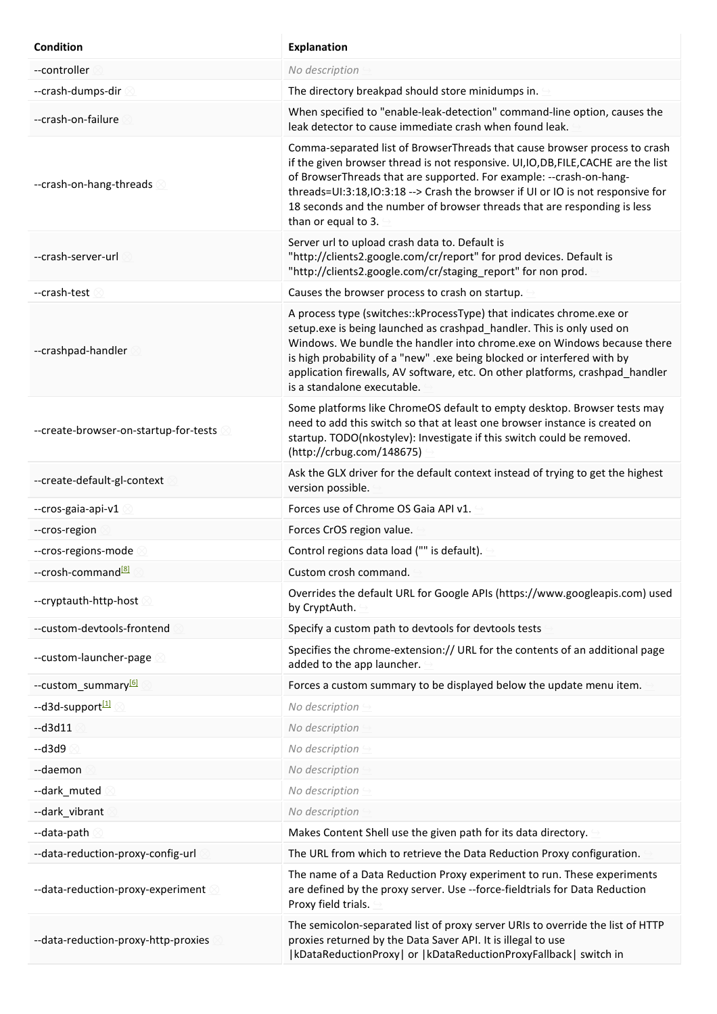| <b>Condition</b>                        | <b>Explanation</b>                                                                                                                                                                                                                                                                                                                                                                                                               |
|-----------------------------------------|----------------------------------------------------------------------------------------------------------------------------------------------------------------------------------------------------------------------------------------------------------------------------------------------------------------------------------------------------------------------------------------------------------------------------------|
| --controller                            | No description                                                                                                                                                                                                                                                                                                                                                                                                                   |
| --crash-dumps-dir                       | The directory breakpad should store minidumps in.                                                                                                                                                                                                                                                                                                                                                                                |
| --crash-on-failure                      | When specified to "enable-leak-detection" command-line option, causes the<br>leak detector to cause immediate crash when found leak.                                                                                                                                                                                                                                                                                             |
| --crash-on-hang-threads                 | Comma-separated list of BrowserThreads that cause browser process to crash<br>if the given browser thread is not responsive. UI, IO, DB, FILE, CACHE are the list<br>of BrowserThreads that are supported. For example: -- crash-on-hang-<br>threads=UI:3:18, IO:3:18 --> Crash the browser if UI or IO is not responsive for<br>18 seconds and the number of browser threads that are responding is less<br>than or equal to 3. |
| --crash-server-url                      | Server url to upload crash data to. Default is<br>"http://clients2.google.com/cr/report" for prod devices. Default is<br>"http://clients2.google.com/cr/staging report" for non prod.                                                                                                                                                                                                                                            |
| --crash-test                            | Causes the browser process to crash on startup.                                                                                                                                                                                                                                                                                                                                                                                  |
| --crashpad-handler                      | A process type (switches:: kProcessType) that indicates chrome.exe or<br>setup.exe is being launched as crashpad_handler. This is only used on<br>Windows. We bundle the handler into chrome.exe on Windows because there<br>is high probability of a "new" .exe being blocked or interfered with by<br>application firewalls, AV software, etc. On other platforms, crashpad_handler<br>is a standalone executable.             |
| --create-browser-on-startup-for-tests 8 | Some platforms like ChromeOS default to empty desktop. Browser tests may<br>need to add this switch so that at least one browser instance is created on<br>startup. TODO(nkostylev): Investigate if this switch could be removed.<br>(http://crbug.com/148675)                                                                                                                                                                   |
| --create-default-gl-context             | Ask the GLX driver for the default context instead of trying to get the highest<br>version possible.                                                                                                                                                                                                                                                                                                                             |
| --cros-gaia-api-v1                      | Forces use of Chrome OS Gaia API v1.                                                                                                                                                                                                                                                                                                                                                                                             |
| --cros-region                           | Forces CrOS region value.                                                                                                                                                                                                                                                                                                                                                                                                        |
| --cros-regions-mode                     | Control regions data load ("" is default).                                                                                                                                                                                                                                                                                                                                                                                       |
| --crosh-command <sup>[8]</sup>          | Custom crosh command.                                                                                                                                                                                                                                                                                                                                                                                                            |
| --cryptauth-http-host                   | Overrides the default URL for Google APIs (https://www.googleapis.com) used<br>by CryptAuth.                                                                                                                                                                                                                                                                                                                                     |
| --custom-devtools-frontend              | Specify a custom path to devtools for devtools tests                                                                                                                                                                                                                                                                                                                                                                             |
| --custom-launcher-page                  | Specifies the chrome-extension:// URL for the contents of an additional page<br>added to the app launcher.                                                                                                                                                                                                                                                                                                                       |
| --custom_summary <sup>161</sup>         | Forces a custom summary to be displayed below the update menu item.                                                                                                                                                                                                                                                                                                                                                              |
| --d3d-support <sup>[1]</sup>            | No description                                                                                                                                                                                                                                                                                                                                                                                                                   |
| $-d3d11$                                | No description                                                                                                                                                                                                                                                                                                                                                                                                                   |
| $-d3d9$                                 | No description                                                                                                                                                                                                                                                                                                                                                                                                                   |
| --daemon                                | No description                                                                                                                                                                                                                                                                                                                                                                                                                   |
| --dark_muted                            | No description                                                                                                                                                                                                                                                                                                                                                                                                                   |
| --dark_vibrant                          | No description                                                                                                                                                                                                                                                                                                                                                                                                                   |
| --data-path                             | Makes Content Shell use the given path for its data directory.                                                                                                                                                                                                                                                                                                                                                                   |
| --data-reduction-proxy-config-url       | The URL from which to retrieve the Data Reduction Proxy configuration.                                                                                                                                                                                                                                                                                                                                                           |
| --data-reduction-proxy-experiment       | The name of a Data Reduction Proxy experiment to run. These experiments<br>are defined by the proxy server. Use --force-fieldtrials for Data Reduction<br>Proxy field trials.                                                                                                                                                                                                                                                    |
| --data-reduction-proxy-http-proxies     | The semicolon-separated list of proxy server URIs to override the list of HTTP<br>proxies returned by the Data Saver API. It is illegal to use<br> kDataReductionProxy  or  kDataReductionProxyFallback  switch in                                                                                                                                                                                                               |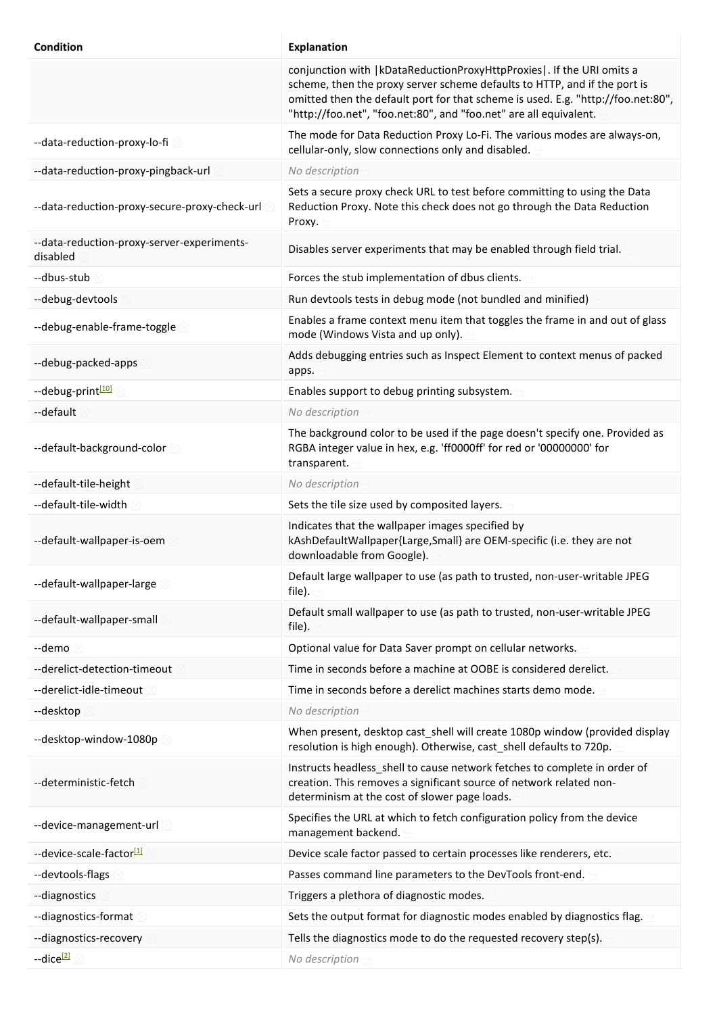| <b>Condition</b>                                       | <b>Explanation</b>                                                                                                                                                                                                                                                                                             |
|--------------------------------------------------------|----------------------------------------------------------------------------------------------------------------------------------------------------------------------------------------------------------------------------------------------------------------------------------------------------------------|
|                                                        | conjunction with   kDataReductionProxyHttpProxies   . If the URI omits a<br>scheme, then the proxy server scheme defaults to HTTP, and if the port is<br>omitted then the default port for that scheme is used. E.g. "http://foo.net:80",<br>"http://foo.net", "foo.net:80", and "foo.net" are all equivalent. |
| --data-reduction-proxy-lo-fi                           | The mode for Data Reduction Proxy Lo-Fi. The various modes are always-on,<br>cellular-only, slow connections only and disabled.                                                                                                                                                                                |
| --data-reduction-proxy-pingback-url                    | No description                                                                                                                                                                                                                                                                                                 |
| --data-reduction-proxy-secure-proxy-check-url          | Sets a secure proxy check URL to test before committing to using the Data<br>Reduction Proxy. Note this check does not go through the Data Reduction<br>Proxy.                                                                                                                                                 |
| --data-reduction-proxy-server-experiments-<br>disabled | Disables server experiments that may be enabled through field trial.                                                                                                                                                                                                                                           |
| --dbus-stub                                            | Forces the stub implementation of dbus clients.                                                                                                                                                                                                                                                                |
| --debug-devtools                                       | Run devtools tests in debug mode (not bundled and minified)                                                                                                                                                                                                                                                    |
| --debug-enable-frame-toggle                            | Enables a frame context menu item that toggles the frame in and out of glass<br>mode (Windows Vista and up only).                                                                                                                                                                                              |
| --debug-packed-apps                                    | Adds debugging entries such as Inspect Element to context menus of packed<br>apps.                                                                                                                                                                                                                             |
| --debug-print[10]                                      | Enables support to debug printing subsystem.                                                                                                                                                                                                                                                                   |
| --default                                              | No description                                                                                                                                                                                                                                                                                                 |
| --default-background-color                             | The background color to be used if the page doesn't specify one. Provided as<br>RGBA integer value in hex, e.g. 'ff0000ff' for red or '00000000' for<br>transparent.                                                                                                                                           |
| --default-tile-height                                  | No description                                                                                                                                                                                                                                                                                                 |
| --default-tile-width                                   | Sets the tile size used by composited layers.                                                                                                                                                                                                                                                                  |
| --default-wallpaper-is-oem                             | Indicates that the wallpaper images specified by<br>kAshDefaultWallpaper{Large, Small} are OEM-specific (i.e. they are not<br>downloadable from Google).                                                                                                                                                       |
| --default-wallpaper-large                              | Default large wallpaper to use (as path to trusted, non-user-writable JPEG<br>file).                                                                                                                                                                                                                           |
| --default-wallpaper-small                              | Default small wallpaper to use (as path to trusted, non-user-writable JPEG<br>file).                                                                                                                                                                                                                           |
| --demo                                                 | Optional value for Data Saver prompt on cellular networks.                                                                                                                                                                                                                                                     |
| --derelict-detection-timeout                           | Time in seconds before a machine at OOBE is considered derelict.                                                                                                                                                                                                                                               |
| --derelict-idle-timeout                                | Time in seconds before a derelict machines starts demo mode.                                                                                                                                                                                                                                                   |
| --desktop                                              | No description                                                                                                                                                                                                                                                                                                 |
| --desktop-window-1080p                                 | When present, desktop cast_shell will create 1080p window (provided display<br>resolution is high enough). Otherwise, cast_shell defaults to 720p.                                                                                                                                                             |
| --deterministic-fetch                                  | Instructs headless_shell to cause network fetches to complete in order of<br>creation. This removes a significant source of network related non-<br>determinism at the cost of slower page loads.                                                                                                              |
| --device-management-url                                | Specifies the URL at which to fetch configuration policy from the device<br>management backend.                                                                                                                                                                                                                |
| --device-scale-factor <sup>[1]</sup>                   | Device scale factor passed to certain processes like renderers, etc.                                                                                                                                                                                                                                           |
| --devtools-flags                                       | Passes command line parameters to the DevTools front-end.                                                                                                                                                                                                                                                      |
| --diagnostics                                          | Triggers a plethora of diagnostic modes.                                                                                                                                                                                                                                                                       |
| --diagnostics-format                                   | Sets the output format for diagnostic modes enabled by diagnostics flag.                                                                                                                                                                                                                                       |
| --diagnostics-recovery                                 | Tells the diagnostics mode to do the requested recovery step(s).                                                                                                                                                                                                                                               |
| --dice <sup>[2]</sup>                                  | No description                                                                                                                                                                                                                                                                                                 |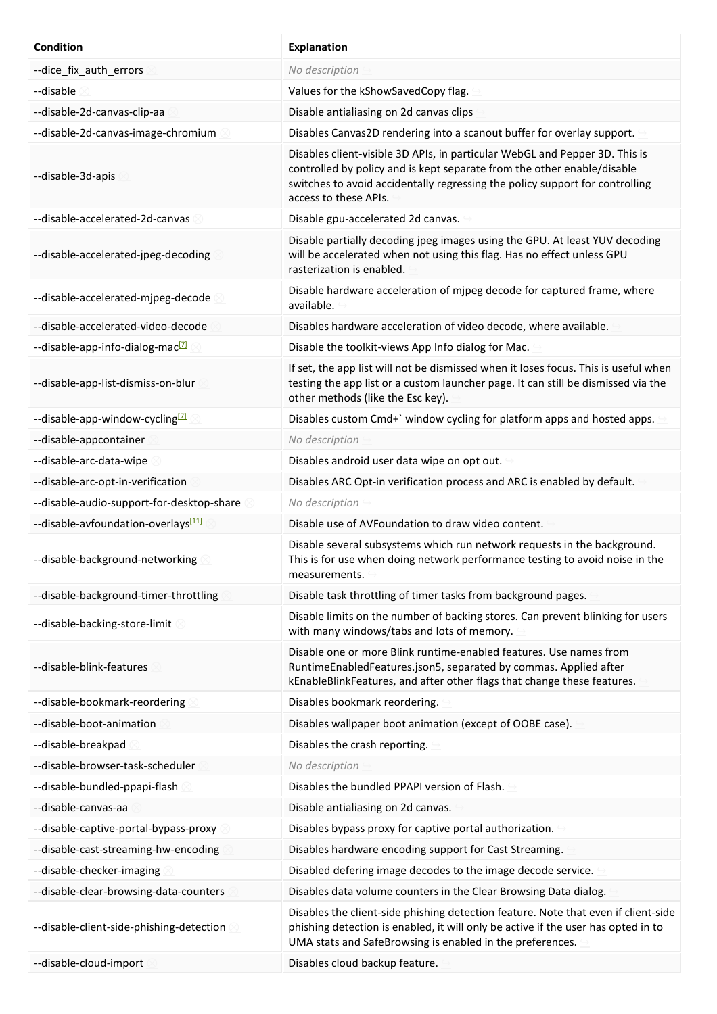| Condition                                    | <b>Explanation</b>                                                                                                                                                                                                                                              |
|----------------------------------------------|-----------------------------------------------------------------------------------------------------------------------------------------------------------------------------------------------------------------------------------------------------------------|
| --dice_fix_auth_errors                       | No description                                                                                                                                                                                                                                                  |
| --disable                                    | Values for the kShowSavedCopy flag.                                                                                                                                                                                                                             |
| --disable-2d-canvas-clip-aa                  | Disable antialiasing on 2d canvas clips                                                                                                                                                                                                                         |
| --disable-2d-canvas-image-chromium           | Disables Canvas2D rendering into a scanout buffer for overlay support.                                                                                                                                                                                          |
| --disable-3d-apis                            | Disables client-visible 3D APIs, in particular WebGL and Pepper 3D. This is<br>controlled by policy and is kept separate from the other enable/disable<br>switches to avoid accidentally regressing the policy support for controlling<br>access to these APIs. |
| --disable-accelerated-2d-canvas              | Disable gpu-accelerated 2d canvas.                                                                                                                                                                                                                              |
| --disable-accelerated-jpeg-decoding          | Disable partially decoding jpeg images using the GPU. At least YUV decoding<br>will be accelerated when not using this flag. Has no effect unless GPU<br>rasterization is enabled.                                                                              |
| --disable-accelerated-mjpeg-decode           | Disable hardware acceleration of mjpeg decode for captured frame, where<br>available.                                                                                                                                                                           |
| --disable-accelerated-video-decode           | Disables hardware acceleration of video decode, where available.                                                                                                                                                                                                |
| --disable-app-info-dialog-mac <sup>[7]</sup> | Disable the toolkit-views App Info dialog for Mac.                                                                                                                                                                                                              |
| --disable-app-list-dismiss-on-blur           | If set, the app list will not be dismissed when it loses focus. This is useful when<br>testing the app list or a custom launcher page. It can still be dismissed via the<br>other methods (like the Esc key).                                                   |
| --disable-app-window-cycling <sup>[7]</sup>  | Disables custom Cmd+` window cycling for platform apps and hosted apps.                                                                                                                                                                                         |
| --disable-appcontainer                       | No description                                                                                                                                                                                                                                                  |
| --disable-arc-data-wipe                      | Disables android user data wipe on opt out.                                                                                                                                                                                                                     |
| --disable-arc-opt-in-verification            | Disables ARC Opt-in verification process and ARC is enabled by default.                                                                                                                                                                                         |
| --disable-audio-support-for-desktop-share    | No description                                                                                                                                                                                                                                                  |
| --disable-avfoundation-overlays <a></a>      | Disable use of AVFoundation to draw video content.                                                                                                                                                                                                              |
| --disable-background-networking              | Disable several subsystems which run network requests in the background.<br>This is for use when doing network performance testing to avoid noise in the<br>measurements.                                                                                       |
| --disable-background-timer-throttling        | Disable task throttling of timer tasks from background pages.                                                                                                                                                                                                   |
| --disable-backing-store-limit                | Disable limits on the number of backing stores. Can prevent blinking for users<br>with many windows/tabs and lots of memory.                                                                                                                                    |
| --disable-blink-features                     | Disable one or more Blink runtime-enabled features. Use names from<br>RuntimeEnabledFeatures.json5, separated by commas. Applied after<br>kEnableBlinkFeatures, and after other flags that change these features.                                               |
| --disable-bookmark-reordering                | Disables bookmark reordering.                                                                                                                                                                                                                                   |
| --disable-boot-animation                     | Disables wallpaper boot animation (except of OOBE case).                                                                                                                                                                                                        |
| --disable-breakpad                           | Disables the crash reporting.                                                                                                                                                                                                                                   |
| --disable-browser-task-scheduler             | No description                                                                                                                                                                                                                                                  |
| --disable-bundled-ppapi-flash                | Disables the bundled PPAPI version of Flash.                                                                                                                                                                                                                    |
| --disable-canvas-aa                          | Disable antialiasing on 2d canvas.                                                                                                                                                                                                                              |
| --disable-captive-portal-bypass-proxy        | Disables bypass proxy for captive portal authorization.                                                                                                                                                                                                         |
| --disable-cast-streaming-hw-encoding         | Disables hardware encoding support for Cast Streaming.                                                                                                                                                                                                          |
| --disable-checker-imaging                    | Disabled defering image decodes to the image decode service.                                                                                                                                                                                                    |
| --disable-clear-browsing-data-counters       | Disables data volume counters in the Clear Browsing Data dialog.                                                                                                                                                                                                |
| --disable-client-side-phishing-detection     | Disables the client-side phishing detection feature. Note that even if client-side<br>phishing detection is enabled, it will only be active if the user has opted in to<br>UMA stats and SafeBrowsing is enabled in the preferences.                            |
| --disable-cloud-import                       | Disables cloud backup feature.                                                                                                                                                                                                                                  |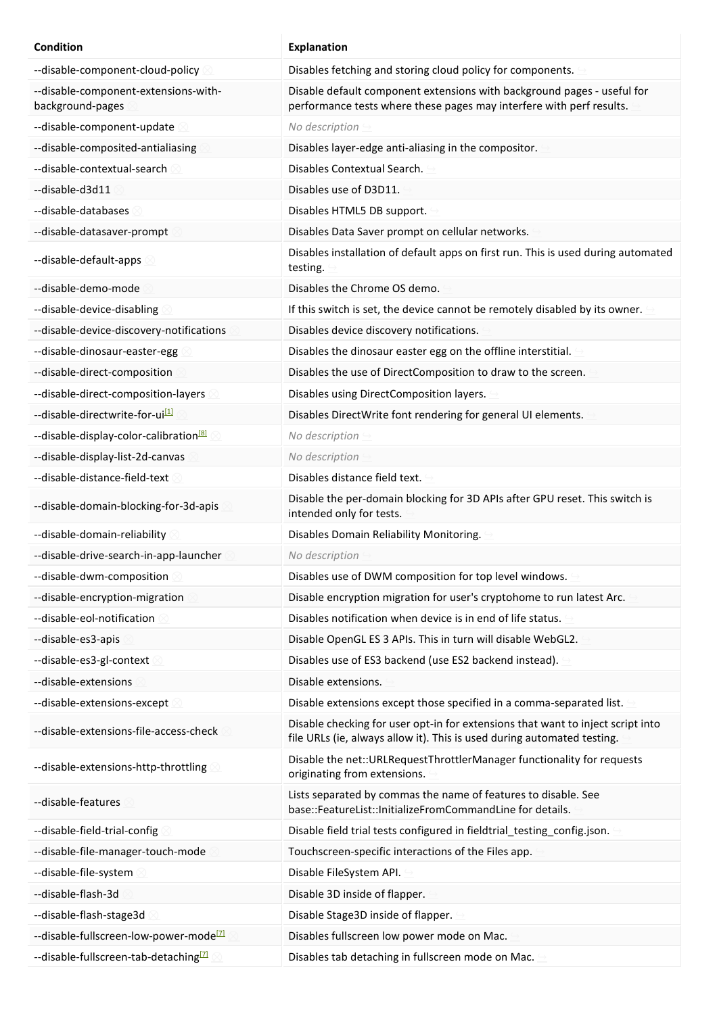| <b>Condition</b>                                         | <b>Explanation</b>                                                                                                                                         |
|----------------------------------------------------------|------------------------------------------------------------------------------------------------------------------------------------------------------------|
| --disable-component-cloud-policy                         | Disables fetching and storing cloud policy for components.                                                                                                 |
| --disable-component-extensions-with-<br>background-pages | Disable default component extensions with background pages - useful for<br>performance tests where these pages may interfere with perf results.            |
| --disable-component-update                               | No description                                                                                                                                             |
| --disable-composited-antialiasing                        | Disables layer-edge anti-aliasing in the compositor.                                                                                                       |
| --disable-contextual-search                              | Disables Contextual Search.                                                                                                                                |
| --disable-d3d11                                          | Disables use of D3D11.                                                                                                                                     |
| --disable-databases                                      | Disables HTML5 DB support.                                                                                                                                 |
| --disable-datasaver-prompt                               | Disables Data Saver prompt on cellular networks.                                                                                                           |
| --disable-default-apps                                   | Disables installation of default apps on first run. This is used during automated<br>testing.                                                              |
| --disable-demo-mode                                      | Disables the Chrome OS demo.                                                                                                                               |
| --disable-device-disabling                               | If this switch is set, the device cannot be remotely disabled by its owner.                                                                                |
| --disable-device-discovery-notifications                 | Disables device discovery notifications.                                                                                                                   |
| --disable-dinosaur-easter-egg                            | Disables the dinosaur easter egg on the offline interstitial.                                                                                              |
| --disable-direct-composition                             | Disables the use of DirectComposition to draw to the screen.                                                                                               |
| --disable-direct-composition-layers                      | Disables using DirectComposition layers.                                                                                                                   |
| --disable-directwrite-for-ui <sup>[1]</sup>              | Disables DirectWrite font rendering for general UI elements.                                                                                               |
| --disable-display-color-calibration <sup>[8]</sup>       | No description                                                                                                                                             |
| --disable-display-list-2d-canvas                         | No description                                                                                                                                             |
| --disable-distance-field-text                            | Disables distance field text.                                                                                                                              |
| --disable-domain-blocking-for-3d-apis                    | Disable the per-domain blocking for 3D APIs after GPU reset. This switch is<br>intended only for tests.                                                    |
| --disable-domain-reliability                             | Disables Domain Reliability Monitoring.                                                                                                                    |
| --disable-drive-search-in-app-launcher                   | No description                                                                                                                                             |
| --disable-dwm-composition                                | Disables use of DWM composition for top level windows.                                                                                                     |
| --disable-encryption-migration                           | Disable encryption migration for user's cryptohome to run latest Arc.                                                                                      |
| --disable-eol-notification                               | Disables notification when device is in end of life status.                                                                                                |
| --disable-es3-apis                                       | Disable OpenGL ES 3 APIs. This in turn will disable WebGL2.                                                                                                |
| --disable-es3-gl-context                                 | Disables use of ES3 backend (use ES2 backend instead).                                                                                                     |
| --disable-extensions                                     | Disable extensions.                                                                                                                                        |
| --disable-extensions-except                              | Disable extensions except those specified in a comma-separated list.                                                                                       |
| --disable-extensions-file-access-check                   | Disable checking for user opt-in for extensions that want to inject script into<br>file URLs (ie, always allow it). This is used during automated testing. |
| --disable-extensions-http-throttling                     | Disable the net::URLRequestThrottlerManager functionality for requests<br>originating from extensions.                                                     |
| --disable-features                                       | Lists separated by commas the name of features to disable. See<br>base::FeatureList::InitializeFromCommandLine for details.                                |
| --disable-field-trial-config                             | Disable field trial tests configured in fieldtrial_testing_config.json.                                                                                    |
| --disable-file-manager-touch-mode                        | Touchscreen-specific interactions of the Files app.                                                                                                        |
| --disable-file-system                                    | Disable FileSystem API.                                                                                                                                    |
| --disable-flash-3d                                       | Disable 3D inside of flapper.                                                                                                                              |
| --disable-flash-stage3d                                  | Disable Stage3D inside of flapper.                                                                                                                         |
| --disable-fullscreen-low-power-mode <sup>[7]</sup>       | Disables fullscreen low power mode on Mac.                                                                                                                 |
| --disable-fullscreen-tab-detaching <sup>[7]</sup>        | Disables tab detaching in fullscreen mode on Mac.                                                                                                          |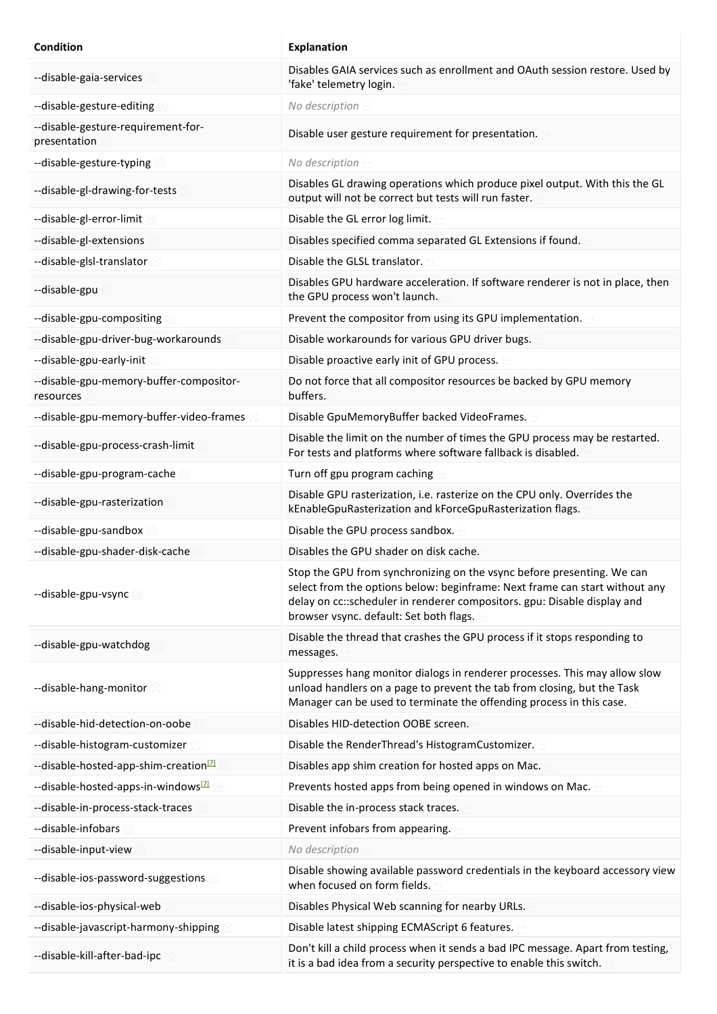| Condition                                            | <b>Explanation</b>                                                                                                                                                                                                                                                           |
|------------------------------------------------------|------------------------------------------------------------------------------------------------------------------------------------------------------------------------------------------------------------------------------------------------------------------------------|
| --disable-gaia-services                              | Disables GAIA services such as enrollment and OAuth session restore. Used by<br>'fake' telemetry login.                                                                                                                                                                      |
| --disable-gesture-editing                            | No description                                                                                                                                                                                                                                                               |
| --disable-gesture-requirement-for-<br>presentation   | Disable user gesture requirement for presentation.                                                                                                                                                                                                                           |
| --disable-gesture-typing                             | No description                                                                                                                                                                                                                                                               |
| --disable-gl-drawing-for-tests                       | Disables GL drawing operations which produce pixel output. With this the GL<br>output will not be correct but tests will run faster.                                                                                                                                         |
| --disable-gl-error-limit                             | Disable the GL error log limit.                                                                                                                                                                                                                                              |
| --disable-gl-extensions                              | Disables specified comma separated GL Extensions if found.                                                                                                                                                                                                                   |
| --disable-glsl-translator                            | Disable the GLSL translator.                                                                                                                                                                                                                                                 |
| --disable-gpu                                        | Disables GPU hardware acceleration. If software renderer is not in place, then<br>the GPU process won't launch.                                                                                                                                                              |
| --disable-gpu-compositing                            | Prevent the compositor from using its GPU implementation.                                                                                                                                                                                                                    |
| --disable-gpu-driver-bug-workarounds                 | Disable workarounds for various GPU driver bugs.                                                                                                                                                                                                                             |
| --disable-gpu-early-init                             | Disable proactive early init of GPU process.                                                                                                                                                                                                                                 |
| --disable-gpu-memory-buffer-compositor-<br>resources | Do not force that all compositor resources be backed by GPU memory<br>buffers.                                                                                                                                                                                               |
| --disable-gpu-memory-buffer-video-frames             | Disable GpuMemoryBuffer backed VideoFrames.                                                                                                                                                                                                                                  |
| --disable-gpu-process-crash-limit                    | Disable the limit on the number of times the GPU process may be restarted.<br>For tests and platforms where software fallback is disabled.                                                                                                                                   |
| --disable-gpu-program-cache                          | Turn off gpu program caching                                                                                                                                                                                                                                                 |
| --disable-gpu-rasterization                          | Disable GPU rasterization, i.e. rasterize on the CPU only. Overrides the<br>kEnableGpuRasterization and kForceGpuRasterization flags.                                                                                                                                        |
| --disable-gpu-sandbox                                | Disable the GPU process sandbox.                                                                                                                                                                                                                                             |
| --disable-gpu-shader-disk-cache                      | Disables the GPU shader on disk cache.                                                                                                                                                                                                                                       |
| --disable-gpu-vsync                                  | Stop the GPU from synchronizing on the vsync before presenting. We can<br>select from the options below: beginframe: Next frame can start without any<br>delay on cc::scheduler in renderer compositors. gpu: Disable display and<br>browser vsync. default: Set both flags. |
| --disable-gpu-watchdog                               | Disable the thread that crashes the GPU process if it stops responding to<br>messages.                                                                                                                                                                                       |
| --disable-hang-monitor                               | Suppresses hang monitor dialogs in renderer processes. This may allow slow<br>unload handlers on a page to prevent the tab from closing, but the Task<br>Manager can be used to terminate the offending process in this case.                                                |
| --disable-hid-detection-on-oobe                      | Disables HID-detection OOBE screen.                                                                                                                                                                                                                                          |
| --disable-histogram-customizer                       | Disable the RenderThread's HistogramCustomizer.                                                                                                                                                                                                                              |
| --disable-hosted-app-shim-creation <sup>[7]</sup>    | Disables app shim creation for hosted apps on Mac.                                                                                                                                                                                                                           |
| --disable-hosted-apps-in-windows <sup>[7]</sup>      | Prevents hosted apps from being opened in windows on Mac.                                                                                                                                                                                                                    |
| --disable-in-process-stack-traces                    | Disable the in-process stack traces.                                                                                                                                                                                                                                         |
| --disable-infobars                                   | Prevent infobars from appearing.                                                                                                                                                                                                                                             |
| --disable-input-view                                 | No description                                                                                                                                                                                                                                                               |
| --disable-ios-password-suggestions                   | Disable showing available password credentials in the keyboard accessory view<br>when focused on form fields.                                                                                                                                                                |
| --disable-ios-physical-web                           | Disables Physical Web scanning for nearby URLs.                                                                                                                                                                                                                              |
| --disable-javascript-harmony-shipping                | Disable latest shipping ECMAScript 6 features.                                                                                                                                                                                                                               |
| --disable-kill-after-bad-ipc                         | Don't kill a child process when it sends a bad IPC message. Apart from testing,<br>it is a bad idea from a security perspective to enable this switch.                                                                                                                       |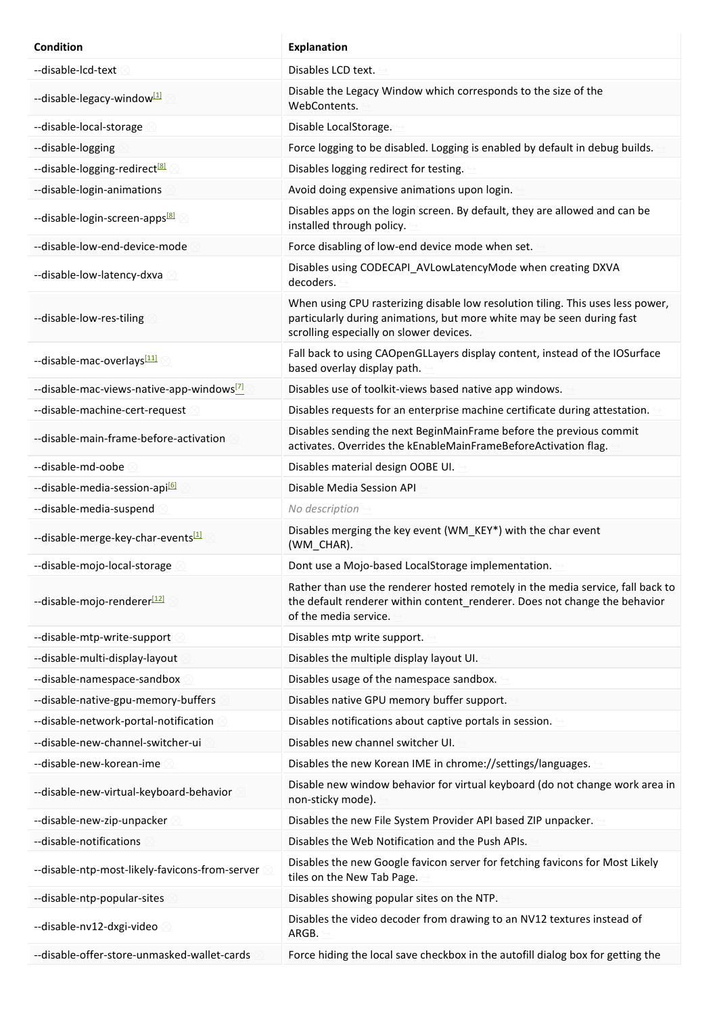| <b>Condition</b>                                      | <b>Explanation</b>                                                                                                                                                                                   |
|-------------------------------------------------------|------------------------------------------------------------------------------------------------------------------------------------------------------------------------------------------------------|
| --disable-lcd-text                                    | Disables LCD text.                                                                                                                                                                                   |
| --disable-legacy-window <sup>[1]</sup>                | Disable the Legacy Window which corresponds to the size of the<br>WebContents.                                                                                                                       |
| --disable-local-storage                               | Disable LocalStorage.                                                                                                                                                                                |
| --disable-logging                                     | Force logging to be disabled. Logging is enabled by default in debug builds.                                                                                                                         |
| --disable-logging-redirect <sup>[8]</sup>             | Disables logging redirect for testing.                                                                                                                                                               |
| --disable-login-animations                            | Avoid doing expensive animations upon login.                                                                                                                                                         |
| --disable-login-screen-apps <sup>[8]</sup>            | Disables apps on the login screen. By default, they are allowed and can be<br>installed through policy.                                                                                              |
| --disable-low-end-device-mode                         | Force disabling of low-end device mode when set.                                                                                                                                                     |
| --disable-low-latency-dxva                            | Disables using CODECAPI_AVLowLatencyMode when creating DXVA<br>decoders.                                                                                                                             |
| --disable-low-res-tiling                              | When using CPU rasterizing disable low resolution tiling. This uses less power,<br>particularly during animations, but more white may be seen during fast<br>scrolling especially on slower devices. |
| --disable-mac-overlays <a>[11]</a>                    | Fall back to using CAOpenGLLayers display content, instead of the IOSurface<br>based overlay display path.                                                                                           |
| --disable-mac-views-native-app-windows <sup>[7]</sup> | Disables use of toolkit-views based native app windows.                                                                                                                                              |
| --disable-machine-cert-request                        | Disables requests for an enterprise machine certificate during attestation.                                                                                                                          |
| --disable-main-frame-before-activation                | Disables sending the next BeginMainFrame before the previous commit<br>activates. Overrides the kEnableMainFrameBeforeActivation flag.                                                               |
| --disable-md-oobe                                     | Disables material design OOBE UI.                                                                                                                                                                    |
| --disable-media-session-api <sup>61</sup>             | Disable Media Session API                                                                                                                                                                            |
| --disable-media-suspend                               | No description                                                                                                                                                                                       |
| --disable-merge-key-char-events[1]                    | Disables merging the key event (WM_KEY*) with the char event<br>(WM_CHAR).                                                                                                                           |
| --disable-mojo-local-storage                          | Dont use a Mojo-based LocalStorage implementation.                                                                                                                                                   |
| --disable-mojo-renderer[12]                           | Rather than use the renderer hosted remotely in the media service, fall back to<br>the default renderer within content_renderer. Does not change the behavior<br>of the media service.               |
| --disable-mtp-write-support                           | Disables mtp write support.                                                                                                                                                                          |
| --disable-multi-display-layout                        | Disables the multiple display layout UI.                                                                                                                                                             |
| --disable-namespace-sandbox                           | Disables usage of the namespace sandbox.                                                                                                                                                             |
| --disable-native-gpu-memory-buffers                   | Disables native GPU memory buffer support.                                                                                                                                                           |
| --disable-network-portal-notification                 | Disables notifications about captive portals in session.                                                                                                                                             |
| --disable-new-channel-switcher-ui                     | Disables new channel switcher UI.                                                                                                                                                                    |
| --disable-new-korean-ime                              | Disables the new Korean IME in chrome://settings/languages.                                                                                                                                          |
| --disable-new-virtual-keyboard-behavior               | Disable new window behavior for virtual keyboard (do not change work area in<br>non-sticky mode).                                                                                                    |
| --disable-new-zip-unpacker                            | Disables the new File System Provider API based ZIP unpacker.                                                                                                                                        |
| --disable-notifications                               | Disables the Web Notification and the Push APIs.                                                                                                                                                     |
| --disable-ntp-most-likely-favicons-from-server        | Disables the new Google favicon server for fetching favicons for Most Likely<br>tiles on the New Tab Page.                                                                                           |
| --disable-ntp-popular-sites                           | Disables showing popular sites on the NTP.                                                                                                                                                           |
| --disable-nv12-dxgi-video                             | Disables the video decoder from drawing to an NV12 textures instead of<br>ARGB.                                                                                                                      |
| --disable-offer-store-unmasked-wallet-cards           | Force hiding the local save checkbox in the autofill dialog box for getting the                                                                                                                      |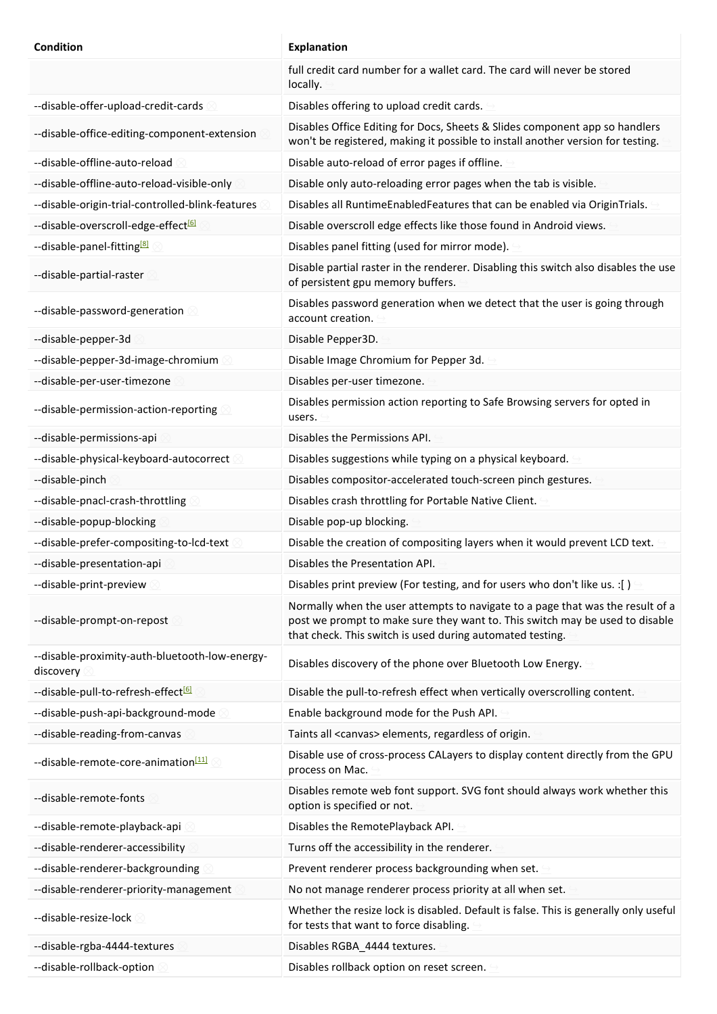| <b>Condition</b>                                            | <b>Explanation</b>                                                                                                                                                                                                          |
|-------------------------------------------------------------|-----------------------------------------------------------------------------------------------------------------------------------------------------------------------------------------------------------------------------|
|                                                             | full credit card number for a wallet card. The card will never be stored<br>locally.                                                                                                                                        |
| --disable-offer-upload-credit-cards                         | Disables offering to upload credit cards.                                                                                                                                                                                   |
| --disable-office-editing-component-extension                | Disables Office Editing for Docs, Sheets & Slides component app so handlers<br>won't be registered, making it possible to install another version for testing.                                                              |
| --disable-offline-auto-reload                               | Disable auto-reload of error pages if offline.                                                                                                                                                                              |
| --disable-offline-auto-reload-visible-only                  | Disable only auto-reloading error pages when the tab is visible.                                                                                                                                                            |
| --disable-origin-trial-controlled-blink-features            | Disables all RuntimeEnabledFeatures that can be enabled via OriginTrials.                                                                                                                                                   |
| --disable-overscroll-edge-effect <sup>[6]</sup>             | Disable overscroll edge effects like those found in Android views.                                                                                                                                                          |
| --disable-panel-fitting <sup>[8]</sup>                      | Disables panel fitting (used for mirror mode).                                                                                                                                                                              |
| --disable-partial-raster                                    | Disable partial raster in the renderer. Disabling this switch also disables the use<br>of persistent gpu memory buffers.                                                                                                    |
| --disable-password-generation 2                             | Disables password generation when we detect that the user is going through<br>account creation.                                                                                                                             |
| --disable-pepper-3d                                         | Disable Pepper3D.                                                                                                                                                                                                           |
| --disable-pepper-3d-image-chromium                          | Disable Image Chromium for Pepper 3d.                                                                                                                                                                                       |
| --disable-per-user-timezone                                 | Disables per-user timezone.                                                                                                                                                                                                 |
| --disable-permission-action-reporting                       | Disables permission action reporting to Safe Browsing servers for opted in<br>users.                                                                                                                                        |
| --disable-permissions-api                                   | Disables the Permissions API.                                                                                                                                                                                               |
| --disable-physical-keyboard-autocorrect                     | Disables suggestions while typing on a physical keyboard.                                                                                                                                                                   |
| --disable-pinch                                             | Disables compositor-accelerated touch-screen pinch gestures.                                                                                                                                                                |
| --disable-pnacl-crash-throttling                            | Disables crash throttling for Portable Native Client.                                                                                                                                                                       |
| --disable-popup-blocking                                    | Disable pop-up blocking.                                                                                                                                                                                                    |
| --disable-prefer-compositing-to-lcd-text                    | Disable the creation of compositing layers when it would prevent LCD text.                                                                                                                                                  |
| --disable-presentation-api                                  | Disables the Presentation API.                                                                                                                                                                                              |
| --disable-print-preview                                     | Disables print preview (For testing, and for users who don't like us. : [ )                                                                                                                                                 |
| --disable-prompt-on-repost                                  | Normally when the user attempts to navigate to a page that was the result of a<br>post we prompt to make sure they want to. This switch may be used to disable<br>that check. This switch is used during automated testing. |
| --disable-proximity-auth-bluetooth-low-energy-<br>discovery | Disables discovery of the phone over Bluetooth Low Energy.                                                                                                                                                                  |
| --disable-pull-to-refresh-effect <sup>[6]</sup>             | Disable the pull-to-refresh effect when vertically overscrolling content.                                                                                                                                                   |
| --disable-push-api-background-mode                          | Enable background mode for the Push API.                                                                                                                                                                                    |
| --disable-reading-from-canvas                               | Taints all <canvas> elements, regardless of origin.</canvas>                                                                                                                                                                |
| --disable-remote-core-animation <sup>[11]</sup>             | Disable use of cross-process CALayers to display content directly from the GPU<br>process on Mac.                                                                                                                           |
| --disable-remote-fonts                                      | Disables remote web font support. SVG font should always work whether this<br>option is specified or not.                                                                                                                   |
| --disable-remote-playback-api                               | Disables the RemotePlayback API.                                                                                                                                                                                            |
| --disable-renderer-accessibility                            | Turns off the accessibility in the renderer.                                                                                                                                                                                |
| --disable-renderer-backgrounding                            | Prevent renderer process backgrounding when set.                                                                                                                                                                            |
| --disable-renderer-priority-management                      | No not manage renderer process priority at all when set.                                                                                                                                                                    |
| --disable-resize-lock                                       | Whether the resize lock is disabled. Default is false. This is generally only useful<br>for tests that want to force disabling.                                                                                             |
| --disable-rgba-4444-textures                                | Disables RGBA_4444 textures.                                                                                                                                                                                                |
| --disable-rollback-option                                   | Disables rollback option on reset screen.                                                                                                                                                                                   |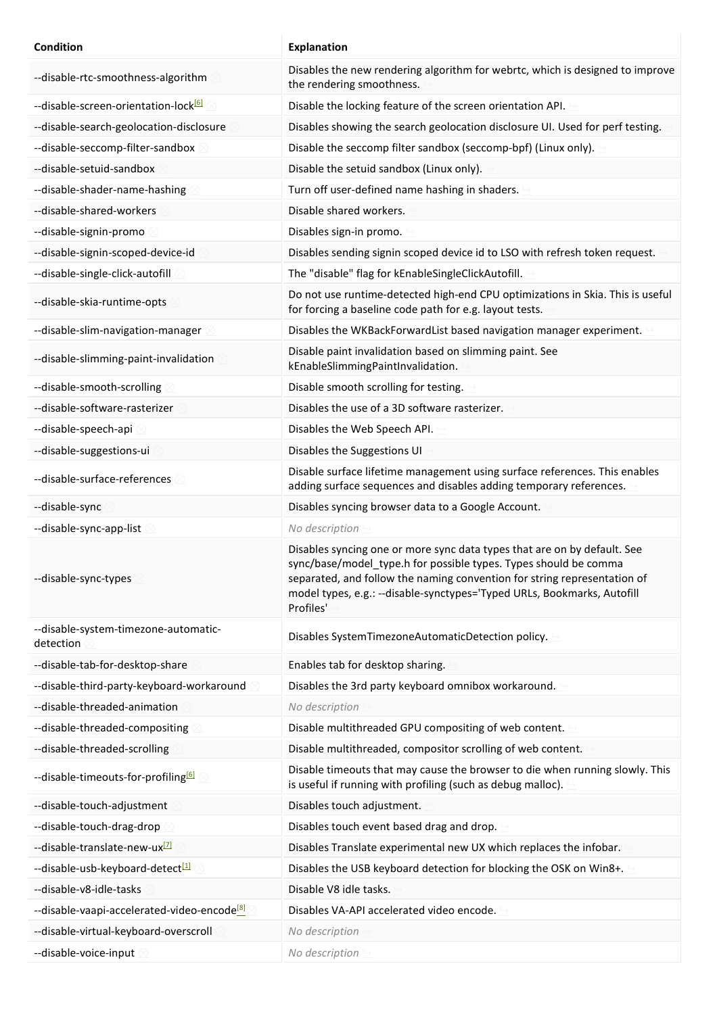| Condition                                               | <b>Explanation</b>                                                                                                                                                                                                                                                                                               |
|---------------------------------------------------------|------------------------------------------------------------------------------------------------------------------------------------------------------------------------------------------------------------------------------------------------------------------------------------------------------------------|
| --disable-rtc-smoothness-algorithm                      | Disables the new rendering algorithm for webrtc, which is designed to improve<br>the rendering smoothness.                                                                                                                                                                                                       |
| --disable-screen-orientation-lock <sup>[6]</sup>        | Disable the locking feature of the screen orientation API.                                                                                                                                                                                                                                                       |
| --disable-search-geolocation-disclosure                 | Disables showing the search geolocation disclosure UI. Used for perf testing.                                                                                                                                                                                                                                    |
| --disable-seccomp-filter-sandbox                        | Disable the seccomp filter sandbox (seccomp-bpf) (Linux only).                                                                                                                                                                                                                                                   |
| --disable-setuid-sandbox                                | Disable the setuid sandbox (Linux only).                                                                                                                                                                                                                                                                         |
| --disable-shader-name-hashing                           | Turn off user-defined name hashing in shaders.                                                                                                                                                                                                                                                                   |
| --disable-shared-workers                                | Disable shared workers.                                                                                                                                                                                                                                                                                          |
| --disable-signin-promo                                  | Disables sign-in promo.                                                                                                                                                                                                                                                                                          |
| --disable-signin-scoped-device-id                       | Disables sending signin scoped device id to LSO with refresh token request.                                                                                                                                                                                                                                      |
| --disable-single-click-autofill                         | The "disable" flag for kEnableSingleClickAutofill.                                                                                                                                                                                                                                                               |
| --disable-skia-runtime-opts                             | Do not use runtime-detected high-end CPU optimizations in Skia. This is useful<br>for forcing a baseline code path for e.g. layout tests.                                                                                                                                                                        |
| --disable-slim-navigation-manager                       | Disables the WKBackForwardList based navigation manager experiment.                                                                                                                                                                                                                                              |
| --disable-slimming-paint-invalidation                   | Disable paint invalidation based on slimming paint. See<br>kEnableSlimmingPaintInvalidation.                                                                                                                                                                                                                     |
| --disable-smooth-scrolling                              | Disable smooth scrolling for testing.                                                                                                                                                                                                                                                                            |
| --disable-software-rasterizer                           | Disables the use of a 3D software rasterizer.                                                                                                                                                                                                                                                                    |
| --disable-speech-api                                    | Disables the Web Speech API.                                                                                                                                                                                                                                                                                     |
| --disable-suggestions-ui                                | Disables the Suggestions UI                                                                                                                                                                                                                                                                                      |
| --disable-surface-references                            | Disable surface lifetime management using surface references. This enables<br>adding surface sequences and disables adding temporary references.                                                                                                                                                                 |
| --disable-sync                                          | Disables syncing browser data to a Google Account.                                                                                                                                                                                                                                                               |
| --disable-sync-app-list                                 | No description                                                                                                                                                                                                                                                                                                   |
| --disable-sync-types                                    | Disables syncing one or more sync data types that are on by default. See<br>sync/base/model_type.h for possible types. Types should be comma<br>separated, and follow the naming convention for string representation of<br>model types, e.g.: --disable-synctypes='Typed URLs, Bookmarks, Autofill<br>Profiles' |
| --disable-system-timezone-automatic-<br>detection       | Disables SystemTimezoneAutomaticDetection policy.                                                                                                                                                                                                                                                                |
| --disable-tab-for-desktop-share                         | Enables tab for desktop sharing.                                                                                                                                                                                                                                                                                 |
| --disable-third-party-keyboard-workaround               | Disables the 3rd party keyboard omnibox workaround.                                                                                                                                                                                                                                                              |
| --disable-threaded-animation                            | No description                                                                                                                                                                                                                                                                                                   |
| --disable-threaded-compositing                          | Disable multithreaded GPU compositing of web content.                                                                                                                                                                                                                                                            |
| --disable-threaded-scrolling                            | Disable multithreaded, compositor scrolling of web content.                                                                                                                                                                                                                                                      |
| --disable-timeouts-for-profiling <sup>[6]</sup>         | Disable timeouts that may cause the browser to die when running slowly. This<br>is useful if running with profiling (such as debug malloc).                                                                                                                                                                      |
| --disable-touch-adjustment                              | Disables touch adjustment.                                                                                                                                                                                                                                                                                       |
| --disable-touch-drag-drop                               | Disables touch event based drag and drop.                                                                                                                                                                                                                                                                        |
| --disable-translate-new-ux <sup>[7]</sup>               | Disables Translate experimental new UX which replaces the infobar.                                                                                                                                                                                                                                               |
| --disable-usb-keyboard-detect <sup>[1]</sup>            | Disables the USB keyboard detection for blocking the OSK on Win8+.                                                                                                                                                                                                                                               |
| --disable-v8-idle-tasks                                 | Disable V8 idle tasks.                                                                                                                                                                                                                                                                                           |
| --disable-vaapi-accelerated-video-encode <sup>[8]</sup> | Disables VA-API accelerated video encode.                                                                                                                                                                                                                                                                        |
| --disable-virtual-keyboard-overscroll                   | No description                                                                                                                                                                                                                                                                                                   |
| --disable-voice-input                                   | No description                                                                                                                                                                                                                                                                                                   |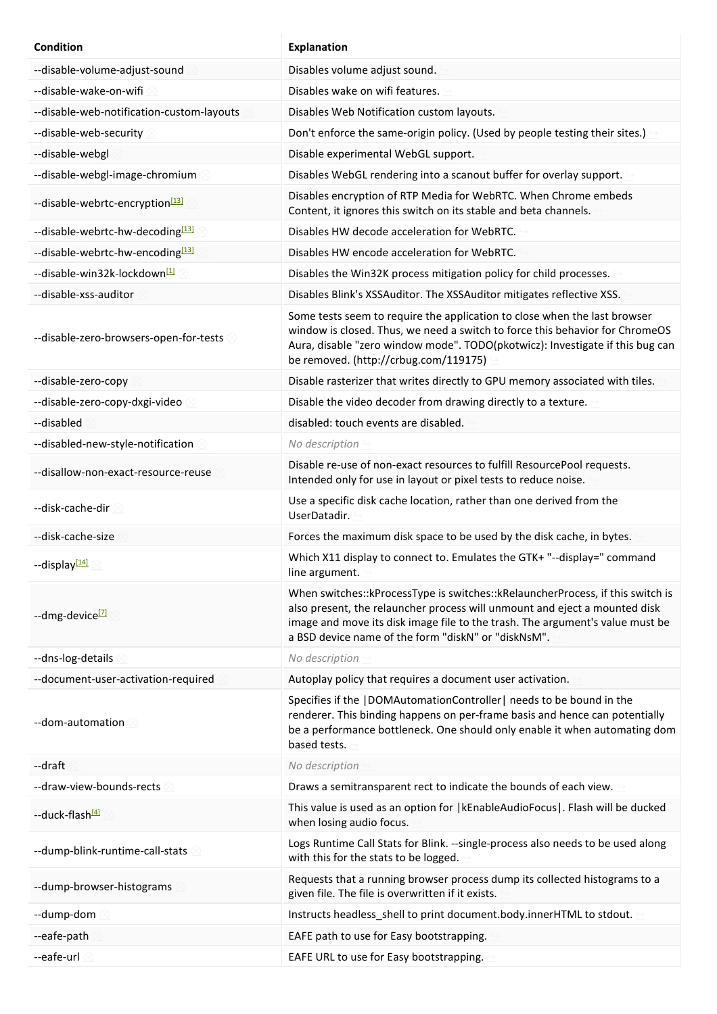| <b>Condition</b>                             | <b>Explanation</b>                                                                                                                                                                                                                                                                                     |
|----------------------------------------------|--------------------------------------------------------------------------------------------------------------------------------------------------------------------------------------------------------------------------------------------------------------------------------------------------------|
| --disable-volume-adjust-sound                | Disables volume adjust sound.                                                                                                                                                                                                                                                                          |
| --disable-wake-on-wifi                       | Disables wake on wifi features.                                                                                                                                                                                                                                                                        |
| --disable-web-notification-custom-layouts    | Disables Web Notification custom layouts.                                                                                                                                                                                                                                                              |
| --disable-web-security                       | Don't enforce the same-origin policy. (Used by people testing their sites.)                                                                                                                                                                                                                            |
| --disable-webgl                              | Disable experimental WebGL support.                                                                                                                                                                                                                                                                    |
| --disable-webgl-image-chromium               | Disables WebGL rendering into a scanout buffer for overlay support.                                                                                                                                                                                                                                    |
| --disable-webrtc-encryption <sup>[13]</sup>  | Disables encryption of RTP Media for WebRTC. When Chrome embeds<br>Content, it ignores this switch on its stable and beta channels.                                                                                                                                                                    |
| --disable-webrtc-hw-decoding[13]             | Disables HW decode acceleration for WebRTC.                                                                                                                                                                                                                                                            |
| --disable-webrtc-hw-encoding <sup>[13]</sup> | Disables HW encode acceleration for WebRTC.                                                                                                                                                                                                                                                            |
| --disable-win32k-lockdown <sup>[1]</sup>     | Disables the Win32K process mitigation policy for child processes.                                                                                                                                                                                                                                     |
| --disable-xss-auditor                        | Disables Blink's XSSAuditor. The XSSAuditor mitigates reflective XSS.                                                                                                                                                                                                                                  |
| --disable-zero-browsers-open-for-tests       | Some tests seem to require the application to close when the last browser<br>window is closed. Thus, we need a switch to force this behavior for ChromeOS<br>Aura, disable "zero window mode". TODO(pkotwicz): Investigate if this bug can<br>be removed. (http://crbug.com/119175)                    |
| --disable-zero-copy                          | Disable rasterizer that writes directly to GPU memory associated with tiles.                                                                                                                                                                                                                           |
| --disable-zero-copy-dxgi-video               | Disable the video decoder from drawing directly to a texture.                                                                                                                                                                                                                                          |
| --disabled                                   | disabled: touch events are disabled.                                                                                                                                                                                                                                                                   |
| --disabled-new-style-notification            | No description                                                                                                                                                                                                                                                                                         |
| --disallow-non-exact-resource-reuse          | Disable re-use of non-exact resources to fulfill ResourcePool requests.<br>Intended only for use in layout or pixel tests to reduce noise.                                                                                                                                                             |
| --disk-cache-dir<br>60                       | Use a specific disk cache location, rather than one derived from the<br>UserDatadir.                                                                                                                                                                                                                   |
| --disk-cache-size                            | Forces the maximum disk space to be used by the disk cache, in bytes.                                                                                                                                                                                                                                  |
| --display[14]                                | Which X11 display to connect to. Emulates the GTK+ "--display=" command<br>line argument.                                                                                                                                                                                                              |
| --dmg-device <sup>[7]</sup>                  | When switches:: kProcessType is switches:: kRelauncherProcess, if this switch is<br>also present, the relauncher process will unmount and eject a mounted disk<br>image and move its disk image file to the trash. The argument's value must be<br>a BSD device name of the form "diskN" or "diskNsM". |
| --dns-log-details                            | No description                                                                                                                                                                                                                                                                                         |
| --document-user-activation-required          | Autoplay policy that requires a document user activation.                                                                                                                                                                                                                                              |
| --dom-automation                             | Specifies if the  DOMAutomationController  needs to be bound in the<br>renderer. This binding happens on per-frame basis and hence can potentially<br>be a performance bottleneck. One should only enable it when automating dom<br>based tests.                                                       |
| --draft                                      | No description                                                                                                                                                                                                                                                                                         |
| --draw-view-bounds-rects                     | Draws a semitransparent rect to indicate the bounds of each view.                                                                                                                                                                                                                                      |
| --duck-flash <sup>[4]</sup>                  | This value is used as an option for   kEnableAudioFocus . Flash will be ducked<br>when losing audio focus.                                                                                                                                                                                             |
| --dump-blink-runtime-call-stats              | Logs Runtime Call Stats for Blink. --single-process also needs to be used along<br>with this for the stats to be logged.                                                                                                                                                                               |
| --dump-browser-histograms                    | Requests that a running browser process dump its collected histograms to a<br>given file. The file is overwritten if it exists.                                                                                                                                                                        |
| --dump-dom                                   | Instructs headless_shell to print document.body.innerHTML to stdout.                                                                                                                                                                                                                                   |
| --eafe-path                                  | EAFE path to use for Easy bootstrapping.                                                                                                                                                                                                                                                               |
| --eafe-url                                   | EAFE URL to use for Easy bootstrapping.                                                                                                                                                                                                                                                                |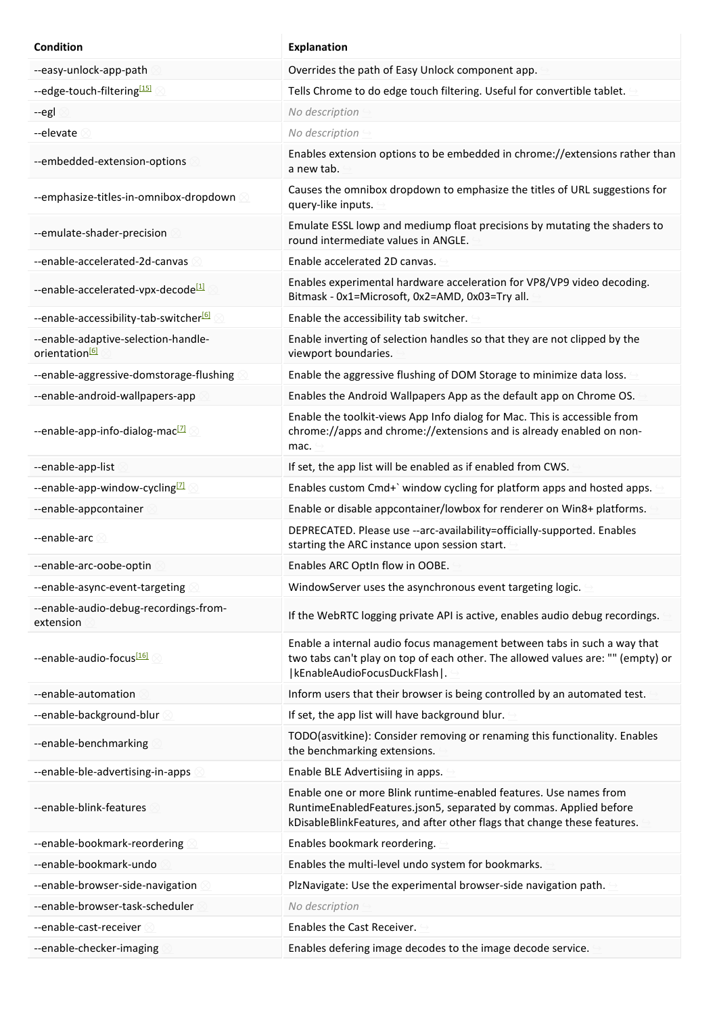| <b>Condition</b>                                                  | <b>Explanation</b>                                                                                                                                                                                                 |
|-------------------------------------------------------------------|--------------------------------------------------------------------------------------------------------------------------------------------------------------------------------------------------------------------|
| --easy-unlock-app-path                                            | Overrides the path of Easy Unlock component app.                                                                                                                                                                   |
| --edge-touch-filtering[15]                                        | Tells Chrome to do edge touch filtering. Useful for convertible tablet.                                                                                                                                            |
| --egl                                                             | No description                                                                                                                                                                                                     |
| --elevate                                                         | No description                                                                                                                                                                                                     |
| --embedded-extension-options                                      | Enables extension options to be embedded in chrome://extensions rather than<br>a new tab.                                                                                                                          |
| --emphasize-titles-in-omnibox-dropdown                            | Causes the omnibox dropdown to emphasize the titles of URL suggestions for<br>query-like inputs.                                                                                                                   |
| --emulate-shader-precision                                        | Emulate ESSL lowp and mediump float precisions by mutating the shaders to<br>round intermediate values in ANGLE.                                                                                                   |
| --enable-accelerated-2d-canvas                                    | Enable accelerated 2D canvas.                                                                                                                                                                                      |
| --enable-accelerated-vpx-decode <sup>[1]</sup>                    | Enables experimental hardware acceleration for VP8/VP9 video decoding.<br>Bitmask - 0x1=Microsoft, 0x2=AMD, 0x03=Try all.                                                                                          |
| --enable-accessibility-tab-switcher <sup>[6]</sup>                | Enable the accessibility tab switcher.                                                                                                                                                                             |
| --enable-adaptive-selection-handle-<br>orientation <sup>[6]</sup> | Enable inverting of selection handles so that they are not clipped by the<br>viewport boundaries.                                                                                                                  |
| --enable-aggressive-domstorage-flushing                           | Enable the aggressive flushing of DOM Storage to minimize data loss.                                                                                                                                               |
| --enable-android-wallpapers-app                                   | Enables the Android Wallpapers App as the default app on Chrome OS.                                                                                                                                                |
| --enable-app-info-dialog-mac <sup>[2]</sup>                       | Enable the toolkit-views App Info dialog for Mac. This is accessible from<br>chrome://apps and chrome://extensions and is already enabled on non-<br>mac.                                                          |
| --enable-app-list                                                 | If set, the app list will be enabled as if enabled from CWS.                                                                                                                                                       |
| --enable-app-window-cycling <sup>[7]</sup>                        | Enables custom Cmd+` window cycling for platform apps and hosted apps.                                                                                                                                             |
| --enable-appcontainer                                             | Enable or disable appcontainer/lowbox for renderer on Win8+ platforms.                                                                                                                                             |
| --enable-arc                                                      | DEPRECATED. Please use --arc-availability=officially-supported. Enables<br>starting the ARC instance upon session start.                                                                                           |
| --enable-arc-oobe-optin                                           | Enables ARC OptIn flow in OOBE.                                                                                                                                                                                    |
| --enable-async-event-targeting                                    | WindowServer uses the asynchronous event targeting logic.                                                                                                                                                          |
| --enable-audio-debug-recordings-from-<br>extension                | If the WebRTC logging private API is active, enables audio debug recordings.                                                                                                                                       |
| --enable-audio-focus <sup>[16]</sup>                              | Enable a internal audio focus management between tabs in such a way that<br>two tabs can't play on top of each other. The allowed values are: "" (empty) or<br> kEnableAudioFocusDuckFlash .                       |
| --enable-automation                                               | Inform users that their browser is being controlled by an automated test.                                                                                                                                          |
| --enable-background-blur                                          | If set, the app list will have background blur.                                                                                                                                                                    |
| --enable-benchmarking                                             | TODO(asvitkine): Consider removing or renaming this functionality. Enables<br>the benchmarking extensions.                                                                                                         |
| --enable-ble-advertising-in-apps                                  | Enable BLE Advertisiing in apps.                                                                                                                                                                                   |
| --enable-blink-features                                           | Enable one or more Blink runtime-enabled features. Use names from<br>RuntimeEnabledFeatures.json5, separated by commas. Applied before<br>kDisableBlinkFeatures, and after other flags that change these features. |
| --enable-bookmark-reordering                                      | Enables bookmark reordering.                                                                                                                                                                                       |
| --enable-bookmark-undo                                            | Enables the multi-level undo system for bookmarks.                                                                                                                                                                 |
| --enable-browser-side-navigation                                  | PlzNavigate: Use the experimental browser-side navigation path.                                                                                                                                                    |
| --enable-browser-task-scheduler                                   | No description                                                                                                                                                                                                     |
| --enable-cast-receiver                                            | Enables the Cast Receiver.                                                                                                                                                                                         |
| --enable-checker-imaging                                          | Enables defering image decodes to the image decode service.                                                                                                                                                        |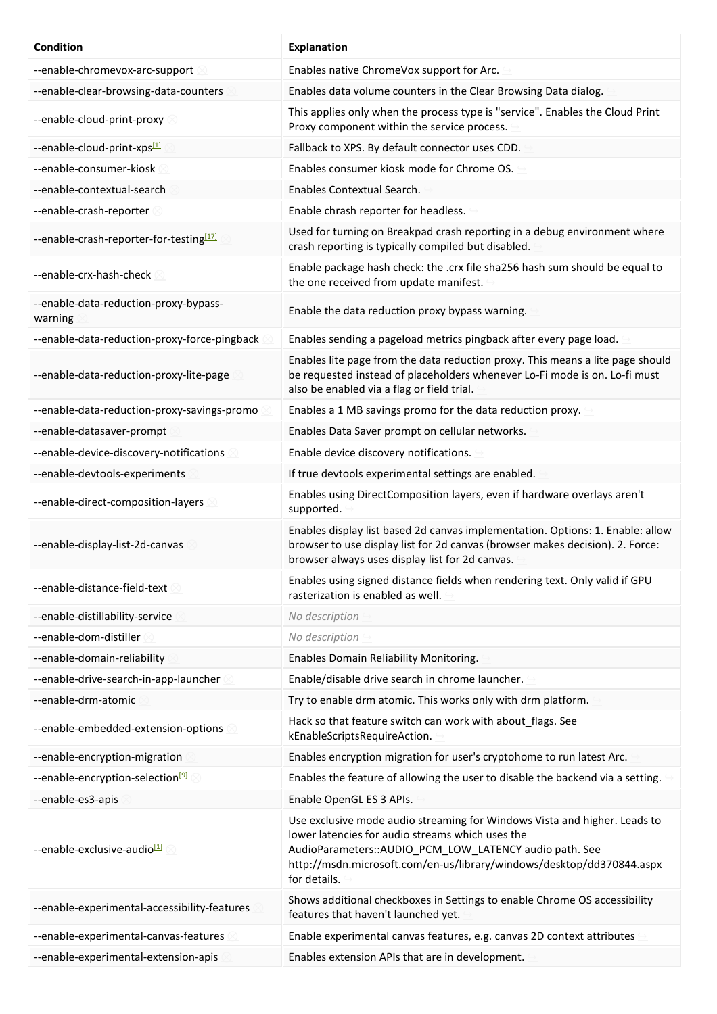| <b>Condition</b>                                 | <b>Explanation</b>                                                                                                                                                                                                                                                                |
|--------------------------------------------------|-----------------------------------------------------------------------------------------------------------------------------------------------------------------------------------------------------------------------------------------------------------------------------------|
| --enable-chromevox-arc-support                   | Enables native ChromeVox support for Arc.                                                                                                                                                                                                                                         |
| --enable-clear-browsing-data-counters            | Enables data volume counters in the Clear Browsing Data dialog.                                                                                                                                                                                                                   |
| --enable-cloud-print-proxy                       | This applies only when the process type is "service". Enables the Cloud Print<br>Proxy component within the service process.                                                                                                                                                      |
| --enable-cloud-print-xps[1]                      | Fallback to XPS. By default connector uses CDD.                                                                                                                                                                                                                                   |
| --enable-consumer-kiosk                          | Enables consumer kiosk mode for Chrome OS.                                                                                                                                                                                                                                        |
| --enable-contextual-search                       | Enables Contextual Search.                                                                                                                                                                                                                                                        |
| --enable-crash-reporter                          | Enable chrash reporter for headless.                                                                                                                                                                                                                                              |
| --enable-crash-reporter-for-testing[17]          | Used for turning on Breakpad crash reporting in a debug environment where<br>crash reporting is typically compiled but disabled.                                                                                                                                                  |
| --enable-crx-hash-check                          | Enable package hash check: the .crx file sha256 hash sum should be equal to<br>the one received from update manifest.                                                                                                                                                             |
| --enable-data-reduction-proxy-bypass-<br>warning | Enable the data reduction proxy bypass warning.                                                                                                                                                                                                                                   |
| --enable-data-reduction-proxy-force-pingback     | Enables sending a pageload metrics pingback after every page load.                                                                                                                                                                                                                |
| --enable-data-reduction-proxy-lite-page          | Enables lite page from the data reduction proxy. This means a lite page should<br>be requested instead of placeholders whenever Lo-Fi mode is on. Lo-fi must<br>also be enabled via a flag or field trial.                                                                        |
| --enable-data-reduction-proxy-savings-promo      | Enables a 1 MB savings promo for the data reduction proxy.                                                                                                                                                                                                                        |
| --enable-datasaver-prompt                        | Enables Data Saver prompt on cellular networks.                                                                                                                                                                                                                                   |
| --enable-device-discovery-notifications          | Enable device discovery notifications.                                                                                                                                                                                                                                            |
| --enable-devtools-experiments                    | If true devtools experimental settings are enabled.                                                                                                                                                                                                                               |
| --enable-direct-composition-layers               | Enables using DirectComposition layers, even if hardware overlays aren't<br>supported.                                                                                                                                                                                            |
| --enable-display-list-2d-canvas                  | Enables display list based 2d canvas implementation. Options: 1. Enable: allow<br>browser to use display list for 2d canvas (browser makes decision). 2. Force:<br>browser always uses display list for 2d canvas.                                                                |
| --enable-distance-field-text 8                   | Enables using signed distance fields when rendering text. Only valid if GPU<br>rasterization is enabled as well.                                                                                                                                                                  |
| --enable-distillability-service                  | No description                                                                                                                                                                                                                                                                    |
| --enable-dom-distiller                           | No description                                                                                                                                                                                                                                                                    |
| --enable-domain-reliability                      | Enables Domain Reliability Monitoring.                                                                                                                                                                                                                                            |
| --enable-drive-search-in-app-launcher            | Enable/disable drive search in chrome launcher.                                                                                                                                                                                                                                   |
| --enable-drm-atomic                              | Try to enable drm atomic. This works only with drm platform.                                                                                                                                                                                                                      |
| --enable-embedded-extension-options              | Hack so that feature switch can work with about_flags. See<br>kEnableScriptsRequireAction.                                                                                                                                                                                        |
| --enable-encryption-migration                    | Enables encryption migration for user's cryptohome to run latest Arc.                                                                                                                                                                                                             |
| --enable-encryption-selection <sup>[9]</sup>     | Enables the feature of allowing the user to disable the backend via a setting.                                                                                                                                                                                                    |
| --enable-es3-apis                                | Enable OpenGL ES 3 APIs.                                                                                                                                                                                                                                                          |
| --enable-exclusive-audio <sup>[1]</sup>          | Use exclusive mode audio streaming for Windows Vista and higher. Leads to<br>lower latencies for audio streams which uses the<br>AudioParameters:: AUDIO_PCM_LOW_LATENCY audio path. See<br>http://msdn.microsoft.com/en-us/library/windows/desktop/dd370844.aspx<br>for details. |
| --enable-experimental-accessibility-features     | Shows additional checkboxes in Settings to enable Chrome OS accessibility<br>features that haven't launched yet.                                                                                                                                                                  |
| --enable-experimental-canvas-features            | Enable experimental canvas features, e.g. canvas 2D context attributes                                                                                                                                                                                                            |
| --enable-experimental-extension-apis             | Enables extension APIs that are in development.                                                                                                                                                                                                                                   |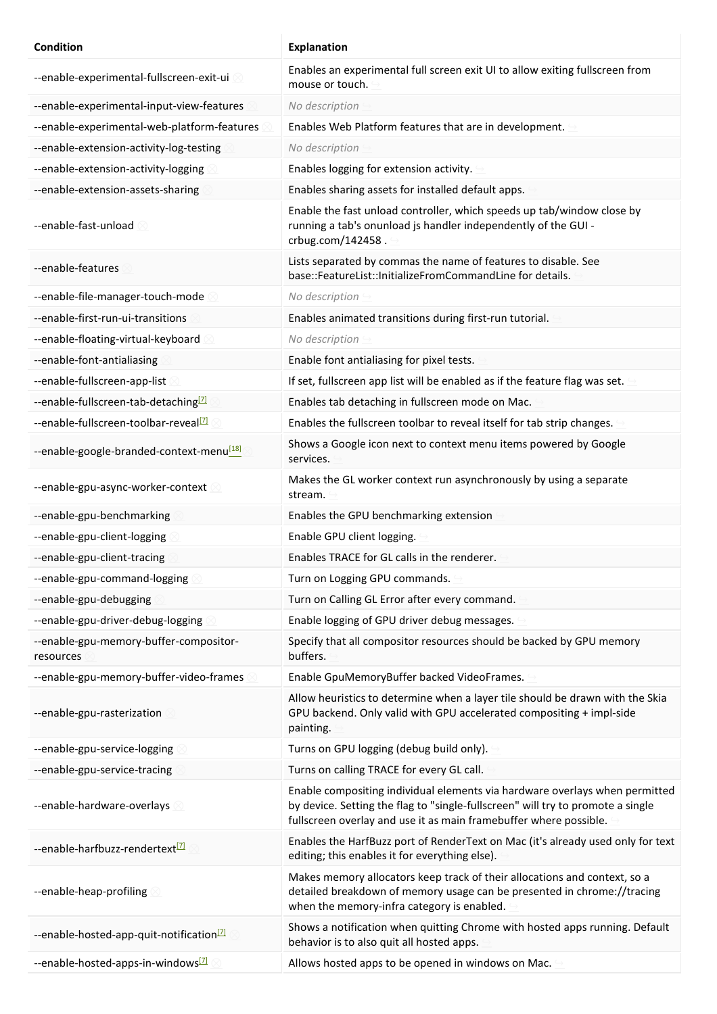| <b>Condition</b>                                     | <b>Explanation</b>                                                                                                                                                                                                                  |
|------------------------------------------------------|-------------------------------------------------------------------------------------------------------------------------------------------------------------------------------------------------------------------------------------|
| --enable-experimental-fullscreen-exit-ui             | Enables an experimental full screen exit UI to allow exiting fullscreen from<br>mouse or touch.                                                                                                                                     |
| --enable-experimental-input-view-features            | No description                                                                                                                                                                                                                      |
| --enable-experimental-web-platform-features          | Enables Web Platform features that are in development.                                                                                                                                                                              |
| --enable-extension-activity-log-testing              | No description                                                                                                                                                                                                                      |
| --enable-extension-activity-logging                  | Enables logging for extension activity.                                                                                                                                                                                             |
| --enable-extension-assets-sharing                    | Enables sharing assets for installed default apps.                                                                                                                                                                                  |
| --enable-fast-unload                                 | Enable the fast unload controller, which speeds up tab/window close by<br>running a tab's onunload js handler independently of the GUI -<br>crbug.com/142458.                                                                       |
| --enable-features                                    | Lists separated by commas the name of features to disable. See<br>base::FeatureList::InitializeFromCommandLine for details.                                                                                                         |
| --enable-file-manager-touch-mode                     | No description                                                                                                                                                                                                                      |
| --enable-first-run-ui-transitions                    | Enables animated transitions during first-run tutorial.                                                                                                                                                                             |
| --enable-floating-virtual-keyboard                   | No description                                                                                                                                                                                                                      |
| --enable-font-antialiasing                           | Enable font antialiasing for pixel tests.                                                                                                                                                                                           |
| --enable-fullscreen-app-list                         | If set, fullscreen app list will be enabled as if the feature flag was set.                                                                                                                                                         |
| --enable-fullscreen-tab-detaching <sup>[7]</sup>     | Enables tab detaching in fullscreen mode on Mac.                                                                                                                                                                                    |
| --enable-fullscreen-toolbar-reveal <sup>[7]</sup>    | Enables the fullscreen toolbar to reveal itself for tab strip changes.                                                                                                                                                              |
| --enable-google-branded-context-menu <sup>[18]</sup> | Shows a Google icon next to context menu items powered by Google<br>services.                                                                                                                                                       |
| --enable-gpu-async-worker-context                    | Makes the GL worker context run asynchronously by using a separate<br>stream.                                                                                                                                                       |
| --enable-gpu-benchmarking                            | Enables the GPU benchmarking extension                                                                                                                                                                                              |
| --enable-gpu-client-logging                          | Enable GPU client logging.                                                                                                                                                                                                          |
| --enable-gpu-client-tracing                          | Enables TRACE for GL calls in the renderer.                                                                                                                                                                                         |
| --enable-gpu-command-logging                         | Turn on Logging GPU commands.                                                                                                                                                                                                       |
| --enable-gpu-debugging                               | Turn on Calling GL Error after every command.                                                                                                                                                                                       |
| --enable-gpu-driver-debug-logging                    | Enable logging of GPU driver debug messages.                                                                                                                                                                                        |
| --enable-gpu-memory-buffer-compositor-<br>resources  | Specify that all compositor resources should be backed by GPU memory<br>buffers.                                                                                                                                                    |
| --enable-gpu-memory-buffer-video-frames              | Enable GpuMemoryBuffer backed VideoFrames.                                                                                                                                                                                          |
| --enable-gpu-rasterization                           | Allow heuristics to determine when a layer tile should be drawn with the Skia<br>GPU backend. Only valid with GPU accelerated compositing + impl-side<br>painting.                                                                  |
| --enable-gpu-service-logging                         | Turns on GPU logging (debug build only).                                                                                                                                                                                            |
| --enable-gpu-service-tracing                         | Turns on calling TRACE for every GL call.                                                                                                                                                                                           |
| --enable-hardware-overlays                           | Enable compositing individual elements via hardware overlays when permitted<br>by device. Setting the flag to "single-fullscreen" will try to promote a single<br>fullscreen overlay and use it as main framebuffer where possible. |
| --enable-harfbuzz-rendertext <sup>[7]</sup>          | Enables the HarfBuzz port of RenderText on Mac (it's already used only for text<br>editing; this enables it for everything else).                                                                                                   |
| --enable-heap-profiling                              | Makes memory allocators keep track of their allocations and context, so a<br>detailed breakdown of memory usage can be presented in chrome://tracing<br>when the memory-infra category is enabled.                                  |
| --enable-hosted-app-quit-notification <sup>[7]</sup> | Shows a notification when quitting Chrome with hosted apps running. Default<br>behavior is to also quit all hosted apps.                                                                                                            |
| --enable-hosted-apps-in-windows <sup>[7]</sup>       | Allows hosted apps to be opened in windows on Mac.                                                                                                                                                                                  |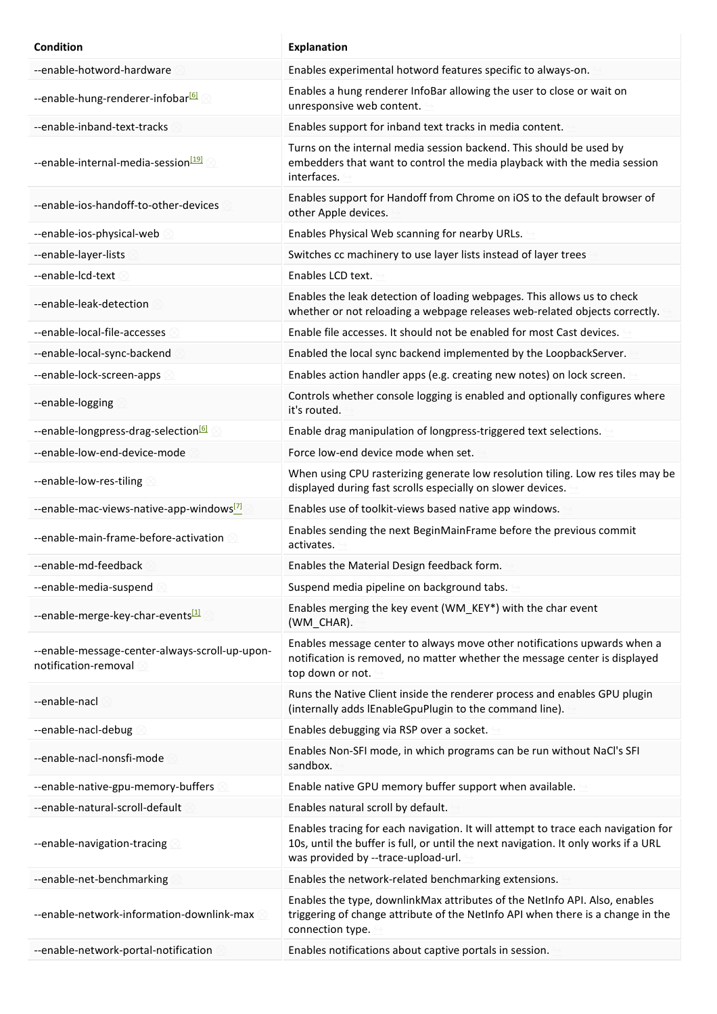| Condition                                                              | <b>Explanation</b>                                                                                                                                                                                              |
|------------------------------------------------------------------------|-----------------------------------------------------------------------------------------------------------------------------------------------------------------------------------------------------------------|
| --enable-hotword-hardware                                              | Enables experimental hotword features specific to always-on.                                                                                                                                                    |
| --enable-hung-renderer-infobar <sup>161</sup>                          | Enables a hung renderer InfoBar allowing the user to close or wait on<br>unresponsive web content.                                                                                                              |
| --enable-inband-text-tracks                                            | Enables support for inband text tracks in media content.                                                                                                                                                        |
| --enable-internal-media-session <sup>[19]</sup>                        | Turns on the internal media session backend. This should be used by<br>embedders that want to control the media playback with the media session<br>interfaces.                                                  |
| --enable-ios-handoff-to-other-devices                                  | Enables support for Handoff from Chrome on iOS to the default browser of<br>other Apple devices.                                                                                                                |
| --enable-ios-physical-web                                              | Enables Physical Web scanning for nearby URLs.                                                                                                                                                                  |
| --enable-layer-lists                                                   | Switches cc machinery to use layer lists instead of layer trees                                                                                                                                                 |
| --enable-lcd-text                                                      | Enables LCD text.                                                                                                                                                                                               |
| --enable-leak-detection                                                | Enables the leak detection of loading webpages. This allows us to check<br>whether or not reloading a webpage releases web-related objects correctly.                                                           |
| --enable-local-file-accesses                                           | Enable file accesses. It should not be enabled for most Cast devices.                                                                                                                                           |
| --enable-local-sync-backend                                            | Enabled the local sync backend implemented by the LoopbackServer.                                                                                                                                               |
| --enable-lock-screen-apps                                              | Enables action handler apps (e.g. creating new notes) on lock screen.                                                                                                                                           |
| --enable-logging                                                       | Controls whether console logging is enabled and optionally configures where<br>it's routed.                                                                                                                     |
| --enable-longpress-drag-selection <sup>161</sup>                       | Enable drag manipulation of longpress-triggered text selections.                                                                                                                                                |
| --enable-low-end-device-mode                                           | Force low-end device mode when set.                                                                                                                                                                             |
| --enable-low-res-tiling                                                | When using CPU rasterizing generate low resolution tiling. Low res tiles may be<br>displayed during fast scrolls especially on slower devices.                                                                  |
| --enable-mac-views-native-app-windows <sup>[7]</sup>                   | Enables use of toolkit-views based native app windows.                                                                                                                                                          |
| --enable-main-frame-before-activation                                  | Enables sending the next BeginMainFrame before the previous commit<br>activates.                                                                                                                                |
| --enable-md-feedback                                                   | Enables the Material Design feedback form.                                                                                                                                                                      |
| --enable-media-suspend                                                 | Suspend media pipeline on background tabs.                                                                                                                                                                      |
| --enable-merge-key-char-events[1]                                      | Enables merging the key event (WM KEY*) with the char event<br>(WM CHAR).                                                                                                                                       |
| --enable-message-center-always-scroll-up-upon-<br>notification-removal | Enables message center to always move other notifications upwards when a<br>notification is removed, no matter whether the message center is displayed<br>top down or not.                                      |
| --enable-nacl                                                          | Runs the Native Client inside the renderer process and enables GPU plugin<br>(internally adds IEnableGpuPlugin to the command line).                                                                            |
| --enable-nacl-debug                                                    | Enables debugging via RSP over a socket.                                                                                                                                                                        |
| --enable-nacl-nonsfi-mode                                              | Enables Non-SFI mode, in which programs can be run without NaCl's SFI<br>sandbox.                                                                                                                               |
| --enable-native-gpu-memory-buffers                                     | Enable native GPU memory buffer support when available.                                                                                                                                                         |
| --enable-natural-scroll-default                                        | Enables natural scroll by default.                                                                                                                                                                              |
| --enable-navigation-tracing                                            | Enables tracing for each navigation. It will attempt to trace each navigation for<br>10s, until the buffer is full, or until the next navigation. It only works if a URL<br>was provided by --trace-upload-url. |
| --enable-net-benchmarking                                              | Enables the network-related benchmarking extensions.                                                                                                                                                            |
| --enable-network-information-downlink-max                              | Enables the type, downlinkMax attributes of the NetInfo API. Also, enables<br>triggering of change attribute of the NetInfo API when there is a change in the<br>connection type.                               |
| --enable-network-portal-notification                                   | Enables notifications about captive portals in session.                                                                                                                                                         |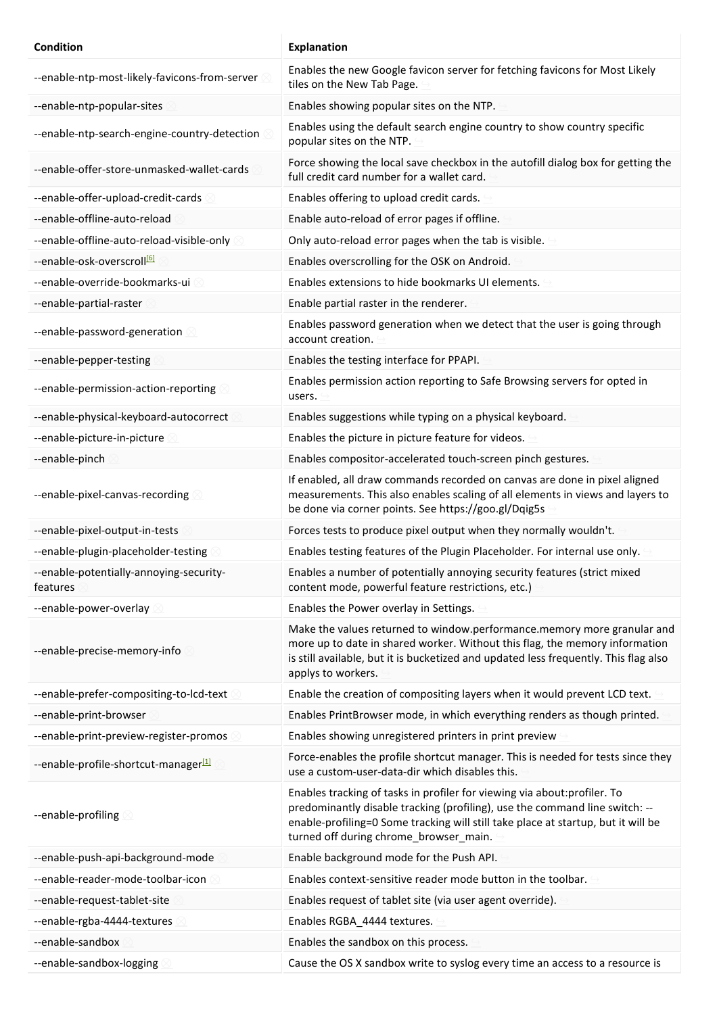| <b>Condition</b>                                    | <b>Explanation</b>                                                                                                                                                                                                                                                                      |
|-----------------------------------------------------|-----------------------------------------------------------------------------------------------------------------------------------------------------------------------------------------------------------------------------------------------------------------------------------------|
| --enable-ntp-most-likely-favicons-from-server       | Enables the new Google favicon server for fetching favicons for Most Likely<br>tiles on the New Tab Page.                                                                                                                                                                               |
| --enable-ntp-popular-sites                          | Enables showing popular sites on the NTP.                                                                                                                                                                                                                                               |
| --enable-ntp-search-engine-country-detection        | Enables using the default search engine country to show country specific<br>popular sites on the NTP.                                                                                                                                                                                   |
| --enable-offer-store-unmasked-wallet-cards          | Force showing the local save checkbox in the autofill dialog box for getting the<br>full credit card number for a wallet card.                                                                                                                                                          |
| --enable-offer-upload-credit-cards                  | Enables offering to upload credit cards.                                                                                                                                                                                                                                                |
| --enable-offline-auto-reload                        | Enable auto-reload of error pages if offline.                                                                                                                                                                                                                                           |
| --enable-offline-auto-reload-visible-only           | Only auto-reload error pages when the tab is visible.                                                                                                                                                                                                                                   |
| --enable-osk-overscroll <sup>[6]</sup>              | Enables overscrolling for the OSK on Android.                                                                                                                                                                                                                                           |
| --enable-override-bookmarks-ui                      | Enables extensions to hide bookmarks UI elements.                                                                                                                                                                                                                                       |
| --enable-partial-raster                             | Enable partial raster in the renderer.                                                                                                                                                                                                                                                  |
| --enable-password-generation 8                      | Enables password generation when we detect that the user is going through<br>account creation.                                                                                                                                                                                          |
| --enable-pepper-testing                             | Enables the testing interface for PPAPI.                                                                                                                                                                                                                                                |
| --enable-permission-action-reporting                | Enables permission action reporting to Safe Browsing servers for opted in<br>users.                                                                                                                                                                                                     |
| --enable-physical-keyboard-autocorrect              | Enables suggestions while typing on a physical keyboard.                                                                                                                                                                                                                                |
| --enable-picture-in-picture                         | Enables the picture in picture feature for videos.                                                                                                                                                                                                                                      |
| --enable-pinch                                      | Enables compositor-accelerated touch-screen pinch gestures.                                                                                                                                                                                                                             |
| --enable-pixel-canvas-recording                     | If enabled, all draw commands recorded on canvas are done in pixel aligned<br>measurements. This also enables scaling of all elements in views and layers to<br>be done via corner points. See https://goo.gl/Dqig5s                                                                    |
| --enable-pixel-output-in-tests                      | Forces tests to produce pixel output when they normally wouldn't.                                                                                                                                                                                                                       |
| --enable-plugin-placeholder-testing                 | Enables testing features of the Plugin Placeholder. For internal use only.                                                                                                                                                                                                              |
| --enable-potentially-annoying-security-<br>features | Enables a number of potentially annoying security features (strict mixed<br>content mode, powerful feature restrictions, etc.)                                                                                                                                                          |
| --enable-power-overlay                              | Enables the Power overlay in Settings.                                                                                                                                                                                                                                                  |
| --enable-precise-memory-info                        | Make the values returned to window.performance.memory more granular and<br>more up to date in shared worker. Without this flag, the memory information<br>is still available, but it is bucketized and updated less frequently. This flag also<br>applys to workers.                    |
| --enable-prefer-compositing-to-lcd-text             | Enable the creation of compositing layers when it would prevent LCD text.                                                                                                                                                                                                               |
| --enable-print-browser                              | Enables PrintBrowser mode, in which everything renders as though printed.                                                                                                                                                                                                               |
| --enable-print-preview-register-promos              | Enables showing unregistered printers in print preview                                                                                                                                                                                                                                  |
| --enable-profile-shortcut-manager <sup>[1]</sup>    | Force-enables the profile shortcut manager. This is needed for tests since they<br>use a custom-user-data-dir which disables this.                                                                                                                                                      |
| --enable-profiling                                  | Enables tracking of tasks in profiler for viewing via about: profiler. To<br>predominantly disable tracking (profiling), use the command line switch: --<br>enable-profiling=0 Some tracking will still take place at startup, but it will be<br>turned off during chrome_browser_main. |
| --enable-push-api-background-mode                   | Enable background mode for the Push API.                                                                                                                                                                                                                                                |
| --enable-reader-mode-toolbar-icon                   | Enables context-sensitive reader mode button in the toolbar.                                                                                                                                                                                                                            |
| --enable-request-tablet-site                        | Enables request of tablet site (via user agent override).                                                                                                                                                                                                                               |
| --enable-rgba-4444-textures                         | Enables RGBA_4444 textures.                                                                                                                                                                                                                                                             |
| --enable-sandbox                                    | Enables the sandbox on this process.                                                                                                                                                                                                                                                    |
| --enable-sandbox-logging                            | Cause the OS X sandbox write to syslog every time an access to a resource is                                                                                                                                                                                                            |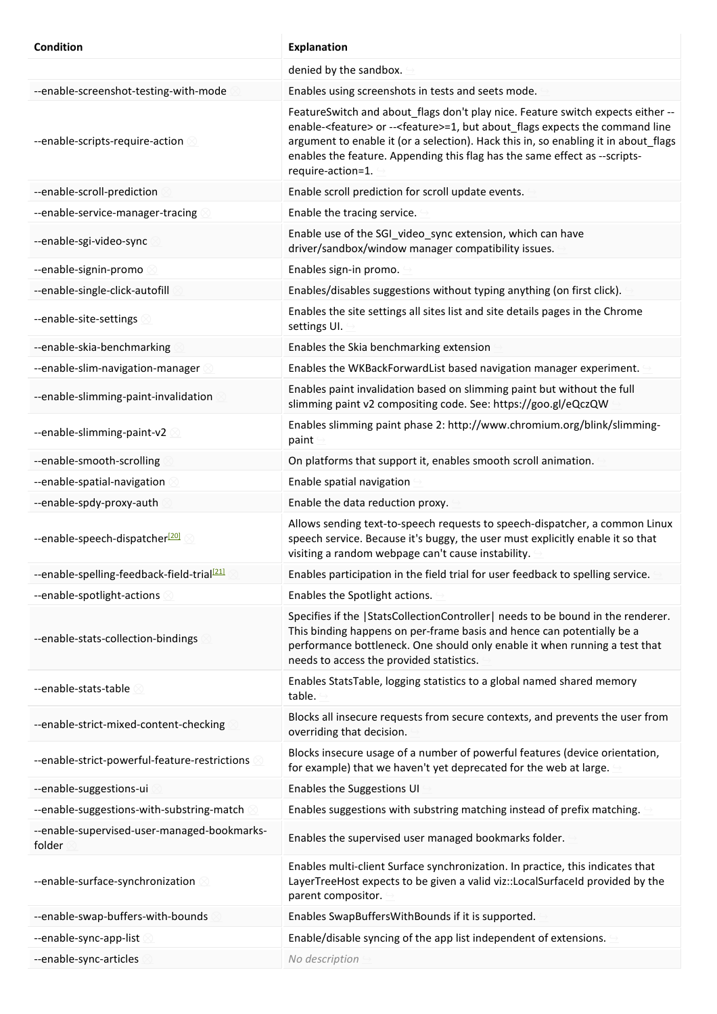| <b>Condition</b>                                       | <b>Explanation</b>                                                                                                                                                                                                                                                                                                                                                               |
|--------------------------------------------------------|----------------------------------------------------------------------------------------------------------------------------------------------------------------------------------------------------------------------------------------------------------------------------------------------------------------------------------------------------------------------------------|
|                                                        | denied by the sandbox.                                                                                                                                                                                                                                                                                                                                                           |
| --enable-screenshot-testing-with-mode                  | Enables using screenshots in tests and seets mode.                                                                                                                                                                                                                                                                                                                               |
| --enable-scripts-require-action                        | FeatureSwitch and about_flags don't play nice. Feature switch expects either --<br>enable- <feature> or --<feature>=1, but about_flags expects the command line<br/>argument to enable it (or a selection). Hack this in, so enabling it in about_flags<br/>enables the feature. Appending this flag has the same effect as --scripts-<br/>require-action=1.</feature></feature> |
| --enable-scroll-prediction                             | Enable scroll prediction for scroll update events.                                                                                                                                                                                                                                                                                                                               |
| --enable-service-manager-tracing                       | Enable the tracing service.                                                                                                                                                                                                                                                                                                                                                      |
| --enable-sgi-video-sync                                | Enable use of the SGI_video_sync extension, which can have<br>driver/sandbox/window manager compatibility issues.                                                                                                                                                                                                                                                                |
| --enable-signin-promo                                  | Enables sign-in promo.                                                                                                                                                                                                                                                                                                                                                           |
| --enable-single-click-autofill                         | Enables/disables suggestions without typing anything (on first click).                                                                                                                                                                                                                                                                                                           |
| --enable-site-settings                                 | Enables the site settings all sites list and site details pages in the Chrome<br>settings UI.                                                                                                                                                                                                                                                                                    |
| --enable-skia-benchmarking                             | Enables the Skia benchmarking extension                                                                                                                                                                                                                                                                                                                                          |
| --enable-slim-navigation-manager                       | Enables the WKBackForwardList based navigation manager experiment.                                                                                                                                                                                                                                                                                                               |
| --enable-slimming-paint-invalidation                   | Enables paint invalidation based on slimming paint but without the full<br>slimming paint v2 compositing code. See: https://goo.gl/eQczQW                                                                                                                                                                                                                                        |
| --enable-slimming-paint-v2                             | Enables slimming paint phase 2: http://www.chromium.org/blink/slimming-<br>paint                                                                                                                                                                                                                                                                                                 |
| --enable-smooth-scrolling                              | On platforms that support it, enables smooth scroll animation.                                                                                                                                                                                                                                                                                                                   |
| --enable-spatial-navigation                            | Enable spatial navigation                                                                                                                                                                                                                                                                                                                                                        |
| --enable-spdy-proxy-auth                               | Enable the data reduction proxy.                                                                                                                                                                                                                                                                                                                                                 |
| --enable-speech-dispatcher <sup>[20]</sup>             | Allows sending text-to-speech requests to speech-dispatcher, a common Linux<br>speech service. Because it's buggy, the user must explicitly enable it so that<br>visiting a random webpage can't cause instability.                                                                                                                                                              |
| --enable-spelling-feedback-field-trial <sup>[21]</sup> | Enables participation in the field trial for user feedback to spelling service.                                                                                                                                                                                                                                                                                                  |
| --enable-spotlight-actions                             | Enables the Spotlight actions.                                                                                                                                                                                                                                                                                                                                                   |
| --enable-stats-collection-bindings                     | Specifies if the  StatsCollectionController  needs to be bound in the renderer.<br>This binding happens on per-frame basis and hence can potentially be a<br>performance bottleneck. One should only enable it when running a test that<br>needs to access the provided statistics.                                                                                              |
| --enable-stats-table                                   | Enables StatsTable, logging statistics to a global named shared memory<br>table.                                                                                                                                                                                                                                                                                                 |
| --enable-strict-mixed-content-checking                 | Blocks all insecure requests from secure contexts, and prevents the user from<br>overriding that decision.                                                                                                                                                                                                                                                                       |
| --enable-strict-powerful-feature-restrictions          | Blocks insecure usage of a number of powerful features (device orientation,<br>for example) that we haven't yet deprecated for the web at large.                                                                                                                                                                                                                                 |
| --enable-suggestions-ui                                | Enables the Suggestions UI                                                                                                                                                                                                                                                                                                                                                       |
| --enable-suggestions-with-substring-match              | Enables suggestions with substring matching instead of prefix matching.                                                                                                                                                                                                                                                                                                          |
| --enable-supervised-user-managed-bookmarks-<br>folder  | Enables the supervised user managed bookmarks folder.                                                                                                                                                                                                                                                                                                                            |
| --enable-surface-synchronization                       | Enables multi-client Surface synchronization. In practice, this indicates that<br>LayerTreeHost expects to be given a valid viz::LocalSurfaceId provided by the<br>parent compositor.                                                                                                                                                                                            |
| --enable-swap-buffers-with-bounds                      | Enables SwapBuffersWithBounds if it is supported.                                                                                                                                                                                                                                                                                                                                |
| --enable-sync-app-list                                 | Enable/disable syncing of the app list independent of extensions.                                                                                                                                                                                                                                                                                                                |
| --enable-sync-articles                                 | No description                                                                                                                                                                                                                                                                                                                                                                   |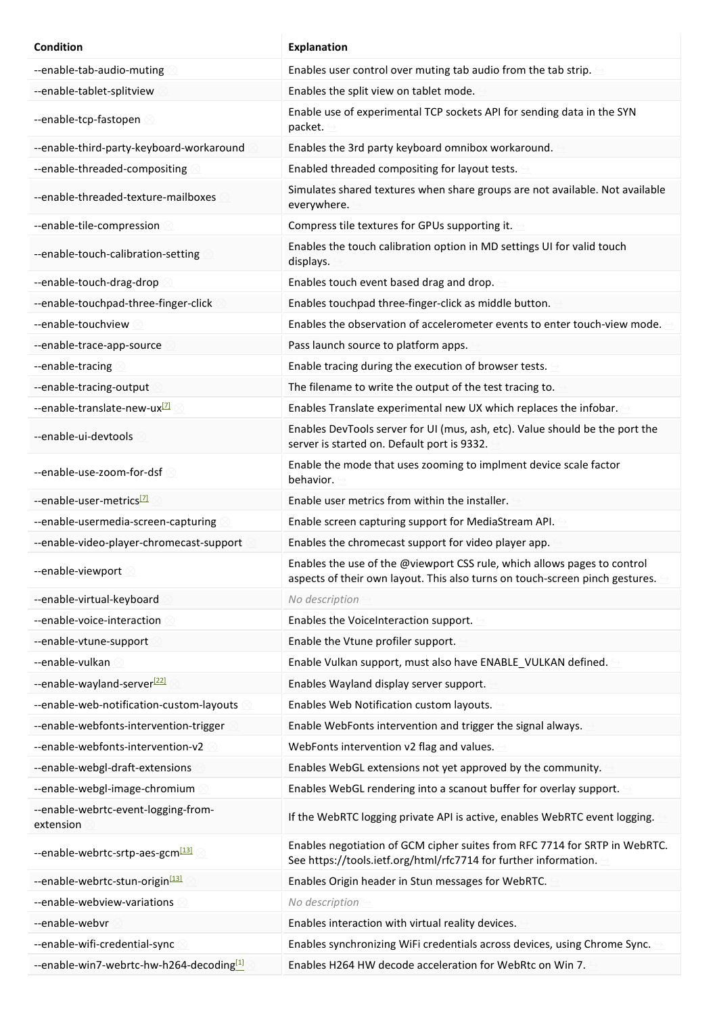| <b>Condition</b>                                     | <b>Explanation</b>                                                                                                                                       |
|------------------------------------------------------|----------------------------------------------------------------------------------------------------------------------------------------------------------|
| --enable-tab-audio-muting                            | Enables user control over muting tab audio from the tab strip.                                                                                           |
| --enable-tablet-splitview                            | Enables the split view on tablet mode.                                                                                                                   |
| --enable-tcp-fastopen                                | Enable use of experimental TCP sockets API for sending data in the SYN<br>packet.                                                                        |
| --enable-third-party-keyboard-workaround             | Enables the 3rd party keyboard omnibox workaround.                                                                                                       |
| --enable-threaded-compositing                        | Enabled threaded compositing for layout tests.                                                                                                           |
| --enable-threaded-texture-mailboxes                  | Simulates shared textures when share groups are not available. Not available<br>everywhere.                                                              |
| --enable-tile-compression                            | Compress tile textures for GPUs supporting it.                                                                                                           |
| --enable-touch-calibration-setting                   | Enables the touch calibration option in MD settings UI for valid touch<br>displays.                                                                      |
| --enable-touch-drag-drop                             | Enables touch event based drag and drop.                                                                                                                 |
| --enable-touchpad-three-finger-click                 | Enables touchpad three-finger-click as middle button.                                                                                                    |
| --enable-touchview                                   | Enables the observation of accelerometer events to enter touch-view mode.                                                                                |
| --enable-trace-app-source                            | Pass launch source to platform apps.                                                                                                                     |
| --enable-tracing                                     | Enable tracing during the execution of browser tests.                                                                                                    |
| --enable-tracing-output                              | The filename to write the output of the test tracing to.                                                                                                 |
| --enable-translate-new-ux <sup>[7]</sup>             | Enables Translate experimental new UX which replaces the infobar.                                                                                        |
| --enable-ui-devtools                                 | Enables DevTools server for UI (mus, ash, etc). Value should be the port the<br>server is started on. Default port is 9332.                              |
| --enable-use-zoom-for-dsf                            | Enable the mode that uses zooming to implment device scale factor<br>behavior.                                                                           |
| --enable-user-metrics <sup>[7]</sup>                 | Enable user metrics from within the installer.                                                                                                           |
| --enable-usermedia-screen-capturing                  | Enable screen capturing support for MediaStream API.                                                                                                     |
| --enable-video-player-chromecast-support             | Enables the chromecast support for video player app.                                                                                                     |
| -enable-viewport $\otimes$                           | Enables the use of the @viewport CSS rule, which allows pages to control<br>aspects of their own layout. This also turns on touch-screen pinch gestures. |
| --enable-virtual-keyboard                            | No description                                                                                                                                           |
| --enable-voice-interaction                           | Enables the VoiceInteraction support.                                                                                                                    |
| --enable-vtune-support                               | Enable the Vtune profiler support.                                                                                                                       |
| --enable-vulkan                                      | Enable Vulkan support, must also have ENABLE_VULKAN defined.                                                                                             |
| --enable-wayland-server <sup>[22]</sup>              | Enables Wayland display server support.                                                                                                                  |
| --enable-web-notification-custom-layouts             | Enables Web Notification custom layouts.                                                                                                                 |
| --enable-webfonts-intervention-trigger               | Enable WebFonts intervention and trigger the signal always.                                                                                              |
| --enable-webfonts-intervention-v2                    | WebFonts intervention v2 flag and values.                                                                                                                |
| --enable-webgl-draft-extensions                      | Enables WebGL extensions not yet approved by the community.                                                                                              |
| --enable-webgl-image-chromium                        | Enables WebGL rendering into a scanout buffer for overlay support.                                                                                       |
| --enable-webrtc-event-logging-from-<br>extension     | If the WebRTC logging private API is active, enables WebRTC event logging.                                                                               |
| --enable-webrtc-srtp-aes-gcm <sup>[13]</sup>         | Enables negotiation of GCM cipher suites from RFC 7714 for SRTP in WebRTC.<br>See https://tools.ietf.org/html/rfc7714 for further information.           |
| --enable-webrtc-stun-origin <sup>[13]</sup>          | Enables Origin header in Stun messages for WebRTC.                                                                                                       |
| --enable-webview-variations                          | No description                                                                                                                                           |
| --enable-webvr                                       | Enables interaction with virtual reality devices.                                                                                                        |
| --enable-wifi-credential-sync                        | Enables synchronizing WiFi credentials across devices, using Chrome Sync.                                                                                |
| --enable-win7-webrtc-hw-h264-decoding <sup>[1]</sup> | Enables H264 HW decode acceleration for WebRtc on Win 7.                                                                                                 |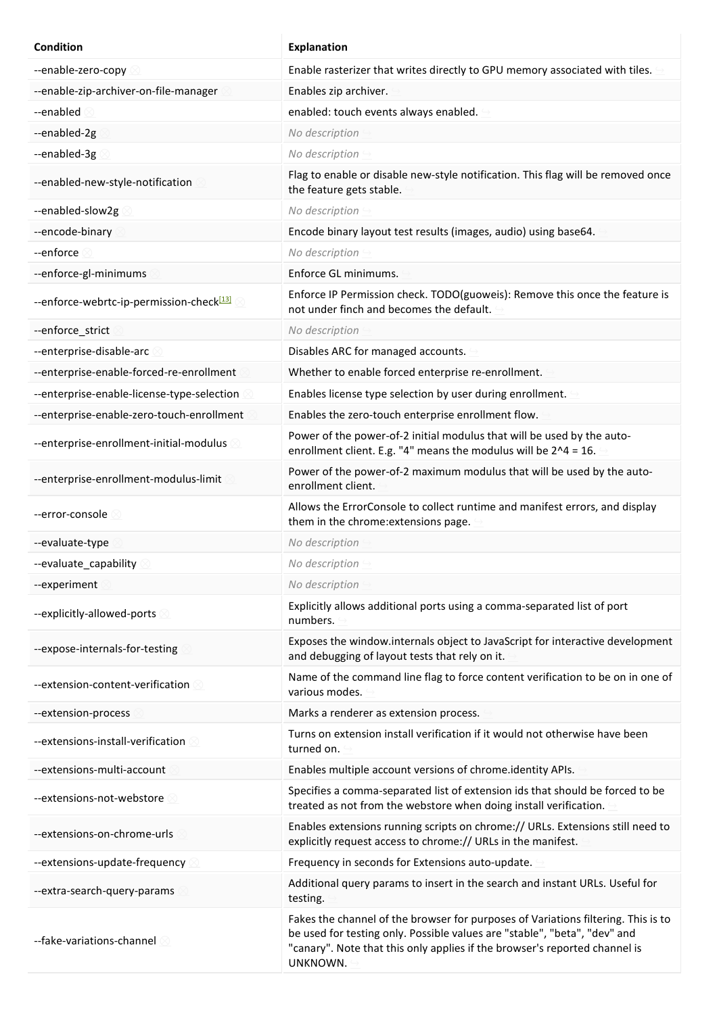| <b>Condition</b>                                     | <b>Explanation</b>                                                                                                                                                                                                                                       |
|------------------------------------------------------|----------------------------------------------------------------------------------------------------------------------------------------------------------------------------------------------------------------------------------------------------------|
| --enable-zero-copy                                   | Enable rasterizer that writes directly to GPU memory associated with tiles.                                                                                                                                                                              |
| --enable-zip-archiver-on-file-manager                | Enables zip archiver.                                                                                                                                                                                                                                    |
| --enabled                                            | enabled: touch events always enabled.                                                                                                                                                                                                                    |
| --enabled-2g                                         | No description                                                                                                                                                                                                                                           |
| --enabled-3g                                         | No description                                                                                                                                                                                                                                           |
| --enabled-new-style-notification                     | Flag to enable or disable new-style notification. This flag will be removed once<br>the feature gets stable.                                                                                                                                             |
| --enabled-slow2g                                     | No description                                                                                                                                                                                                                                           |
| --encode-binary                                      | Encode binary layout test results (images, audio) using base64.                                                                                                                                                                                          |
| --enforce                                            | No description                                                                                                                                                                                                                                           |
| --enforce-gl-minimums                                | Enforce GL minimums.                                                                                                                                                                                                                                     |
| --enforce-webrtc-ip-permission-check <sup>[13]</sup> | Enforce IP Permission check. TODO(guoweis): Remove this once the feature is<br>not under finch and becomes the default.                                                                                                                                  |
| --enforce_strict                                     | No description                                                                                                                                                                                                                                           |
| --enterprise-disable-arc                             | Disables ARC for managed accounts.                                                                                                                                                                                                                       |
| --enterprise-enable-forced-re-enrollment             | Whether to enable forced enterprise re-enrollment.                                                                                                                                                                                                       |
| --enterprise-enable-license-type-selection           | Enables license type selection by user during enrollment.                                                                                                                                                                                                |
| --enterprise-enable-zero-touch-enrollment            | Enables the zero-touch enterprise enrollment flow.                                                                                                                                                                                                       |
| --enterprise-enrollment-initial-modulus              | Power of the power-of-2 initial modulus that will be used by the auto-<br>enrollment client. E.g. "4" means the modulus will be $2^2 - 16$ .                                                                                                             |
| --enterprise-enrollment-modulus-limit                | Power of the power-of-2 maximum modulus that will be used by the auto-<br>enrollment client.                                                                                                                                                             |
| --error-console                                      | Allows the ErrorConsole to collect runtime and manifest errors, and display<br>them in the chrome: extensions page.                                                                                                                                      |
| --evaluate-type                                      | No description                                                                                                                                                                                                                                           |
| --evaluate capability                                | No description                                                                                                                                                                                                                                           |
| --experiment                                         | No description                                                                                                                                                                                                                                           |
| --explicitly-allowed-ports                           | Explicitly allows additional ports using a comma-separated list of port<br>numbers.                                                                                                                                                                      |
| --expose-internals-for-testing                       | Exposes the window internals object to JavaScript for interactive development<br>and debugging of layout tests that rely on it.                                                                                                                          |
| --extension-content-verification                     | Name of the command line flag to force content verification to be on in one of<br>various modes.                                                                                                                                                         |
| --extension-process                                  | Marks a renderer as extension process.                                                                                                                                                                                                                   |
| --extensions-install-verification                    | Turns on extension install verification if it would not otherwise have been<br>turned on.                                                                                                                                                                |
| --extensions-multi-account                           | Enables multiple account versions of chrome.identity APIs.                                                                                                                                                                                               |
| --extensions-not-webstore                            | Specifies a comma-separated list of extension ids that should be forced to be<br>treated as not from the webstore when doing install verification.                                                                                                       |
| --extensions-on-chrome-urls                          | Enables extensions running scripts on chrome:// URLs. Extensions still need to<br>explicitly request access to chrome:// URLs in the manifest.                                                                                                           |
| --extensions-update-frequency                        | Frequency in seconds for Extensions auto-update.                                                                                                                                                                                                         |
| --extra-search-query-params                          | Additional query params to insert in the search and instant URLs. Useful for<br>testing.                                                                                                                                                                 |
| --fake-variations-channel                            | Fakes the channel of the browser for purposes of Variations filtering. This is to<br>be used for testing only. Possible values are "stable", "beta", "dev" and<br>"canary". Note that this only applies if the browser's reported channel is<br>UNKNOWN. |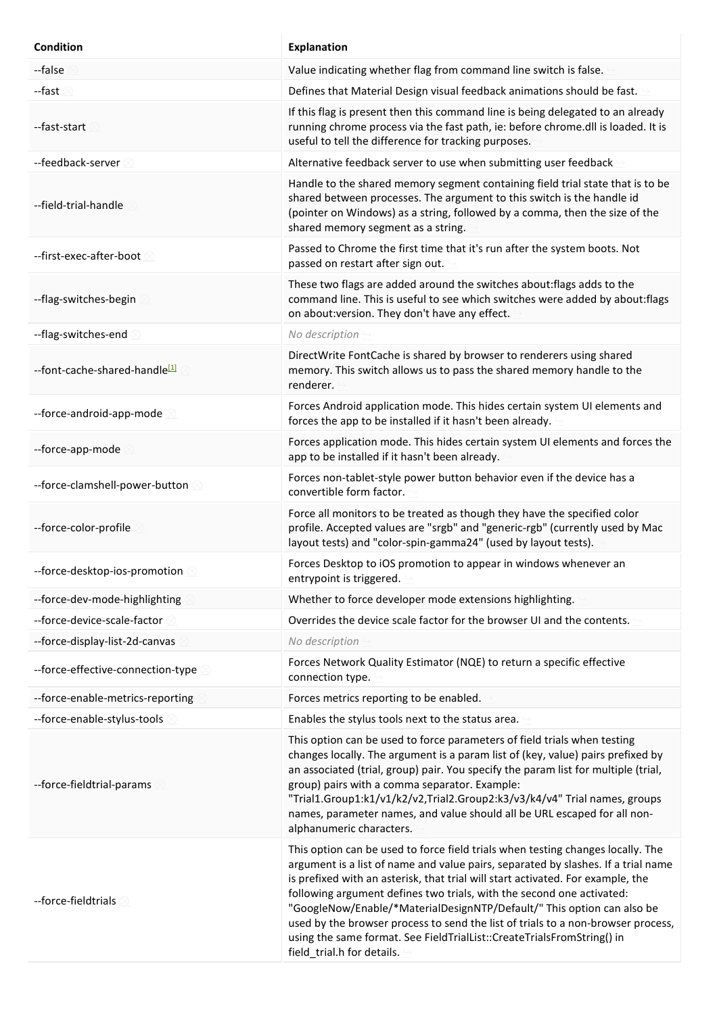| <b>Condition</b>                  | <b>Explanation</b>                                                                                                                                                                                                                                                                                                                                                                                                                                                                                                                                                                                     |
|-----------------------------------|--------------------------------------------------------------------------------------------------------------------------------------------------------------------------------------------------------------------------------------------------------------------------------------------------------------------------------------------------------------------------------------------------------------------------------------------------------------------------------------------------------------------------------------------------------------------------------------------------------|
| --false                           | Value indicating whether flag from command line switch is false.                                                                                                                                                                                                                                                                                                                                                                                                                                                                                                                                       |
| --fast                            | Defines that Material Design visual feedback animations should be fast.                                                                                                                                                                                                                                                                                                                                                                                                                                                                                                                                |
| --fast-start                      | If this flag is present then this command line is being delegated to an already<br>running chrome process via the fast path, ie: before chrome.dll is loaded. It is<br>useful to tell the difference for tracking purposes.                                                                                                                                                                                                                                                                                                                                                                            |
| --feedback-server                 | Alternative feedback server to use when submitting user feedback                                                                                                                                                                                                                                                                                                                                                                                                                                                                                                                                       |
| --field-trial-handle              | Handle to the shared memory segment containing field trial state that is to be<br>shared between processes. The argument to this switch is the handle id<br>(pointer on Windows) as a string, followed by a comma, then the size of the<br>shared memory segment as a string.                                                                                                                                                                                                                                                                                                                          |
| --first-exec-after-boot           | Passed to Chrome the first time that it's run after the system boots. Not<br>passed on restart after sign out.                                                                                                                                                                                                                                                                                                                                                                                                                                                                                         |
| --flag-switches-begin             | These two flags are added around the switches about: flags adds to the<br>command line. This is useful to see which switches were added by about: flags<br>on about: version. They don't have any effect.                                                                                                                                                                                                                                                                                                                                                                                              |
| --flag-switches-end               | No description                                                                                                                                                                                                                                                                                                                                                                                                                                                                                                                                                                                         |
| --font-cache-shared-handle[1]     | DirectWrite FontCache is shared by browser to renderers using shared<br>memory. This switch allows us to pass the shared memory handle to the<br>renderer.                                                                                                                                                                                                                                                                                                                                                                                                                                             |
| --force-android-app-mode          | Forces Android application mode. This hides certain system UI elements and<br>forces the app to be installed if it hasn't been already.                                                                                                                                                                                                                                                                                                                                                                                                                                                                |
| --force-app-mode                  | Forces application mode. This hides certain system UI elements and forces the<br>app to be installed if it hasn't been already.                                                                                                                                                                                                                                                                                                                                                                                                                                                                        |
| --force-clamshell-power-button    | Forces non-tablet-style power button behavior even if the device has a<br>convertible form factor.                                                                                                                                                                                                                                                                                                                                                                                                                                                                                                     |
| --force-color-profile             | Force all monitors to be treated as though they have the specified color<br>profile. Accepted values are "srgb" and "generic-rgb" (currently used by Mac<br>layout tests) and "color-spin-gamma24" (used by layout tests).                                                                                                                                                                                                                                                                                                                                                                             |
| --force-desktop-ios-promotion     | Forces Desktop to iOS promotion to appear in windows whenever an<br>entrypoint is triggered.                                                                                                                                                                                                                                                                                                                                                                                                                                                                                                           |
| --force-dev-mode-highlighting     | Whether to force developer mode extensions highlighting.                                                                                                                                                                                                                                                                                                                                                                                                                                                                                                                                               |
| --force-device-scale-factor       | Overrides the device scale factor for the browser UI and the contents.                                                                                                                                                                                                                                                                                                                                                                                                                                                                                                                                 |
| --force-display-list-2d-canvas    | No description                                                                                                                                                                                                                                                                                                                                                                                                                                                                                                                                                                                         |
| --force-effective-connection-type | Forces Network Quality Estimator (NQE) to return a specific effective<br>connection type.                                                                                                                                                                                                                                                                                                                                                                                                                                                                                                              |
| --force-enable-metrics-reporting  | Forces metrics reporting to be enabled.                                                                                                                                                                                                                                                                                                                                                                                                                                                                                                                                                                |
| --force-enable-stylus-tools       | Enables the stylus tools next to the status area.                                                                                                                                                                                                                                                                                                                                                                                                                                                                                                                                                      |
| --force-fieldtrial-params         | This option can be used to force parameters of field trials when testing<br>changes locally. The argument is a param list of (key, value) pairs prefixed by<br>an associated (trial, group) pair. You specify the param list for multiple (trial,<br>group) pairs with a comma separator. Example:<br>"Trial1.Group1:k1/v1/k2/v2,Trial2.Group2:k3/v3/k4/v4" Trial names, groups<br>names, parameter names, and value should all be URL escaped for all non-<br>alphanumeric characters.                                                                                                                |
| --force-fieldtrials               | This option can be used to force field trials when testing changes locally. The<br>argument is a list of name and value pairs, separated by slashes. If a trial name<br>is prefixed with an asterisk, that trial will start activated. For example, the<br>following argument defines two trials, with the second one activated:<br>"GoogleNow/Enable/*MaterialDesignNTP/Default/" This option can also be<br>used by the browser process to send the list of trials to a non-browser process,<br>using the same format. See FieldTrialList::CreateTrialsFromString() in<br>field_trial.h for details. |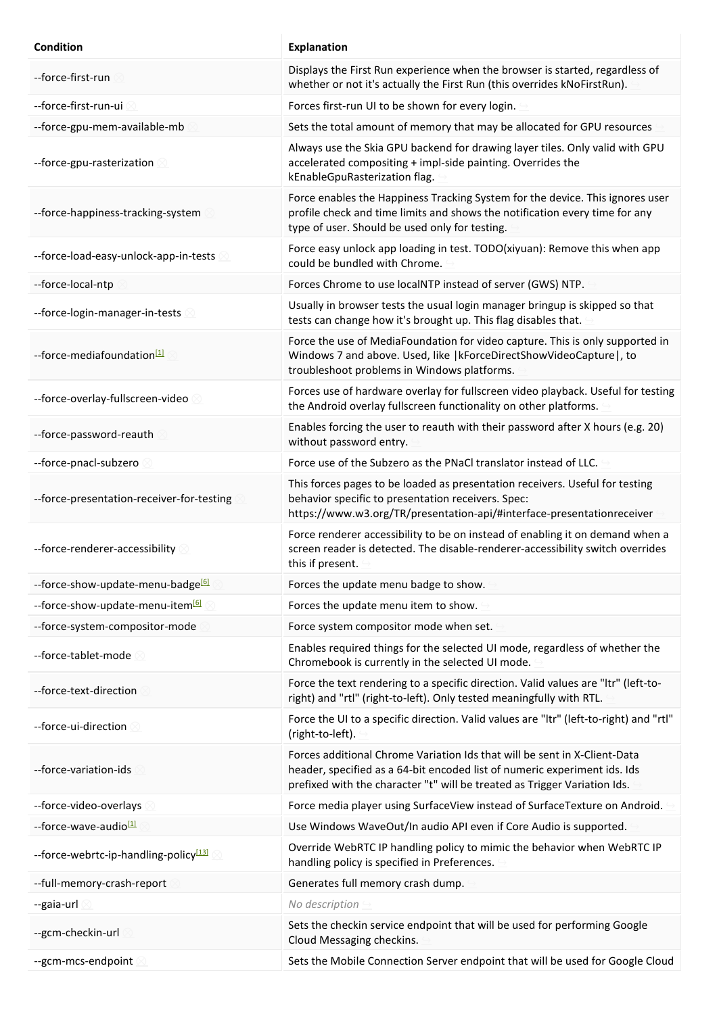| <b>Condition</b>                                  | <b>Explanation</b>                                                                                                                                                                                                                  |
|---------------------------------------------------|-------------------------------------------------------------------------------------------------------------------------------------------------------------------------------------------------------------------------------------|
| --force-first-run                                 | Displays the First Run experience when the browser is started, regardless of<br>whether or not it's actually the First Run (this overrides kNoFirstRun).                                                                            |
| --force-first-run-ui                              | Forces first-run UI to be shown for every login.                                                                                                                                                                                    |
| --force-gpu-mem-available-mb                      | Sets the total amount of memory that may be allocated for GPU resources                                                                                                                                                             |
| --force-gpu-rasterization                         | Always use the Skia GPU backend for drawing layer tiles. Only valid with GPU<br>accelerated compositing + impl-side painting. Overrides the<br>kEnableGpuRasterization flag.                                                        |
| --force-happiness-tracking-system                 | Force enables the Happiness Tracking System for the device. This ignores user<br>profile check and time limits and shows the notification every time for any<br>type of user. Should be used only for testing.                      |
| --force-load-easy-unlock-app-in-tests             | Force easy unlock app loading in test. TODO(xiyuan): Remove this when app<br>could be bundled with Chrome.                                                                                                                          |
| --force-local-ntp                                 | Forces Chrome to use localNTP instead of server (GWS) NTP.                                                                                                                                                                          |
| --force-login-manager-in-tests                    | Usually in browser tests the usual login manager bringup is skipped so that<br>tests can change how it's brought up. This flag disables that.                                                                                       |
| --force-mediafoundation <sup>[1]</sup>            | Force the use of MediaFoundation for video capture. This is only supported in<br>Windows 7 and above. Used, like   kForceDirectShowVideoCapture  , to<br>troubleshoot problems in Windows platforms.                                |
| --force-overlay-fullscreen-video                  | Forces use of hardware overlay for fullscreen video playback. Useful for testing<br>the Android overlay fullscreen functionality on other platforms.                                                                                |
| --force-password-reauth                           | Enables forcing the user to reauth with their password after X hours (e.g. 20)<br>without password entry.                                                                                                                           |
| --force-pnacl-subzero                             | Force use of the Subzero as the PNaCI translator instead of LLC.                                                                                                                                                                    |
| --force-presentation-receiver-for-testing         | This forces pages to be loaded as presentation receivers. Useful for testing<br>behavior specific to presentation receivers. Spec:<br>https://www.w3.org/TR/presentation-api/#interface-presentationreceiver                        |
| --force-renderer-accessibility                    | Force renderer accessibility to be on instead of enabling it on demand when a<br>screen reader is detected. The disable-renderer-accessibility switch overrides<br>this if present.                                                 |
| --force-show-update-menu-badge <sup>[6]</sup>     | Forces the update menu badge to show.                                                                                                                                                                                               |
| --force-show-update-menu-item <sup>[6]</sup>      | Forces the update menu item to show.                                                                                                                                                                                                |
| --force-system-compositor-mode                    | Force system compositor mode when set.                                                                                                                                                                                              |
| --force-tablet-mode                               | Enables required things for the selected UI mode, regardless of whether the<br>Chromebook is currently in the selected UI mode.                                                                                                     |
| --force-text-direction                            | Force the text rendering to a specific direction. Valid values are "Itr" (left-to-<br>right) and "rtl" (right-to-left). Only tested meaningfully with RTL.                                                                          |
| --force-ui-direction 8                            | Force the UI to a specific direction. Valid values are "Itr" (left-to-right) and "rtl"<br>(right-to-left).                                                                                                                          |
| --force-variation-ids                             | Forces additional Chrome Variation Ids that will be sent in X-Client-Data<br>header, specified as a 64-bit encoded list of numeric experiment ids. Ids<br>prefixed with the character "t" will be treated as Trigger Variation Ids. |
| --force-video-overlays                            | Force media player using SurfaceView instead of SurfaceTexture on Android.                                                                                                                                                          |
| --force-wave-audio <sup>[1]</sup>                 | Use Windows WaveOut/In audio API even if Core Audio is supported.                                                                                                                                                                   |
| --force-webrtc-ip-handling-policy <sup>[13]</sup> | Override WebRTC IP handling policy to mimic the behavior when WebRTC IP<br>handling policy is specified in Preferences.                                                                                                             |
| --full-memory-crash-report                        | Generates full memory crash dump.                                                                                                                                                                                                   |
| --gaia-url                                        | No description                                                                                                                                                                                                                      |
| --gcm-checkin-url                                 | Sets the checkin service endpoint that will be used for performing Google<br>Cloud Messaging checkins.                                                                                                                              |
| --gcm-mcs-endpoint                                | Sets the Mobile Connection Server endpoint that will be used for Google Cloud                                                                                                                                                       |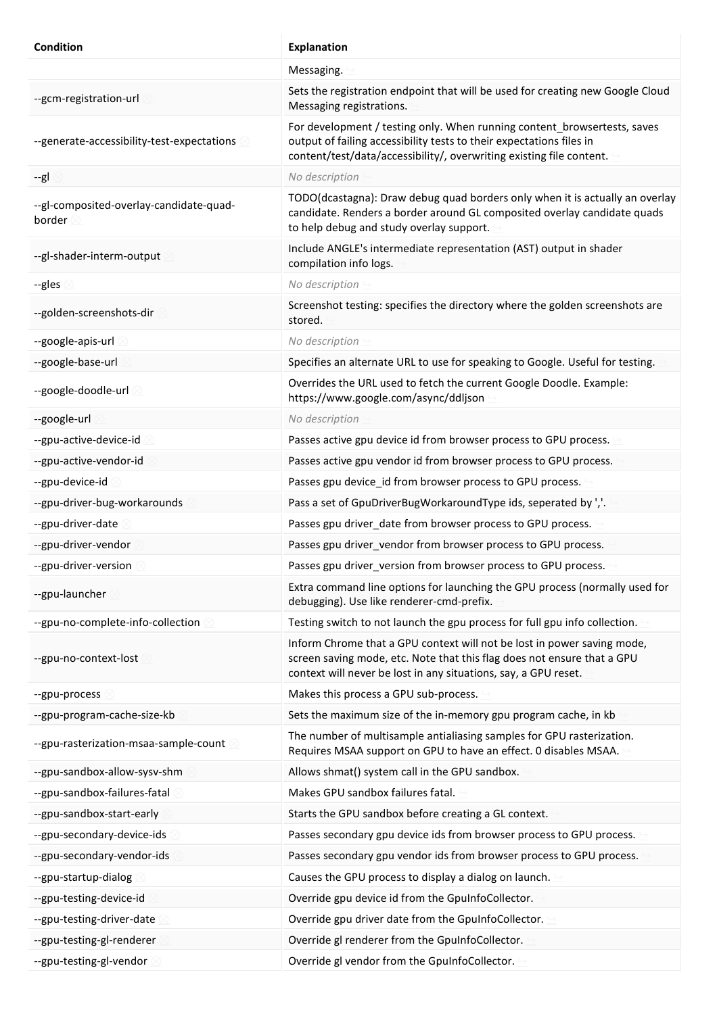| <b>Condition</b>                                           | <b>Explanation</b>                                                                                                                                                                                                       |
|------------------------------------------------------------|--------------------------------------------------------------------------------------------------------------------------------------------------------------------------------------------------------------------------|
|                                                            | Messaging.                                                                                                                                                                                                               |
| --gcm-registration-url                                     | Sets the registration endpoint that will be used for creating new Google Cloud<br>Messaging registrations.                                                                                                               |
| --generate-accessibility-test-expectations                 | For development / testing only. When running content_browsertests, saves<br>output of failing accessibility tests to their expectations files in<br>content/test/data/accessibility/, overwriting existing file content. |
| --gl                                                       | No description                                                                                                                                                                                                           |
| --gl-composited-overlay-candidate-quad-<br>border <b>s</b> | TODO(dcastagna): Draw debug quad borders only when it is actually an overlay<br>candidate. Renders a border around GL composited overlay candidate quads<br>to help debug and study overlay support.                     |
| --gl-shader-interm-output                                  | Include ANGLE's intermediate representation (AST) output in shader<br>compilation info logs.                                                                                                                             |
| --gles                                                     | No description                                                                                                                                                                                                           |
| --golden-screenshots-dir                                   | Screenshot testing: specifies the directory where the golden screenshots are<br>stored.                                                                                                                                  |
| --google-apis-url                                          | No description                                                                                                                                                                                                           |
| --google-base-url                                          | Specifies an alternate URL to use for speaking to Google. Useful for testing.                                                                                                                                            |
| --google-doodle-url 8                                      | Overrides the URL used to fetch the current Google Doodle. Example:<br>https://www.google.com/async/ddljson                                                                                                              |
| --google-url                                               | No description                                                                                                                                                                                                           |
| --gpu-active-device-id                                     | Passes active gpu device id from browser process to GPU process.                                                                                                                                                         |
| --gpu-active-vendor-id                                     | Passes active gpu vendor id from browser process to GPU process.                                                                                                                                                         |
| --gpu-device-id                                            | Passes gpu device_id from browser process to GPU process.                                                                                                                                                                |
| --gpu-driver-bug-workarounds                               | Pass a set of GpuDriverBugWorkaroundType ids, seperated by ','.                                                                                                                                                          |
| --gpu-driver-date                                          | Passes gpu driver_date from browser process to GPU process.                                                                                                                                                              |
| --gpu-driver-vendor                                        | Passes gpu driver_vendor from browser process to GPU process.                                                                                                                                                            |
| --gpu-driver-version                                       | Passes gpu driver_version from browser process to GPU process.                                                                                                                                                           |
| --gpu-launcher                                             | Extra command line options for launching the GPU process (normally used for<br>debugging). Use like renderer-cmd-prefix.                                                                                                 |
| --gpu-no-complete-info-collection                          | Testing switch to not launch the gpu process for full gpu info collection.                                                                                                                                               |
| --gpu-no-context-lost                                      | Inform Chrome that a GPU context will not be lost in power saving mode,<br>screen saving mode, etc. Note that this flag does not ensure that a GPU<br>context will never be lost in any situations, say, a GPU reset.    |
| --gpu-process                                              | Makes this process a GPU sub-process.                                                                                                                                                                                    |
| --gpu-program-cache-size-kb                                | Sets the maximum size of the in-memory gpu program cache, in kb                                                                                                                                                          |
| --gpu-rasterization-msaa-sample-count                      | The number of multisample antialiasing samples for GPU rasterization.<br>Requires MSAA support on GPU to have an effect. 0 disables MSAA.                                                                                |
| --gpu-sandbox-allow-sysv-shm                               | Allows shmat() system call in the GPU sandbox.                                                                                                                                                                           |
| --gpu-sandbox-failures-fatal                               | Makes GPU sandbox failures fatal.                                                                                                                                                                                        |
| --gpu-sandbox-start-early                                  | Starts the GPU sandbox before creating a GL context.                                                                                                                                                                     |
| --gpu-secondary-device-ids                                 | Passes secondary gpu device ids from browser process to GPU process.                                                                                                                                                     |
| --gpu-secondary-vendor-ids                                 | Passes secondary gpu vendor ids from browser process to GPU process.                                                                                                                                                     |
| --gpu-startup-dialog                                       | Causes the GPU process to display a dialog on launch.                                                                                                                                                                    |
| --gpu-testing-device-id                                    | Override gpu device id from the GpuInfoCollector.                                                                                                                                                                        |
| --gpu-testing-driver-date                                  | Override gpu driver date from the GpuInfoCollector.                                                                                                                                                                      |
| --gpu-testing-gl-renderer                                  | Override gl renderer from the GpuInfoCollector.                                                                                                                                                                          |
| --gpu-testing-gl-vendor                                    | Override gl vendor from the GpuInfoCollector.                                                                                                                                                                            |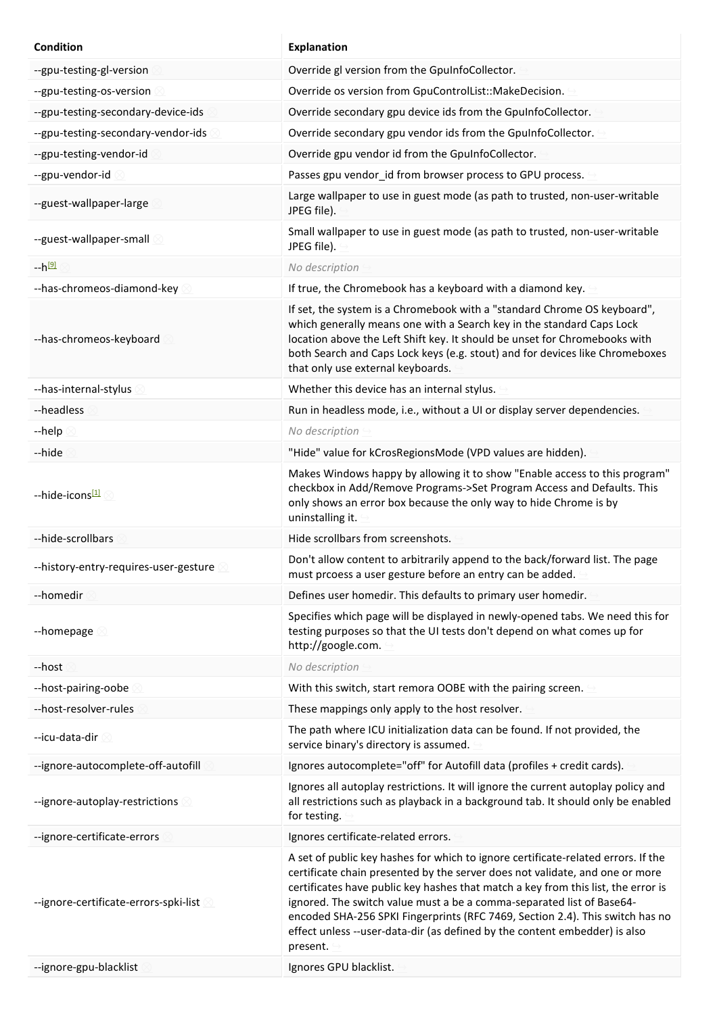| <b>Condition</b>                      | <b>Explanation</b>                                                                                                                                                                                                                                                                                                                                                                                                                                                                                         |
|---------------------------------------|------------------------------------------------------------------------------------------------------------------------------------------------------------------------------------------------------------------------------------------------------------------------------------------------------------------------------------------------------------------------------------------------------------------------------------------------------------------------------------------------------------|
| --gpu-testing-gl-version              | Override gl version from the GpuInfoCollector.                                                                                                                                                                                                                                                                                                                                                                                                                                                             |
| --gpu-testing-os-version              | Override os version from GpuControlList::MakeDecision.                                                                                                                                                                                                                                                                                                                                                                                                                                                     |
| --gpu-testing-secondary-device-ids    | Override secondary gpu device ids from the GpuInfoCollector.                                                                                                                                                                                                                                                                                                                                                                                                                                               |
| --gpu-testing-secondary-vendor-ids    | Override secondary gpu vendor ids from the GpuInfoCollector.                                                                                                                                                                                                                                                                                                                                                                                                                                               |
| --gpu-testing-vendor-id               | Override gpu vendor id from the GpuInfoCollector.                                                                                                                                                                                                                                                                                                                                                                                                                                                          |
| --gpu-vendor-id                       | Passes gpu vendor_id from browser process to GPU process.                                                                                                                                                                                                                                                                                                                                                                                                                                                  |
| --guest-wallpaper-large               | Large wallpaper to use in guest mode (as path to trusted, non-user-writable<br>JPEG file).                                                                                                                                                                                                                                                                                                                                                                                                                 |
| --guest-wallpaper-small               | Small wallpaper to use in guest mode (as path to trusted, non-user-writable<br>JPEG file).                                                                                                                                                                                                                                                                                                                                                                                                                 |
| --h <sup>[9]</sup>                    | No description                                                                                                                                                                                                                                                                                                                                                                                                                                                                                             |
| --has-chromeos-diamond-key            | If true, the Chromebook has a keyboard with a diamond key.                                                                                                                                                                                                                                                                                                                                                                                                                                                 |
| --has-chromeos-keyboard               | If set, the system is a Chromebook with a "standard Chrome OS keyboard",<br>which generally means one with a Search key in the standard Caps Lock<br>location above the Left Shift key. It should be unset for Chromebooks with<br>both Search and Caps Lock keys (e.g. stout) and for devices like Chromeboxes<br>that only use external keyboards.                                                                                                                                                       |
| --has-internal-stylus                 | Whether this device has an internal stylus.                                                                                                                                                                                                                                                                                                                                                                                                                                                                |
| --headless                            | Run in headless mode, i.e., without a UI or display server dependencies.                                                                                                                                                                                                                                                                                                                                                                                                                                   |
| --help                                | No description                                                                                                                                                                                                                                                                                                                                                                                                                                                                                             |
| --hide                                | "Hide" value for kCrosRegionsMode (VPD values are hidden).                                                                                                                                                                                                                                                                                                                                                                                                                                                 |
| --hide-icons[1]                       | Makes Windows happy by allowing it to show "Enable access to this program"<br>checkbox in Add/Remove Programs->Set Program Access and Defaults. This<br>only shows an error box because the only way to hide Chrome is by<br>uninstalling it.                                                                                                                                                                                                                                                              |
| --hide-scrollbars                     | Hide scrollbars from screenshots.                                                                                                                                                                                                                                                                                                                                                                                                                                                                          |
| --history-entry-requires-user-gesture | Don't allow content to arbitrarily append to the back/forward list. The page<br>must prcoess a user gesture before an entry can be added.                                                                                                                                                                                                                                                                                                                                                                  |
| --homedir                             | Defines user homedir. This defaults to primary user homedir.                                                                                                                                                                                                                                                                                                                                                                                                                                               |
| --homepage $\otimes$                  | Specifies which page will be displayed in newly-opened tabs. We need this for<br>testing purposes so that the UI tests don't depend on what comes up for<br>http://google.com.                                                                                                                                                                                                                                                                                                                             |
| --host                                | No description                                                                                                                                                                                                                                                                                                                                                                                                                                                                                             |
| --host-pairing-oobe                   | With this switch, start remora OOBE with the pairing screen.                                                                                                                                                                                                                                                                                                                                                                                                                                               |
| --host-resolver-rules                 | These mappings only apply to the host resolver.                                                                                                                                                                                                                                                                                                                                                                                                                                                            |
| --icu-data-dir                        | The path where ICU initialization data can be found. If not provided, the<br>service binary's directory is assumed.                                                                                                                                                                                                                                                                                                                                                                                        |
| --ignore-autocomplete-off-autofill    | Ignores autocomplete="off" for Autofill data (profiles + credit cards).                                                                                                                                                                                                                                                                                                                                                                                                                                    |
| --ignore-autoplay-restrictions        | Ignores all autoplay restrictions. It will ignore the current autoplay policy and<br>all restrictions such as playback in a background tab. It should only be enabled<br>for testing.                                                                                                                                                                                                                                                                                                                      |
| --ignore-certificate-errors           | Ignores certificate-related errors.                                                                                                                                                                                                                                                                                                                                                                                                                                                                        |
| --ignore-certificate-errors-spki-list | A set of public key hashes for which to ignore certificate-related errors. If the<br>certificate chain presented by the server does not validate, and one or more<br>certificates have public key hashes that match a key from this list, the error is<br>ignored. The switch value must a be a comma-separated list of Base64-<br>encoded SHA-256 SPKI Fingerprints (RFC 7469, Section 2.4). This switch has no<br>effect unless --user-data-dir (as defined by the content embedder) is also<br>present. |
| --ignore-gpu-blacklist                | Ignores GPU blacklist.                                                                                                                                                                                                                                                                                                                                                                                                                                                                                     |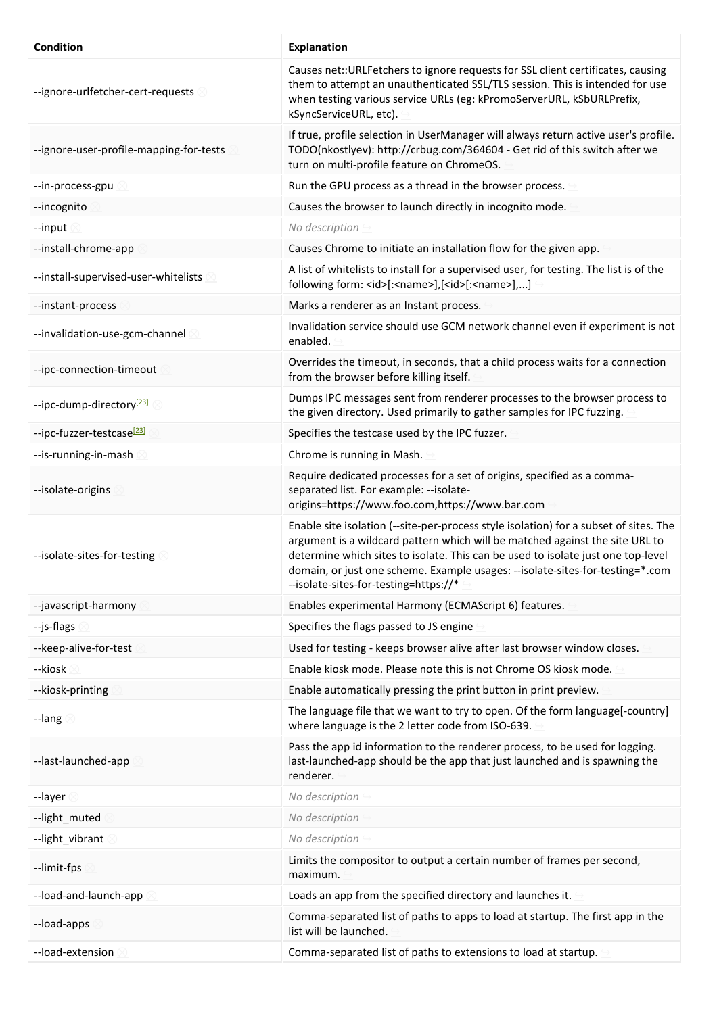| Condition                               | Explanation                                                                                                                                                                                                                                                                                                                                                                         |
|-----------------------------------------|-------------------------------------------------------------------------------------------------------------------------------------------------------------------------------------------------------------------------------------------------------------------------------------------------------------------------------------------------------------------------------------|
| --ignore-urlfetcher-cert-requests       | Causes net:: URLFetchers to ignore requests for SSL client certificates, causing<br>them to attempt an unauthenticated SSL/TLS session. This is intended for use<br>when testing various service URLs (eg: kPromoServerURL, kSbURLPrefix,<br>kSyncServiceURL, etc).                                                                                                                 |
| --ignore-user-profile-mapping-for-tests | If true, profile selection in UserManager will always return active user's profile.<br>TODO(nkostlyev): http://crbug.com/364604 - Get rid of this switch after we<br>turn on multi-profile feature on ChromeOS.                                                                                                                                                                     |
| --in-process-gpu                        | Run the GPU process as a thread in the browser process.                                                                                                                                                                                                                                                                                                                             |
| --incognito                             | Causes the browser to launch directly in incognito mode.                                                                                                                                                                                                                                                                                                                            |
| --input                                 | No description                                                                                                                                                                                                                                                                                                                                                                      |
| --install-chrome-app                    | Causes Chrome to initiate an installation flow for the given app.                                                                                                                                                                                                                                                                                                                   |
| --install-supervised-user-whitelists    | A list of whitelists to install for a supervised user, for testing. The list is of the<br>following form: <id>[:<name>],[<id>[:<name>],]</name></id></name></id>                                                                                                                                                                                                                    |
| --instant-process                       | Marks a renderer as an Instant process.                                                                                                                                                                                                                                                                                                                                             |
| --invalidation-use-gcm-channel 8        | Invalidation service should use GCM network channel even if experiment is not<br>enabled.                                                                                                                                                                                                                                                                                           |
| --ipc-connection-timeout                | Overrides the timeout, in seconds, that a child process waits for a connection<br>from the browser before killing itself.                                                                                                                                                                                                                                                           |
| --ipc-dump-directory <sup>[23]</sup>    | Dumps IPC messages sent from renderer processes to the browser process to<br>the given directory. Used primarily to gather samples for IPC fuzzing.                                                                                                                                                                                                                                 |
| --ipc-fuzzer-testcase <sup>[23]</sup>   | Specifies the testcase used by the IPC fuzzer.                                                                                                                                                                                                                                                                                                                                      |
| --is-running-in-mash                    | Chrome is running in Mash.                                                                                                                                                                                                                                                                                                                                                          |
| --isolate-origins                       | Require dedicated processes for a set of origins, specified as a comma-<br>separated list. For example: --isolate-<br>origins=https://www.foo.com,https://www.bar.com                                                                                                                                                                                                               |
| --isolate-sites-for-testing             | Enable site isolation (--site-per-process style isolation) for a subset of sites. The<br>argument is a wildcard pattern which will be matched against the site URL to<br>determine which sites to isolate. This can be used to isolate just one top-level<br>domain, or just one scheme. Example usages: --isolate-sites-for-testing=*.com<br>--isolate-sites-for-testing=https://* |
| --javascript-harmony                    | Enables experimental Harmony (ECMAScript 6) features.                                                                                                                                                                                                                                                                                                                               |
| --js-flags                              | Specifies the flags passed to JS engine                                                                                                                                                                                                                                                                                                                                             |
| --keep-alive-for-test                   | Used for testing - keeps browser alive after last browser window closes.                                                                                                                                                                                                                                                                                                            |
| --kiosk (                               | Enable kiosk mode. Please note this is not Chrome OS kiosk mode.                                                                                                                                                                                                                                                                                                                    |
| --kiosk-printing                        | Enable automatically pressing the print button in print preview.                                                                                                                                                                                                                                                                                                                    |
| --lang $\otimes$                        | The language file that we want to try to open. Of the form language[-country]<br>where language is the 2 letter code from ISO-639.                                                                                                                                                                                                                                                  |
| --last-launched-app                     | Pass the app id information to the renderer process, to be used for logging.<br>last-launched-app should be the app that just launched and is spawning the<br>renderer.                                                                                                                                                                                                             |
| --layer                                 | No description                                                                                                                                                                                                                                                                                                                                                                      |
| --light_muted                           | No description                                                                                                                                                                                                                                                                                                                                                                      |
| --light_vibrant                         | No description                                                                                                                                                                                                                                                                                                                                                                      |
| --limit-fps                             | Limits the compositor to output a certain number of frames per second,<br>maximum.                                                                                                                                                                                                                                                                                                  |
| --load-and-launch-app                   | Loads an app from the specified directory and launches it.                                                                                                                                                                                                                                                                                                                          |
| --load-apps                             | Comma-separated list of paths to apps to load at startup. The first app in the<br>list will be launched.                                                                                                                                                                                                                                                                            |
| --load-extension                        | Comma-separated list of paths to extensions to load at startup.                                                                                                                                                                                                                                                                                                                     |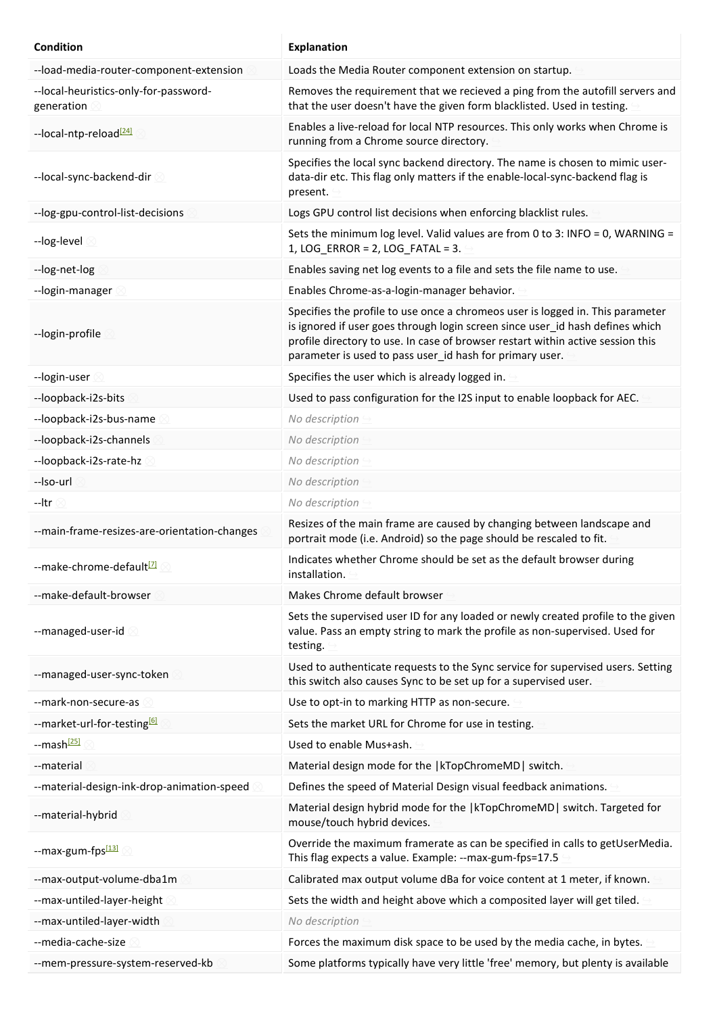| Condition                                           | <b>Explanation</b>                                                                                                                                                                                                                                                                                             |
|-----------------------------------------------------|----------------------------------------------------------------------------------------------------------------------------------------------------------------------------------------------------------------------------------------------------------------------------------------------------------------|
| --load-media-router-component-extension             | Loads the Media Router component extension on startup.                                                                                                                                                                                                                                                         |
| --local-heuristics-only-for-password-<br>generation | Removes the requirement that we recieved a ping from the autofill servers and<br>that the user doesn't have the given form blacklisted. Used in testing.                                                                                                                                                       |
| --local-ntp-reload <sup>[24]</sup>                  | Enables a live-reload for local NTP resources. This only works when Chrome is<br>running from a Chrome source directory.                                                                                                                                                                                       |
| --local-sync-backend-dir                            | Specifies the local sync backend directory. The name is chosen to mimic user-<br>data-dir etc. This flag only matters if the enable-local-sync-backend flag is<br>present.                                                                                                                                     |
| -- log-gpu-control-list-decisions                   | Logs GPU control list decisions when enforcing blacklist rules.                                                                                                                                                                                                                                                |
| --log-level                                         | Sets the minimum log level. Valid values are from 0 to 3: INFO = 0, WARNING =<br>$1, LOG\_ERROR = 2, LOG\_FATAL = 3.$                                                                                                                                                                                          |
| --log-net-log                                       | Enables saving net log events to a file and sets the file name to use.                                                                                                                                                                                                                                         |
| --login-manager                                     | Enables Chrome-as-a-login-manager behavior.                                                                                                                                                                                                                                                                    |
| --login-profile                                     | Specifies the profile to use once a chromeos user is logged in. This parameter<br>is ignored if user goes through login screen since user_id hash defines which<br>profile directory to use. In case of browser restart within active session this<br>parameter is used to pass user_id hash for primary user. |
| --login-user                                        | Specifies the user which is already logged in.                                                                                                                                                                                                                                                                 |
| --loopback-i2s-bits                                 | Used to pass configuration for the I2S input to enable loopback for AEC.                                                                                                                                                                                                                                       |
| --loopback-i2s-bus-name                             | No description                                                                                                                                                                                                                                                                                                 |
| --loopback-i2s-channels                             | No description                                                                                                                                                                                                                                                                                                 |
| --loopback-i2s-rate-hz                              | No description                                                                                                                                                                                                                                                                                                 |
| --Iso-url                                           | No description                                                                                                                                                                                                                                                                                                 |
| --Itr                                               | No description                                                                                                                                                                                                                                                                                                 |
| --main-frame-resizes-are-orientation-changes        | Resizes of the main frame are caused by changing between landscape and<br>portrait mode (i.e. Android) so the page should be rescaled to fit.                                                                                                                                                                  |
| --make-chrome-default <sup>[2]</sup>                | Indicates whether Chrome should be set as the default browser during<br>installation.                                                                                                                                                                                                                          |
| --make-default-browser                              | Makes Chrome default browser                                                                                                                                                                                                                                                                                   |
| --managed-user-id                                   | Sets the supervised user ID for any loaded or newly created profile to the given<br>value. Pass an empty string to mark the profile as non-supervised. Used for<br>testing.                                                                                                                                    |
| --managed-user-sync-token                           | Used to authenticate requests to the Sync service for supervised users. Setting<br>this switch also causes Sync to be set up for a supervised user.                                                                                                                                                            |
| --mark-non-secure-as                                | Use to opt-in to marking HTTP as non-secure.                                                                                                                                                                                                                                                                   |
| --market-url-for-testing <sup>[6]</sup>             | Sets the market URL for Chrome for use in testing.                                                                                                                                                                                                                                                             |
| --mash <sup>[25]</sup>                              | Used to enable Mus+ash.                                                                                                                                                                                                                                                                                        |
| --material                                          | Material design mode for the  kTopChromeMD  switch.                                                                                                                                                                                                                                                            |
| --material-design-ink-drop-animation-speed          | Defines the speed of Material Design visual feedback animations.                                                                                                                                                                                                                                               |
| --material-hybrid                                   | Material design hybrid mode for the   kTopChromeMD   switch. Targeted for<br>mouse/touch hybrid devices.                                                                                                                                                                                                       |
| --max-gum-fps <sup>[13]</sup>                       | Override the maximum framerate as can be specified in calls to getUserMedia.<br>This flag expects a value. Example: -- max-gum-fps=17.5                                                                                                                                                                        |
| --max-output-volume-dba1m                           | Calibrated max output volume dBa for voice content at 1 meter, if known.                                                                                                                                                                                                                                       |
| --max-untiled-layer-height                          | Sets the width and height above which a composited layer will get tiled.                                                                                                                                                                                                                                       |
| --max-untiled-layer-width                           | No description                                                                                                                                                                                                                                                                                                 |
| --media-cache-size                                  | Forces the maximum disk space to be used by the media cache, in bytes.                                                                                                                                                                                                                                         |
| --mem-pressure-system-reserved-kb                   | Some platforms typically have very little 'free' memory, but plenty is available                                                                                                                                                                                                                               |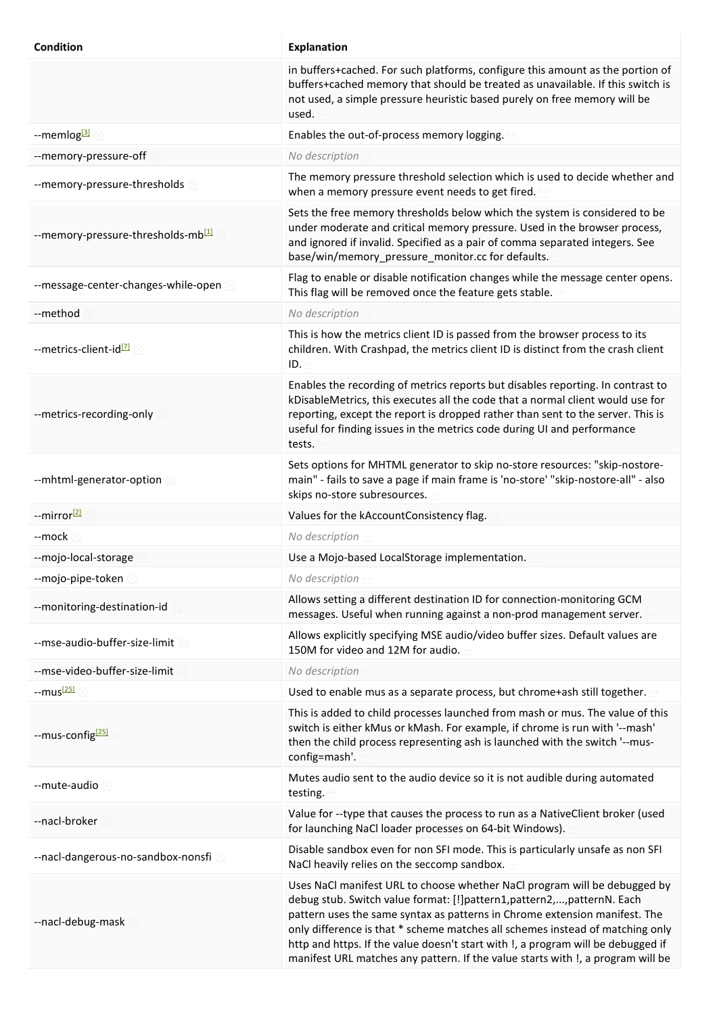| Condition                                      | <b>Explanation</b>                                                                                                                                                                                                                                                                                                                                                                                                                                                                       |
|------------------------------------------------|------------------------------------------------------------------------------------------------------------------------------------------------------------------------------------------------------------------------------------------------------------------------------------------------------------------------------------------------------------------------------------------------------------------------------------------------------------------------------------------|
|                                                | in buffers+cached. For such platforms, configure this amount as the portion of<br>buffers+cached memory that should be treated as unavailable. If this switch is<br>not used, a simple pressure heuristic based purely on free memory will be<br>used.                                                                                                                                                                                                                                   |
| --memlog <sup>[3]</sup>                        | Enables the out-of-process memory logging.                                                                                                                                                                                                                                                                                                                                                                                                                                               |
| --memory-pressure-off                          | No description                                                                                                                                                                                                                                                                                                                                                                                                                                                                           |
| --memory-pressure-thresholds                   | The memory pressure threshold selection which is used to decide whether and<br>when a memory pressure event needs to get fired.                                                                                                                                                                                                                                                                                                                                                          |
| --memory-pressure-thresholds-mb <sup>[1]</sup> | Sets the free memory thresholds below which the system is considered to be<br>under moderate and critical memory pressure. Used in the browser process,<br>and ignored if invalid. Specified as a pair of comma separated integers. See<br>base/win/memory_pressure_monitor.cc for defaults.                                                                                                                                                                                             |
| --message-center-changes-while-open            | Flag to enable or disable notification changes while the message center opens.<br>This flag will be removed once the feature gets stable.                                                                                                                                                                                                                                                                                                                                                |
| --method                                       | No description                                                                                                                                                                                                                                                                                                                                                                                                                                                                           |
| --metrics-client-id <sup>[7]</sup>             | This is how the metrics client ID is passed from the browser process to its<br>children. With Crashpad, the metrics client ID is distinct from the crash client<br>ID.                                                                                                                                                                                                                                                                                                                   |
| --metrics-recording-only                       | Enables the recording of metrics reports but disables reporting. In contrast to<br>kDisableMetrics, this executes all the code that a normal client would use for<br>reporting, except the report is dropped rather than sent to the server. This is<br>useful for finding issues in the metrics code during UI and performance<br>tests.                                                                                                                                                |
| --mhtml-generator-option                       | Sets options for MHTML generator to skip no-store resources: "skip-nostore-<br>main" - fails to save a page if main frame is 'no-store' "skip-nostore-all" - also<br>skips no-store subresources.                                                                                                                                                                                                                                                                                        |
| --mirror <sup>[2]</sup>                        | Values for the kAccountConsistency flag.                                                                                                                                                                                                                                                                                                                                                                                                                                                 |
| --mock                                         | No description                                                                                                                                                                                                                                                                                                                                                                                                                                                                           |
| --mojo-local-storage                           | Use a Mojo-based LocalStorage implementation.                                                                                                                                                                                                                                                                                                                                                                                                                                            |
| --mojo-pipe-token                              | No description                                                                                                                                                                                                                                                                                                                                                                                                                                                                           |
| --monitoring-destination-id                    | Allows setting a different destination ID for connection-monitoring GCM<br>messages. Useful when running against a non-prod management server.                                                                                                                                                                                                                                                                                                                                           |
| --mse-audio-buffer-size-limit                  | Allows explicitly specifying MSE audio/video buffer sizes. Default values are<br>150M for video and 12M for audio.                                                                                                                                                                                                                                                                                                                                                                       |
| --mse-video-buffer-size-limit                  | No description                                                                                                                                                                                                                                                                                                                                                                                                                                                                           |
| --mus <sup>[25]</sup>                          | Used to enable mus as a separate process, but chrome+ash still together.                                                                                                                                                                                                                                                                                                                                                                                                                 |
| --mus-config <sup>[25]</sup>                   | This is added to child processes launched from mash or mus. The value of this<br>switch is either kMus or kMash. For example, if chrome is run with '--mash'<br>then the child process representing ash is launched with the switch '--mus-<br>config=mash'.                                                                                                                                                                                                                             |
| --mute-audio                                   | Mutes audio sent to the audio device so it is not audible during automated<br>testing.                                                                                                                                                                                                                                                                                                                                                                                                   |
| --nacl-broker                                  | Value for --type that causes the process to run as a NativeClient broker (used<br>for launching NaCl loader processes on 64-bit Windows).                                                                                                                                                                                                                                                                                                                                                |
| --nacl-dangerous-no-sandbox-nonsfi             | Disable sandbox even for non SFI mode. This is particularly unsafe as non SFI<br>NaCl heavily relies on the seccomp sandbox.                                                                                                                                                                                                                                                                                                                                                             |
| --nacl-debug-mask                              | Uses NaCl manifest URL to choose whether NaCl program will be debugged by<br>debug stub. Switch value format: [!]pattern1,pattern2,,patternN. Each<br>pattern uses the same syntax as patterns in Chrome extension manifest. The<br>only difference is that * scheme matches all schemes instead of matching only<br>http and https. If the value doesn't start with !, a program will be debugged if<br>manifest URL matches any pattern. If the value starts with !, a program will be |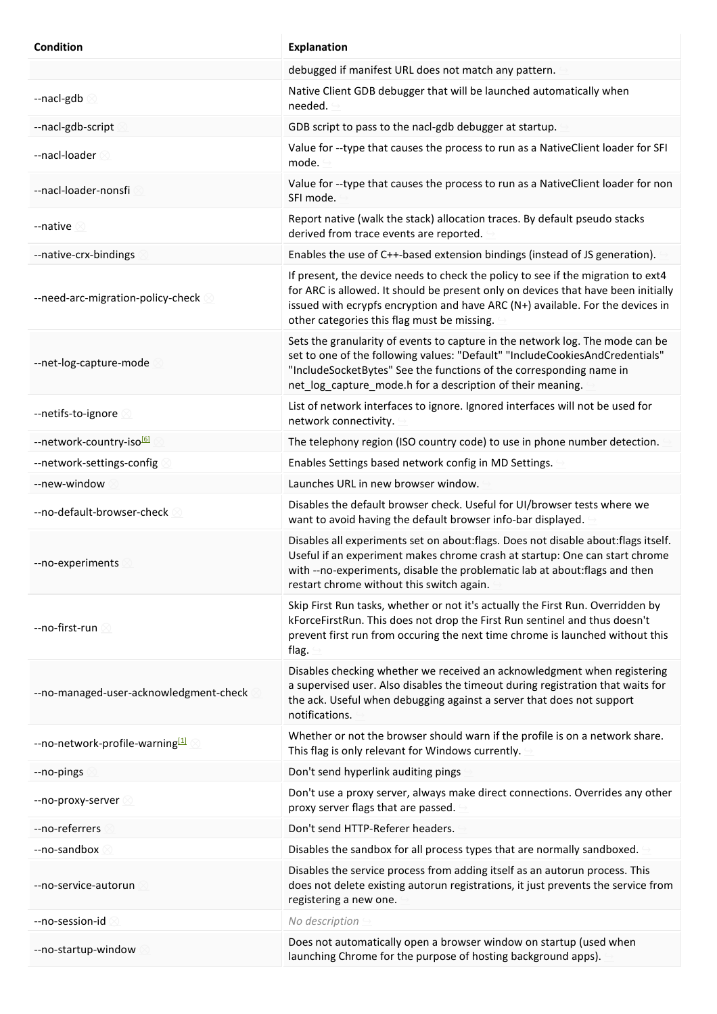| <b>Condition</b>                            | <b>Explanation</b>                                                                                                                                                                                                                                                                                     |
|---------------------------------------------|--------------------------------------------------------------------------------------------------------------------------------------------------------------------------------------------------------------------------------------------------------------------------------------------------------|
|                                             | debugged if manifest URL does not match any pattern.                                                                                                                                                                                                                                                   |
| --nacl-gdb 8                                | Native Client GDB debugger that will be launched automatically when<br>needed.                                                                                                                                                                                                                         |
| --nacl-gdb-script                           | GDB script to pass to the nacl-gdb debugger at startup.                                                                                                                                                                                                                                                |
| --nacl-loader                               | Value for --type that causes the process to run as a NativeClient loader for SFI<br>mode.                                                                                                                                                                                                              |
| --nacl-loader-nonsfi                        | Value for --type that causes the process to run as a NativeClient loader for non<br>SFI mode.                                                                                                                                                                                                          |
| --native                                    | Report native (walk the stack) allocation traces. By default pseudo stacks<br>derived from trace events are reported.                                                                                                                                                                                  |
| --native-crx-bindings                       | Enables the use of C++-based extension bindings (instead of JS generation).                                                                                                                                                                                                                            |
| --need-arc-migration-policy-check           | If present, the device needs to check the policy to see if the migration to ext4<br>for ARC is allowed. It should be present only on devices that have been initially<br>issued with ecrypfs encryption and have ARC (N+) available. For the devices in<br>other categories this flag must be missing. |
| --net-log-capture-mode                      | Sets the granularity of events to capture in the network log. The mode can be<br>set to one of the following values: "Default" "IncludeCookiesAndCredentials"<br>"IncludeSocketBytes" See the functions of the corresponding name in<br>net_log_capture_mode.h for a description of their meaning.     |
| --netifs-to-ignore                          | List of network interfaces to ignore. Ignored interfaces will not be used for<br>network connectivity.                                                                                                                                                                                                 |
| --network-country-iso <sup>161</sup>        | The telephony region (ISO country code) to use in phone number detection.                                                                                                                                                                                                                              |
| --network-settings-config                   | Enables Settings based network config in MD Settings.                                                                                                                                                                                                                                                  |
| --new-window                                | Launches URL in new browser window.                                                                                                                                                                                                                                                                    |
| --no-default-browser-check                  | Disables the default browser check. Useful for UI/browser tests where we<br>want to avoid having the default browser info-bar displayed.                                                                                                                                                               |
| --no-experiments                            | Disables all experiments set on about: flags. Does not disable about: flags itself.<br>Useful if an experiment makes chrome crash at startup: One can start chrome<br>with --no-experiments, disable the problematic lab at about: flags and then<br>restart chrome without this switch again.         |
| --no-first-run ⊠                            | Skip First Run tasks, whether or not it's actually the First Run. Overridden by<br>kForceFirstRun. This does not drop the First Run sentinel and thus doesn't<br>prevent first run from occuring the next time chrome is launched without this<br>flag.                                                |
| --no-managed-user-acknowledgment-check      | Disables checking whether we received an acknowledgment when registering<br>a supervised user. Also disables the timeout during registration that waits for<br>the ack. Useful when debugging against a server that does not support<br>notifications.                                                 |
| --no-network-profile-warning <sup>[1]</sup> | Whether or not the browser should warn if the profile is on a network share.<br>This flag is only relevant for Windows currently.                                                                                                                                                                      |
| --no-pings                                  | Don't send hyperlink auditing pings                                                                                                                                                                                                                                                                    |
| --no-proxy-server                           | Don't use a proxy server, always make direct connections. Overrides any other<br>proxy server flags that are passed.                                                                                                                                                                                   |
| --no-referrers                              | Don't send HTTP-Referer headers.                                                                                                                                                                                                                                                                       |
| --no-sandbox                                | Disables the sandbox for all process types that are normally sandboxed.                                                                                                                                                                                                                                |
| --no-service-autorun                        | Disables the service process from adding itself as an autorun process. This<br>does not delete existing autorun registrations, it just prevents the service from<br>registering a new one.                                                                                                             |
| --no-session-id                             | No description                                                                                                                                                                                                                                                                                         |
| --no-startup-window                         | Does not automatically open a browser window on startup (used when<br>launching Chrome for the purpose of hosting background apps).                                                                                                                                                                    |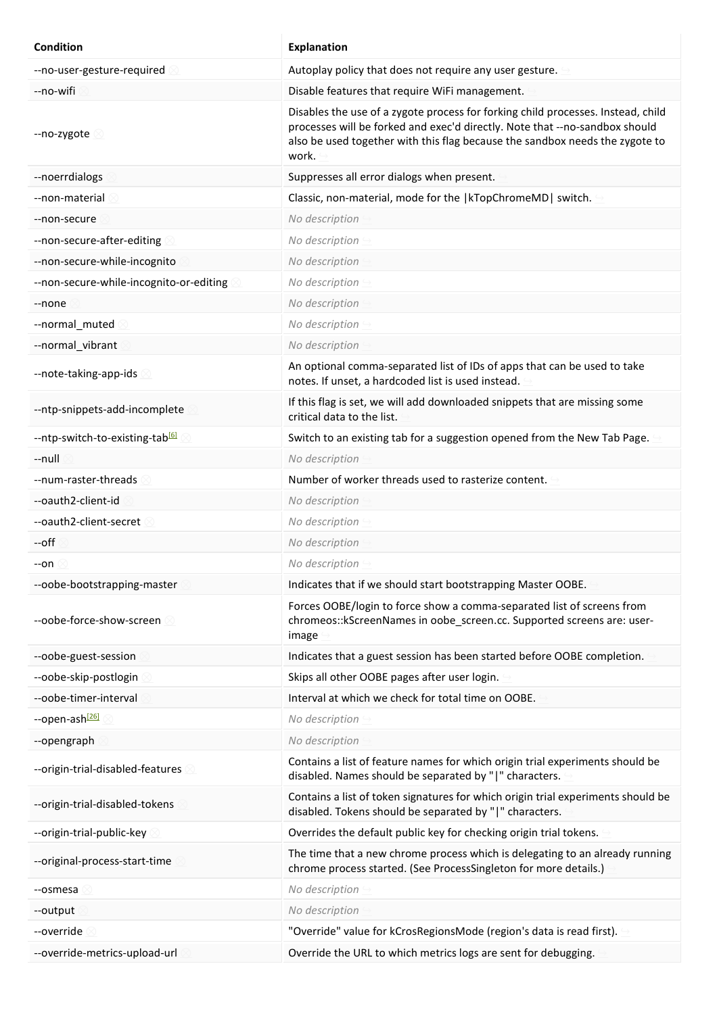| <b>Condition</b>                            | <b>Explanation</b>                                                                                                                                                                                                                                       |
|---------------------------------------------|----------------------------------------------------------------------------------------------------------------------------------------------------------------------------------------------------------------------------------------------------------|
| --no-user-gesture-required                  | Autoplay policy that does not require any user gesture.                                                                                                                                                                                                  |
| --no-wifi                                   | Disable features that require WiFi management.                                                                                                                                                                                                           |
| --no-zygote                                 | Disables the use of a zygote process for forking child processes. Instead, child<br>processes will be forked and exec'd directly. Note that --no-sandbox should<br>also be used together with this flag because the sandbox needs the zygote to<br>work. |
| --noerrdialogs                              | Suppresses all error dialogs when present.                                                                                                                                                                                                               |
| --non-material                              | Classic, non-material, mode for the   kTopChromeMD  switch.                                                                                                                                                                                              |
| --non-secure                                | No description                                                                                                                                                                                                                                           |
| --non-secure-after-editing                  | No description                                                                                                                                                                                                                                           |
| --non-secure-while-incognito                | No description                                                                                                                                                                                                                                           |
| --non-secure-while-incognito-or-editing     | No description                                                                                                                                                                                                                                           |
| --none                                      | No description                                                                                                                                                                                                                                           |
| --normal_muted                              | No description                                                                                                                                                                                                                                           |
| --normal_vibrant                            | No description                                                                                                                                                                                                                                           |
| --note-taking-app-ids                       | An optional comma-separated list of IDs of apps that can be used to take<br>notes. If unset, a hardcoded list is used instead.                                                                                                                           |
| --ntp-snippets-add-incomplete               | If this flag is set, we will add downloaded snippets that are missing some<br>critical data to the list.                                                                                                                                                 |
| --ntp-switch-to-existing-tab <sup>[6]</sup> | Switch to an existing tab for a suggestion opened from the New Tab Page.                                                                                                                                                                                 |
| --null                                      | No description                                                                                                                                                                                                                                           |
| --num-raster-threads                        | Number of worker threads used to rasterize content.                                                                                                                                                                                                      |
| --oauth2-client-id                          | No description                                                                                                                                                                                                                                           |
| --oauth2-client-secret                      | No description                                                                                                                                                                                                                                           |
| --off                                       | No description                                                                                                                                                                                                                                           |
| --on                                        | No description                                                                                                                                                                                                                                           |
| --oobe-bootstrapping-master                 | Indicates that if we should start bootstrapping Master OOBE.                                                                                                                                                                                             |
| --oobe-force-show-screen                    | Forces OOBE/login to force show a comma-separated list of screens from<br>chromeos:: kScreenNames in oobe_screen.cc. Supported screens are: user-<br>image                                                                                               |
| --oobe-guest-session                        | Indicates that a guest session has been started before OOBE completion.                                                                                                                                                                                  |
| --oobe-skip-postlogin                       | Skips all other OOBE pages after user login.                                                                                                                                                                                                             |
| --oobe-timer-interval                       | Interval at which we check for total time on OOBE.                                                                                                                                                                                                       |
| --open-ash <sup>[26]</sup>                  | No description                                                                                                                                                                                                                                           |
| --opengraph                                 | No description                                                                                                                                                                                                                                           |
| --origin-trial-disabled-features            | Contains a list of feature names for which origin trial experiments should be<br>disabled. Names should be separated by " " characters.                                                                                                                  |
| --origin-trial-disabled-tokens              | Contains a list of token signatures for which origin trial experiments should be<br>disabled. Tokens should be separated by " " characters.                                                                                                              |
| --origin-trial-public-key                   | Overrides the default public key for checking origin trial tokens.                                                                                                                                                                                       |
| --original-process-start-time               | The time that a new chrome process which is delegating to an already running<br>chrome process started. (See ProcessSingleton for more details.)                                                                                                         |
| --osmesa                                    | No description                                                                                                                                                                                                                                           |
| --output                                    | No description                                                                                                                                                                                                                                           |
| --override                                  | "Override" value for kCrosRegionsMode (region's data is read first).                                                                                                                                                                                     |
| --override-metrics-upload-url               | Override the URL to which metrics logs are sent for debugging.                                                                                                                                                                                           |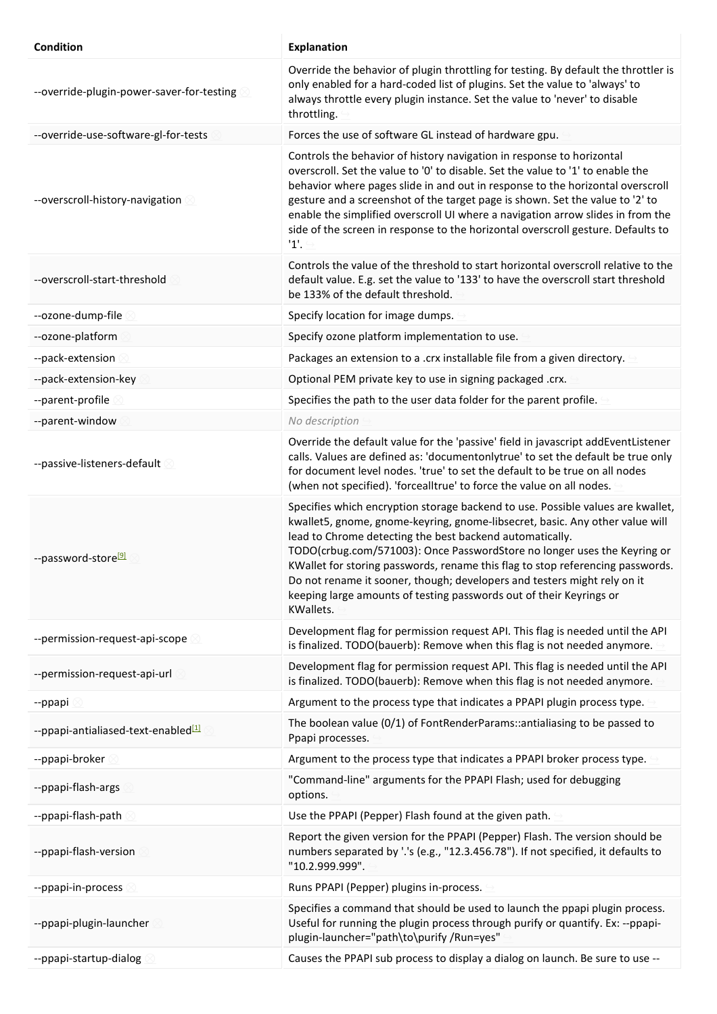| Condition                                       | <b>Explanation</b>                                                                                                                                                                                                                                                                                                                                                                                                                                                                                                                                               |
|-------------------------------------------------|------------------------------------------------------------------------------------------------------------------------------------------------------------------------------------------------------------------------------------------------------------------------------------------------------------------------------------------------------------------------------------------------------------------------------------------------------------------------------------------------------------------------------------------------------------------|
| --override-plugin-power-saver-for-testing       | Override the behavior of plugin throttling for testing. By default the throttler is<br>only enabled for a hard-coded list of plugins. Set the value to 'always' to<br>always throttle every plugin instance. Set the value to 'never' to disable<br>throttling.                                                                                                                                                                                                                                                                                                  |
| --override-use-software-gl-for-tests            | Forces the use of software GL instead of hardware gpu.                                                                                                                                                                                                                                                                                                                                                                                                                                                                                                           |
| --overscroll-history-navigation                 | Controls the behavior of history navigation in response to horizontal<br>overscroll. Set the value to '0' to disable. Set the value to '1' to enable the<br>behavior where pages slide in and out in response to the horizontal overscroll<br>gesture and a screenshot of the target page is shown. Set the value to '2' to<br>enable the simplified overscroll UI where a navigation arrow slides in from the<br>side of the screen in response to the horizontal overscroll gesture. Defaults to<br>1'.                                                        |
| --overscroll-start-threshold                    | Controls the value of the threshold to start horizontal overscroll relative to the<br>default value. E.g. set the value to '133' to have the overscroll start threshold<br>be 133% of the default threshold.                                                                                                                                                                                                                                                                                                                                                     |
| --ozone-dump-file                               | Specify location for image dumps.                                                                                                                                                                                                                                                                                                                                                                                                                                                                                                                                |
| --ozone-platform                                | Specify ozone platform implementation to use.                                                                                                                                                                                                                                                                                                                                                                                                                                                                                                                    |
| --pack-extension                                | Packages an extension to a .crx installable file from a given directory.                                                                                                                                                                                                                                                                                                                                                                                                                                                                                         |
| --pack-extension-key                            | Optional PEM private key to use in signing packaged .crx.                                                                                                                                                                                                                                                                                                                                                                                                                                                                                                        |
| --parent-profile                                | Specifies the path to the user data folder for the parent profile.                                                                                                                                                                                                                                                                                                                                                                                                                                                                                               |
| --parent-window                                 | No description                                                                                                                                                                                                                                                                                                                                                                                                                                                                                                                                                   |
| --passive-listeners-default                     | Override the default value for the 'passive' field in javascript addEventListener<br>calls. Values are defined as: 'documentonlytrue' to set the default be true only<br>for document level nodes. 'true' to set the default to be true on all nodes<br>(when not specified). 'forcealltrue' to force the value on all nodes.                                                                                                                                                                                                                                    |
| --password-store <sup>[9]</sup>                 | Specifies which encryption storage backend to use. Possible values are kwallet,<br>kwallet5, gnome, gnome-keyring, gnome-libsecret, basic. Any other value will<br>lead to Chrome detecting the best backend automatically.<br>TODO(crbug.com/571003): Once PasswordStore no longer uses the Keyring or<br>KWallet for storing passwords, rename this flag to stop referencing passwords.<br>Do not rename it sooner, though; developers and testers might rely on it<br>keeping large amounts of testing passwords out of their Keyrings or<br><b>KWallets.</b> |
| --permission-request-api-scope                  | Development flag for permission request API. This flag is needed until the API<br>is finalized. TODO(bauerb): Remove when this flag is not needed anymore.                                                                                                                                                                                                                                                                                                                                                                                                       |
| --permission-request-api-url                    | Development flag for permission request API. This flag is needed until the API<br>is finalized. TODO(bauerb): Remove when this flag is not needed anymore.                                                                                                                                                                                                                                                                                                                                                                                                       |
| --ppapi                                         | Argument to the process type that indicates a PPAPI plugin process type.                                                                                                                                                                                                                                                                                                                                                                                                                                                                                         |
| --ppapi-antialiased-text-enabled <sup>[1]</sup> | The boolean value (0/1) of FontRenderParams:: antialiasing to be passed to<br>Ppapi processes.                                                                                                                                                                                                                                                                                                                                                                                                                                                                   |
| --ppapi-broker                                  | Argument to the process type that indicates a PPAPI broker process type.                                                                                                                                                                                                                                                                                                                                                                                                                                                                                         |
| --ppapi-flash-args                              | "Command-line" arguments for the PPAPI Flash; used for debugging<br>options.                                                                                                                                                                                                                                                                                                                                                                                                                                                                                     |
| --ppapi-flash-path                              | Use the PPAPI (Pepper) Flash found at the given path.                                                                                                                                                                                                                                                                                                                                                                                                                                                                                                            |
| --ppapi-flash-version                           | Report the given version for the PPAPI (Pepper) Flash. The version should be<br>numbers separated by '.'s (e.g., "12.3.456.78"). If not specified, it defaults to<br>"10.2.999.999".                                                                                                                                                                                                                                                                                                                                                                             |
| --ppapi-in-process                              | Runs PPAPI (Pepper) plugins in-process.                                                                                                                                                                                                                                                                                                                                                                                                                                                                                                                          |
| --ppapi-plugin-launcher                         | Specifies a command that should be used to launch the ppapi plugin process.<br>Useful for running the plugin process through purify or quantify. Ex: --ppapi-<br>plugin-launcher="path\to\purify /Run=yes"                                                                                                                                                                                                                                                                                                                                                       |
| --ppapi-startup-dialog                          | Causes the PPAPI sub process to display a dialog on launch. Be sure to use --                                                                                                                                                                                                                                                                                                                                                                                                                                                                                    |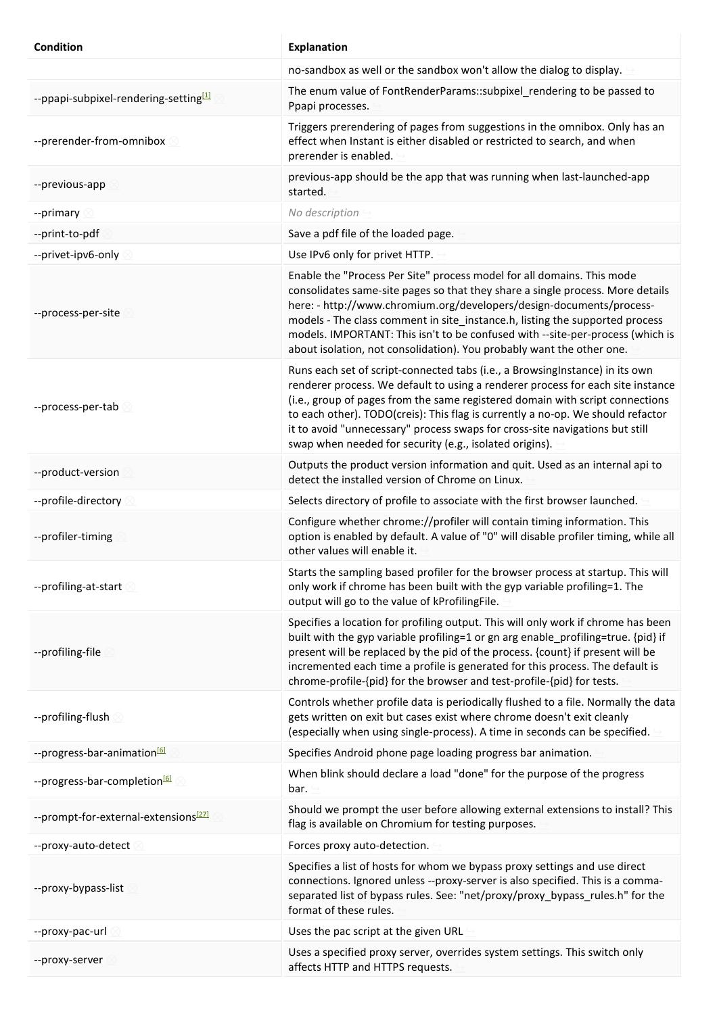| Condition                                         | <b>Explanation</b>                                                                                                                                                                                                                                                                                                                                                                                                                                                             |
|---------------------------------------------------|--------------------------------------------------------------------------------------------------------------------------------------------------------------------------------------------------------------------------------------------------------------------------------------------------------------------------------------------------------------------------------------------------------------------------------------------------------------------------------|
|                                                   | no-sandbox as well or the sandbox won't allow the dialog to display.                                                                                                                                                                                                                                                                                                                                                                                                           |
| --ppapi-subpixel-rendering-setting <sup>[1]</sup> | The enum value of FontRenderParams::subpixel_rendering to be passed to<br>Ppapi processes.                                                                                                                                                                                                                                                                                                                                                                                     |
| --prerender-from-omnibox 20                       | Triggers prerendering of pages from suggestions in the omnibox. Only has an<br>effect when Instant is either disabled or restricted to search, and when<br>prerender is enabled.                                                                                                                                                                                                                                                                                               |
| --previous-app                                    | previous-app should be the app that was running when last-launched-app<br>started.                                                                                                                                                                                                                                                                                                                                                                                             |
| --primary                                         | No description                                                                                                                                                                                                                                                                                                                                                                                                                                                                 |
| --print-to-pdf                                    | Save a pdf file of the loaded page.                                                                                                                                                                                                                                                                                                                                                                                                                                            |
| --privet-ipv6-only                                | Use IPv6 only for privet HTTP.                                                                                                                                                                                                                                                                                                                                                                                                                                                 |
| --process-per-site                                | Enable the "Process Per Site" process model for all domains. This mode<br>consolidates same-site pages so that they share a single process. More details<br>here: - http://www.chromium.org/developers/design-documents/process-<br>models - The class comment in site_instance.h, listing the supported process<br>models. IMPORTANT: This isn't to be confused with --site-per-process (which is<br>about isolation, not consolidation). You probably want the other one.    |
| --process-per-tab                                 | Runs each set of script-connected tabs (i.e., a BrowsingInstance) in its own<br>renderer process. We default to using a renderer process for each site instance<br>(i.e., group of pages from the same registered domain with script connections<br>to each other). TODO(creis): This flag is currently a no-op. We should refactor<br>it to avoid "unnecessary" process swaps for cross-site navigations but still<br>swap when needed for security (e.g., isolated origins). |
| --product-version                                 | Outputs the product version information and quit. Used as an internal api to<br>detect the installed version of Chrome on Linux.                                                                                                                                                                                                                                                                                                                                               |
| --profile-directory                               | Selects directory of profile to associate with the first browser launched.                                                                                                                                                                                                                                                                                                                                                                                                     |
| --profiler-timing                                 | Configure whether chrome://profiler will contain timing information. This<br>option is enabled by default. A value of "0" will disable profiler timing, while all<br>other values will enable it.                                                                                                                                                                                                                                                                              |
| --profiling-at-start 8                            | Starts the sampling based profiler for the browser process at startup. This will<br>only work if chrome has been built with the gyp variable profiling=1. The<br>output will go to the value of kProfilingFile.                                                                                                                                                                                                                                                                |
| --profiling-file                                  | Specifies a location for profiling output. This will only work if chrome has been<br>built with the gyp variable profiling=1 or gn arg enable profiling=true. {pid} if<br>present will be replaced by the pid of the process. {count} if present will be<br>incremented each time a profile is generated for this process. The default is<br>chrome-profile-{pid} for the browser and test-profile-{pid} for tests.                                                            |
| --profiling-flush 2                               | Controls whether profile data is periodically flushed to a file. Normally the data<br>gets written on exit but cases exist where chrome doesn't exit cleanly<br>(especially when using single-process). A time in seconds can be specified.                                                                                                                                                                                                                                    |
| --progress-bar-animation <sup>[6]</sup>           | Specifies Android phone page loading progress bar animation.                                                                                                                                                                                                                                                                                                                                                                                                                   |
| --progress-bar-completion <sup>[6]</sup>          | When blink should declare a load "done" for the purpose of the progress<br>bar.                                                                                                                                                                                                                                                                                                                                                                                                |
| --prompt-for-external-extensions <sup>[27]</sup>  | Should we prompt the user before allowing external extensions to install? This<br>flag is available on Chromium for testing purposes.                                                                                                                                                                                                                                                                                                                                          |
| --proxy-auto-detect                               | Forces proxy auto-detection.                                                                                                                                                                                                                                                                                                                                                                                                                                                   |
| --proxy-bypass-list                               | Specifies a list of hosts for whom we bypass proxy settings and use direct<br>connections. Ignored unless --proxy-server is also specified. This is a comma-<br>separated list of bypass rules. See: "net/proxy/proxy_bypass_rules.h" for the<br>format of these rules.                                                                                                                                                                                                        |
| --proxy-pac-url                                   | Uses the pac script at the given URL                                                                                                                                                                                                                                                                                                                                                                                                                                           |
| --proxy-server                                    | Uses a specified proxy server, overrides system settings. This switch only<br>affects HTTP and HTTPS requests.                                                                                                                                                                                                                                                                                                                                                                 |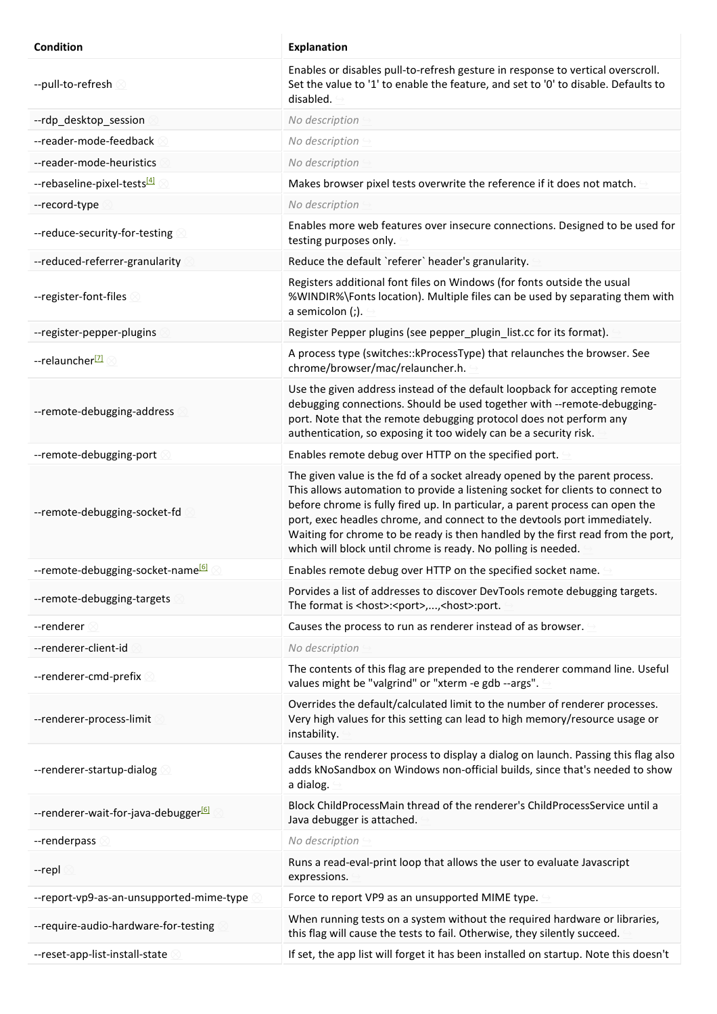| Condition                                        | <b>Explanation</b>                                                                                                                                                                                                                                                                                                                                                                                                                                                             |
|--------------------------------------------------|--------------------------------------------------------------------------------------------------------------------------------------------------------------------------------------------------------------------------------------------------------------------------------------------------------------------------------------------------------------------------------------------------------------------------------------------------------------------------------|
| --pull-to-refresh                                | Enables or disables pull-to-refresh gesture in response to vertical overscroll.<br>Set the value to '1' to enable the feature, and set to '0' to disable. Defaults to<br>disabled.                                                                                                                                                                                                                                                                                             |
| --rdp_desktop_session                            | No description                                                                                                                                                                                                                                                                                                                                                                                                                                                                 |
| --reader-mode-feedback                           | No description                                                                                                                                                                                                                                                                                                                                                                                                                                                                 |
| --reader-mode-heuristics                         | No description                                                                                                                                                                                                                                                                                                                                                                                                                                                                 |
| --rebaseline-pixel-tests <sup>[4]</sup>          | Makes browser pixel tests overwrite the reference if it does not match.                                                                                                                                                                                                                                                                                                                                                                                                        |
| --record-type                                    | No description                                                                                                                                                                                                                                                                                                                                                                                                                                                                 |
| --reduce-security-for-testing                    | Enables more web features over insecure connections. Designed to be used for<br>testing purposes only.                                                                                                                                                                                                                                                                                                                                                                         |
| --reduced-referrer-granularity                   | Reduce the default 'referer' header's granularity.                                                                                                                                                                                                                                                                                                                                                                                                                             |
| --register-font-files                            | Registers additional font files on Windows (for fonts outside the usual<br>%WINDIR%\Fonts location). Multiple files can be used by separating them with<br>a semicolon (;).                                                                                                                                                                                                                                                                                                    |
| --register-pepper-plugins                        | Register Pepper plugins (see pepper_plugin_list.cc for its format).                                                                                                                                                                                                                                                                                                                                                                                                            |
| --relauncher <sup>[7]</sup>                      | A process type (switches:: kProcessType) that relaunches the browser. See<br>chrome/browser/mac/relauncher.h.                                                                                                                                                                                                                                                                                                                                                                  |
| --remote-debugging-address                       | Use the given address instead of the default loopback for accepting remote<br>debugging connections. Should be used together with --remote-debugging-<br>port. Note that the remote debugging protocol does not perform any<br>authentication, so exposing it too widely can be a security risk.                                                                                                                                                                               |
| --remote-debugging-port                          | Enables remote debug over HTTP on the specified port.                                                                                                                                                                                                                                                                                                                                                                                                                          |
| --remote-debugging-socket-fd                     | The given value is the fd of a socket already opened by the parent process.<br>This allows automation to provide a listening socket for clients to connect to<br>before chrome is fully fired up. In particular, a parent process can open the<br>port, exec headles chrome, and connect to the devtools port immediately.<br>Waiting for chrome to be ready is then handled by the first read from the port,<br>which will block until chrome is ready. No polling is needed. |
| --remote-debugging-socket-name <sup>[6]</sup>    | Enables remote debug over HTTP on the specified socket name.                                                                                                                                                                                                                                                                                                                                                                                                                   |
| --remote-debugging-targets                       | Porvides a list of addresses to discover DevTools remote debugging targets.<br>The format is <host>:<port>,,<host>:port.</host></port></host>                                                                                                                                                                                                                                                                                                                                  |
| --renderer                                       | Causes the process to run as renderer instead of as browser.                                                                                                                                                                                                                                                                                                                                                                                                                   |
| --renderer-client-id                             | No description                                                                                                                                                                                                                                                                                                                                                                                                                                                                 |
| --renderer-cmd-prefix                            | The contents of this flag are prepended to the renderer command line. Useful<br>values might be "valgrind" or "xterm -e gdb --args".                                                                                                                                                                                                                                                                                                                                           |
| --renderer-process-limit                         | Overrides the default/calculated limit to the number of renderer processes.<br>Very high values for this setting can lead to high memory/resource usage or<br>instability.                                                                                                                                                                                                                                                                                                     |
| --renderer-startup-dialog                        | Causes the renderer process to display a dialog on launch. Passing this flag also<br>adds kNoSandbox on Windows non-official builds, since that's needed to show<br>a dialog.                                                                                                                                                                                                                                                                                                  |
| --renderer-wait-for-java-debugger <sup>[6]</sup> | Block ChildProcessMain thread of the renderer's ChildProcessService until a<br>Java debugger is attached.                                                                                                                                                                                                                                                                                                                                                                      |
| --renderpass                                     | No description                                                                                                                                                                                                                                                                                                                                                                                                                                                                 |
| --repl                                           | Runs a read-eval-print loop that allows the user to evaluate Javascript<br>expressions.                                                                                                                                                                                                                                                                                                                                                                                        |
| --report-vp9-as-an-unsupported-mime-type         | Force to report VP9 as an unsupported MIME type.                                                                                                                                                                                                                                                                                                                                                                                                                               |
| -- require-audio-hardware-for-testing            | When running tests on a system without the required hardware or libraries,<br>this flag will cause the tests to fail. Otherwise, they silently succeed.                                                                                                                                                                                                                                                                                                                        |
| --reset-app-list-install-state                   | If set, the app list will forget it has been installed on startup. Note this doesn't                                                                                                                                                                                                                                                                                                                                                                                           |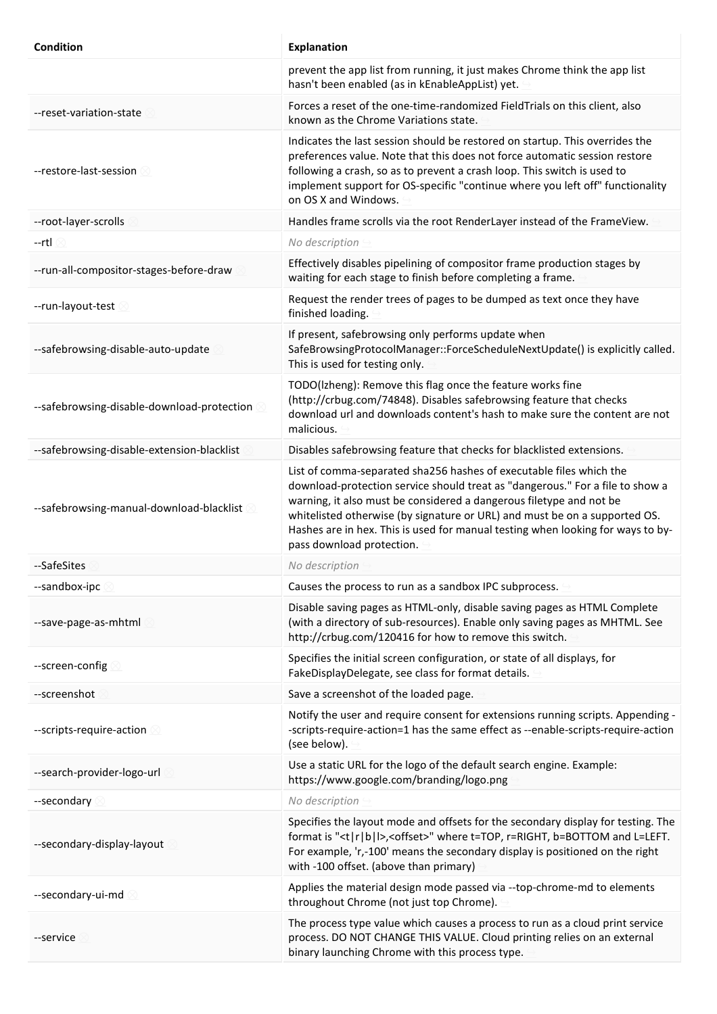| <b>Condition</b>                           | <b>Explanation</b>                                                                                                                                                                                                                                                                                                                                                                                                        |
|--------------------------------------------|---------------------------------------------------------------------------------------------------------------------------------------------------------------------------------------------------------------------------------------------------------------------------------------------------------------------------------------------------------------------------------------------------------------------------|
|                                            | prevent the app list from running, it just makes Chrome think the app list<br>hasn't been enabled (as in kEnableAppList) yet.                                                                                                                                                                                                                                                                                             |
| --reset-variation-state                    | Forces a reset of the one-time-randomized FieldTrials on this client, also<br>known as the Chrome Variations state.                                                                                                                                                                                                                                                                                                       |
| --restore-last-session                     | Indicates the last session should be restored on startup. This overrides the<br>preferences value. Note that this does not force automatic session restore<br>following a crash, so as to prevent a crash loop. This switch is used to<br>implement support for OS-specific "continue where you left off" functionality<br>on OS X and Windows.                                                                           |
| --root-layer-scrolls                       | Handles frame scrolls via the root RenderLayer instead of the FrameView.                                                                                                                                                                                                                                                                                                                                                  |
| --rtl                                      | No description                                                                                                                                                                                                                                                                                                                                                                                                            |
| --run-all-compositor-stages-before-draw    | Effectively disables pipelining of compositor frame production stages by<br>waiting for each stage to finish before completing a frame.                                                                                                                                                                                                                                                                                   |
| --run-layout-test                          | Request the render trees of pages to be dumped as text once they have<br>finished loading.                                                                                                                                                                                                                                                                                                                                |
| --safebrowsing-disable-auto-update         | If present, safebrowsing only performs update when<br>SafeBrowsingProtocolManager::ForceScheduleNextUpdate() is explicitly called.<br>This is used for testing only.                                                                                                                                                                                                                                                      |
| --safebrowsing-disable-download-protection | TODO(Izheng): Remove this flag once the feature works fine<br>(http://crbug.com/74848). Disables safebrowsing feature that checks<br>download url and downloads content's hash to make sure the content are not<br>malicious.                                                                                                                                                                                             |
| --safebrowsing-disable-extension-blacklist | Disables safebrowsing feature that checks for blacklisted extensions.                                                                                                                                                                                                                                                                                                                                                     |
| --safebrowsing-manual-download-blacklist 8 | List of comma-separated sha256 hashes of executable files which the<br>download-protection service should treat as "dangerous." For a file to show a<br>warning, it also must be considered a dangerous filetype and not be<br>whitelisted otherwise (by signature or URL) and must be on a supported OS.<br>Hashes are in hex. This is used for manual testing when looking for ways to by-<br>pass download protection. |
| --SafeSites                                | No description                                                                                                                                                                                                                                                                                                                                                                                                            |
| --sandbox-ipc                              | Causes the process to run as a sandbox IPC subprocess.                                                                                                                                                                                                                                                                                                                                                                    |
| --save-page-as-mhtml                       | Disable saving pages as HTML-only, disable saving pages as HTML Complete<br>(with a directory of sub-resources). Enable only saving pages as MHTML. See<br>http://crbug.com/120416 for how to remove this switch.                                                                                                                                                                                                         |
| --screen-config                            | Specifies the initial screen configuration, or state of all displays, for<br>FakeDisplayDelegate, see class for format details.                                                                                                                                                                                                                                                                                           |
| --screenshot                               | Save a screenshot of the loaded page.                                                                                                                                                                                                                                                                                                                                                                                     |
| --scripts-require-action                   | Notify the user and require consent for extensions running scripts. Appending -<br>-scripts-require-action=1 has the same effect as --enable-scripts-require-action<br>(see below).                                                                                                                                                                                                                                       |
| --search-provider-logo-url                 | Use a static URL for the logo of the default search engine. Example:<br>https://www.google.com/branding/logo.png                                                                                                                                                                                                                                                                                                          |
| --secondary                                | No description                                                                                                                                                                                                                                                                                                                                                                                                            |
| --secondary-display-layout                 | Specifies the layout mode and offsets for the secondary display for testing. The<br>format is " <t r b l>,<offset>" where t=TOP, r=RIGHT, b=BOTTOM and L=LEFT.<br/>For example, 'r,-100' means the secondary display is positioned on the right<br/>with -100 offset. (above than primary)</offset></t r b l>                                                                                                             |
| --secondary-ui-md                          | Applies the material design mode passed via --top-chrome-md to elements<br>throughout Chrome (not just top Chrome).                                                                                                                                                                                                                                                                                                       |
| --service                                  | The process type value which causes a process to run as a cloud print service<br>process. DO NOT CHANGE THIS VALUE. Cloud printing relies on an external<br>binary launching Chrome with this process type.                                                                                                                                                                                                               |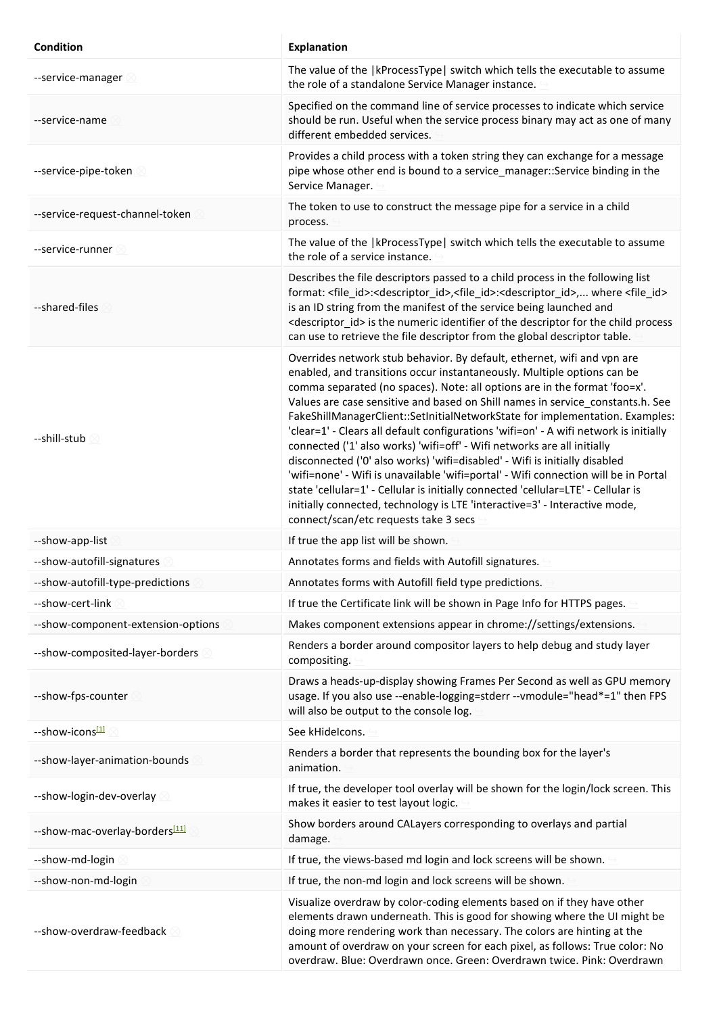| Condition                          | <b>Explanation</b>                                                                                                                                                                                                                                                                                                                                                                                                                                                                                                                                                                                                                                                                                                                                                                                                                                                                                                                                     |
|------------------------------------|--------------------------------------------------------------------------------------------------------------------------------------------------------------------------------------------------------------------------------------------------------------------------------------------------------------------------------------------------------------------------------------------------------------------------------------------------------------------------------------------------------------------------------------------------------------------------------------------------------------------------------------------------------------------------------------------------------------------------------------------------------------------------------------------------------------------------------------------------------------------------------------------------------------------------------------------------------|
| --service-manager 8                | The value of the   kProcessType   switch which tells the executable to assume<br>the role of a standalone Service Manager instance.                                                                                                                                                                                                                                                                                                                                                                                                                                                                                                                                                                                                                                                                                                                                                                                                                    |
| --service-name                     | Specified on the command line of service processes to indicate which service<br>should be run. Useful when the service process binary may act as one of many<br>different embedded services.                                                                                                                                                                                                                                                                                                                                                                                                                                                                                                                                                                                                                                                                                                                                                           |
| --service-pipe-token               | Provides a child process with a token string they can exchange for a message<br>pipe whose other end is bound to a service_manager::Service binding in the<br>Service Manager.                                                                                                                                                                                                                                                                                                                                                                                                                                                                                                                                                                                                                                                                                                                                                                         |
| --service-request-channel-token    | The token to use to construct the message pipe for a service in a child<br>process.                                                                                                                                                                                                                                                                                                                                                                                                                                                                                                                                                                                                                                                                                                                                                                                                                                                                    |
| --service-runner $\otimes$         | The value of the   kProcessType   switch which tells the executable to assume<br>the role of a service instance.                                                                                                                                                                                                                                                                                                                                                                                                                                                                                                                                                                                                                                                                                                                                                                                                                                       |
| --shared-files                     | Describes the file descriptors passed to a child process in the following list<br>format: <file id="">:<descriptor id="">,<file id="">:<descriptor id="">, where <file id=""><br/>is an ID string from the manifest of the service being launched and<br/><descriptor id=""> is the numeric identifier of the descriptor for the child process<br/>can use to retrieve the file descriptor from the global descriptor table.</descriptor></file></descriptor></file></descriptor></file>                                                                                                                                                                                                                                                                                                                                                                                                                                                               |
| --shill-stub $\otimes$             | Overrides network stub behavior. By default, ethernet, wifi and vpn are<br>enabled, and transitions occur instantaneously. Multiple options can be<br>comma separated (no spaces). Note: all options are in the format 'foo=x'.<br>Values are case sensitive and based on Shill names in service_constants.h. See<br>FakeShillManagerClient::SetInitialNetworkState for implementation. Examples:<br>'clear=1' - Clears all default configurations 'wifi=on' - A wifi network is initially<br>connected ('1' also works) 'wifi=off' - Wifi networks are all initially<br>disconnected ('0' also works) 'wifi=disabled' - Wifi is initially disabled<br>'wifi=none' - Wifi is unavailable 'wifi=portal' - Wifi connection will be in Portal<br>state 'cellular=1' - Cellular is initially connected 'cellular=LTE' - Cellular is<br>initially connected, technology is LTE 'interactive=3' - Interactive mode,<br>connect/scan/etc requests take 3 secs |
| --show-app-list                    | If true the app list will be shown.                                                                                                                                                                                                                                                                                                                                                                                                                                                                                                                                                                                                                                                                                                                                                                                                                                                                                                                    |
| --show-autofill-signatures         | Annotates forms and fields with Autofill signatures.                                                                                                                                                                                                                                                                                                                                                                                                                                                                                                                                                                                                                                                                                                                                                                                                                                                                                                   |
| --show-autofill-type-predictions   | Annotates forms with Autofill field type predictions.                                                                                                                                                                                                                                                                                                                                                                                                                                                                                                                                                                                                                                                                                                                                                                                                                                                                                                  |
| --show-cert-link                   | If true the Certificate link will be shown in Page Info for HTTPS pages.                                                                                                                                                                                                                                                                                                                                                                                                                                                                                                                                                                                                                                                                                                                                                                                                                                                                               |
| --show-component-extension-options | Makes component extensions appear in chrome://settings/extensions.                                                                                                                                                                                                                                                                                                                                                                                                                                                                                                                                                                                                                                                                                                                                                                                                                                                                                     |
| --show-composited-layer-borders    | Renders a border around compositor layers to help debug and study layer<br>compositing.                                                                                                                                                                                                                                                                                                                                                                                                                                                                                                                                                                                                                                                                                                                                                                                                                                                                |
| --show-fps-counter                 | Draws a heads-up-display showing Frames Per Second as well as GPU memory<br>usage. If you also use --enable-logging=stderr --vmodule="head*=1" then FPS<br>will also be output to the console log.                                                                                                                                                                                                                                                                                                                                                                                                                                                                                                                                                                                                                                                                                                                                                     |
| --show-icons[1]                    | See kHidelcons.                                                                                                                                                                                                                                                                                                                                                                                                                                                                                                                                                                                                                                                                                                                                                                                                                                                                                                                                        |
| --show-layer-animation-bounds      | Renders a border that represents the bounding box for the layer's<br>animation.                                                                                                                                                                                                                                                                                                                                                                                                                                                                                                                                                                                                                                                                                                                                                                                                                                                                        |
| --show-login-dev-overlay           | If true, the developer tool overlay will be shown for the login/lock screen. This<br>makes it easier to test layout logic.                                                                                                                                                                                                                                                                                                                                                                                                                                                                                                                                                                                                                                                                                                                                                                                                                             |
| --show-mac-overlay-borders[11]     | Show borders around CALayers corresponding to overlays and partial<br>damage.                                                                                                                                                                                                                                                                                                                                                                                                                                                                                                                                                                                                                                                                                                                                                                                                                                                                          |
| --show-md-login                    | If true, the views-based md login and lock screens will be shown.                                                                                                                                                                                                                                                                                                                                                                                                                                                                                                                                                                                                                                                                                                                                                                                                                                                                                      |
| --show-non-md-login                | If true, the non-md login and lock screens will be shown.                                                                                                                                                                                                                                                                                                                                                                                                                                                                                                                                                                                                                                                                                                                                                                                                                                                                                              |
| --show-overdraw-feedback           | Visualize overdraw by color-coding elements based on if they have other<br>elements drawn underneath. This is good for showing where the UI might be<br>doing more rendering work than necessary. The colors are hinting at the<br>amount of overdraw on your screen for each pixel, as follows: True color: No<br>overdraw. Blue: Overdrawn once. Green: Overdrawn twice. Pink: Overdrawn                                                                                                                                                                                                                                                                                                                                                                                                                                                                                                                                                             |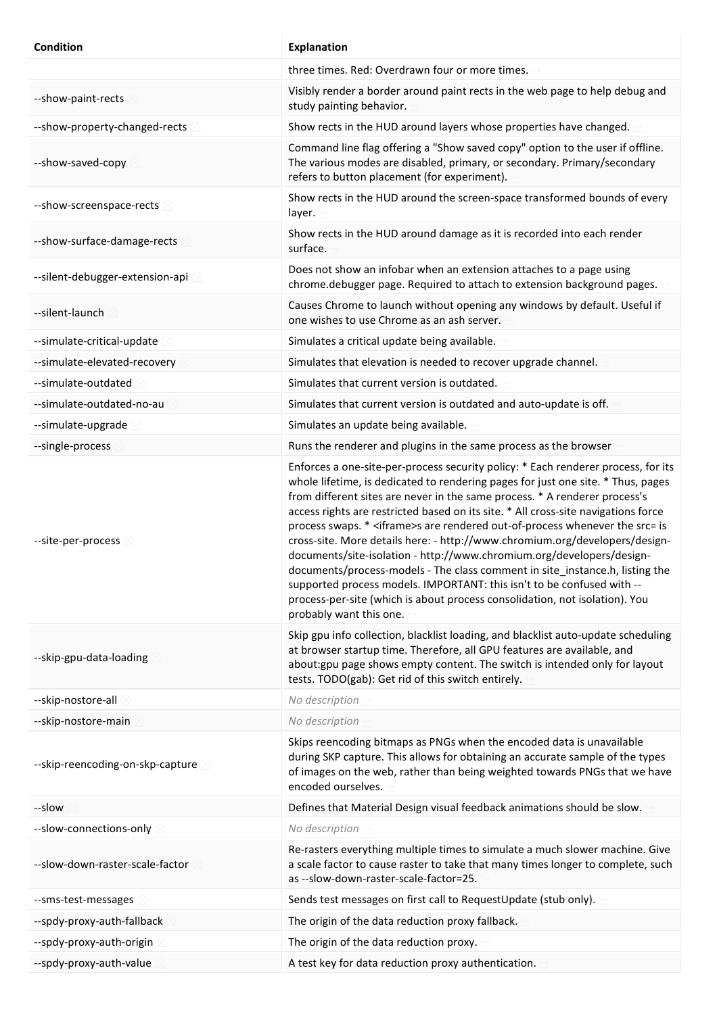| Condition                        | <b>Explanation</b>                                                                                                                                                                                                                                                                                                                                                                                                                                                                                                                                                                                                                                                                                                                                                                                                                                                  |
|----------------------------------|---------------------------------------------------------------------------------------------------------------------------------------------------------------------------------------------------------------------------------------------------------------------------------------------------------------------------------------------------------------------------------------------------------------------------------------------------------------------------------------------------------------------------------------------------------------------------------------------------------------------------------------------------------------------------------------------------------------------------------------------------------------------------------------------------------------------------------------------------------------------|
|                                  | three times. Red: Overdrawn four or more times.                                                                                                                                                                                                                                                                                                                                                                                                                                                                                                                                                                                                                                                                                                                                                                                                                     |
| --show-paint-rects               | Visibly render a border around paint rects in the web page to help debug and<br>study painting behavior.                                                                                                                                                                                                                                                                                                                                                                                                                                                                                                                                                                                                                                                                                                                                                            |
| --show-property-changed-rects    | Show rects in the HUD around layers whose properties have changed.                                                                                                                                                                                                                                                                                                                                                                                                                                                                                                                                                                                                                                                                                                                                                                                                  |
| --show-saved-copy                | Command line flag offering a "Show saved copy" option to the user if offline.<br>The various modes are disabled, primary, or secondary. Primary/secondary<br>refers to button placement (for experiment).                                                                                                                                                                                                                                                                                                                                                                                                                                                                                                                                                                                                                                                           |
| --show-screenspace-rects         | Show rects in the HUD around the screen-space transformed bounds of every<br>layer.                                                                                                                                                                                                                                                                                                                                                                                                                                                                                                                                                                                                                                                                                                                                                                                 |
| --show-surface-damage-rects      | Show rects in the HUD around damage as it is recorded into each render<br>surface.                                                                                                                                                                                                                                                                                                                                                                                                                                                                                                                                                                                                                                                                                                                                                                                  |
| --silent-debugger-extension-api  | Does not show an infobar when an extension attaches to a page using<br>chrome.debugger page. Required to attach to extension background pages.                                                                                                                                                                                                                                                                                                                                                                                                                                                                                                                                                                                                                                                                                                                      |
| --silent-launch                  | Causes Chrome to launch without opening any windows by default. Useful if<br>one wishes to use Chrome as an ash server.                                                                                                                                                                                                                                                                                                                                                                                                                                                                                                                                                                                                                                                                                                                                             |
| --simulate-critical-update       | Simulates a critical update being available.                                                                                                                                                                                                                                                                                                                                                                                                                                                                                                                                                                                                                                                                                                                                                                                                                        |
| --simulate-elevated-recovery     | Simulates that elevation is needed to recover upgrade channel.                                                                                                                                                                                                                                                                                                                                                                                                                                                                                                                                                                                                                                                                                                                                                                                                      |
| --simulate-outdated              | Simulates that current version is outdated.                                                                                                                                                                                                                                                                                                                                                                                                                                                                                                                                                                                                                                                                                                                                                                                                                         |
| --simulate-outdated-no-au        | Simulates that current version is outdated and auto-update is off.                                                                                                                                                                                                                                                                                                                                                                                                                                                                                                                                                                                                                                                                                                                                                                                                  |
| --simulate-upgrade               | Simulates an update being available.                                                                                                                                                                                                                                                                                                                                                                                                                                                                                                                                                                                                                                                                                                                                                                                                                                |
| --single-process                 | Runs the renderer and plugins in the same process as the browser                                                                                                                                                                                                                                                                                                                                                                                                                                                                                                                                                                                                                                                                                                                                                                                                    |
| --site-per-process 8             | Enforces a one-site-per-process security policy: * Each renderer process, for its<br>whole lifetime, is dedicated to rendering pages for just one site. * Thus, pages<br>from different sites are never in the same process. * A renderer process's<br>access rights are restricted based on its site. * All cross-site navigations force<br>process swaps. * <iframe>s are rendered out-of-process whenever the src= is<br/>cross-site. More details here: - http://www.chromium.org/developers/design-<br/>documents/site-isolation - http://www.chromium.org/developers/design-<br/>documents/process-models - The class comment in site instance.h, listing the<br/>supported process models. IMPORTANT: this isn't to be confused with --<br/>process-per-site (which is about process consolidation, not isolation). You<br/>probably want this one.</iframe> |
| --skip-gpu-data-loading          | Skip gpu info collection, blacklist loading, and blacklist auto-update scheduling<br>at browser startup time. Therefore, all GPU features are available, and<br>about: gpu page shows empty content. The switch is intended only for layout<br>tests. TODO(gab): Get rid of this switch entirely.                                                                                                                                                                                                                                                                                                                                                                                                                                                                                                                                                                   |
| --skip-nostore-all               | No description                                                                                                                                                                                                                                                                                                                                                                                                                                                                                                                                                                                                                                                                                                                                                                                                                                                      |
| --skip-nostore-main              | No description                                                                                                                                                                                                                                                                                                                                                                                                                                                                                                                                                                                                                                                                                                                                                                                                                                                      |
| --skip-reencoding-on-skp-capture | Skips reencoding bitmaps as PNGs when the encoded data is unavailable<br>during SKP capture. This allows for obtaining an accurate sample of the types<br>of images on the web, rather than being weighted towards PNGs that we have<br>encoded ourselves.                                                                                                                                                                                                                                                                                                                                                                                                                                                                                                                                                                                                          |
| --slow                           | Defines that Material Design visual feedback animations should be slow.                                                                                                                                                                                                                                                                                                                                                                                                                                                                                                                                                                                                                                                                                                                                                                                             |
| --slow-connections-only          | No description                                                                                                                                                                                                                                                                                                                                                                                                                                                                                                                                                                                                                                                                                                                                                                                                                                                      |
| --slow-down-raster-scale-factor  | Re-rasters everything multiple times to simulate a much slower machine. Give<br>a scale factor to cause raster to take that many times longer to complete, such<br>as --slow-down-raster-scale-factor=25.                                                                                                                                                                                                                                                                                                                                                                                                                                                                                                                                                                                                                                                           |
| --sms-test-messages              | Sends test messages on first call to RequestUpdate (stub only).                                                                                                                                                                                                                                                                                                                                                                                                                                                                                                                                                                                                                                                                                                                                                                                                     |
| --spdy-proxy-auth-fallback       | The origin of the data reduction proxy fallback.                                                                                                                                                                                                                                                                                                                                                                                                                                                                                                                                                                                                                                                                                                                                                                                                                    |
| --spdy-proxy-auth-origin         | The origin of the data reduction proxy.                                                                                                                                                                                                                                                                                                                                                                                                                                                                                                                                                                                                                                                                                                                                                                                                                             |
| --spdy-proxy-auth-value          | A test key for data reduction proxy authentication.                                                                                                                                                                                                                                                                                                                                                                                                                                                                                                                                                                                                                                                                                                                                                                                                                 |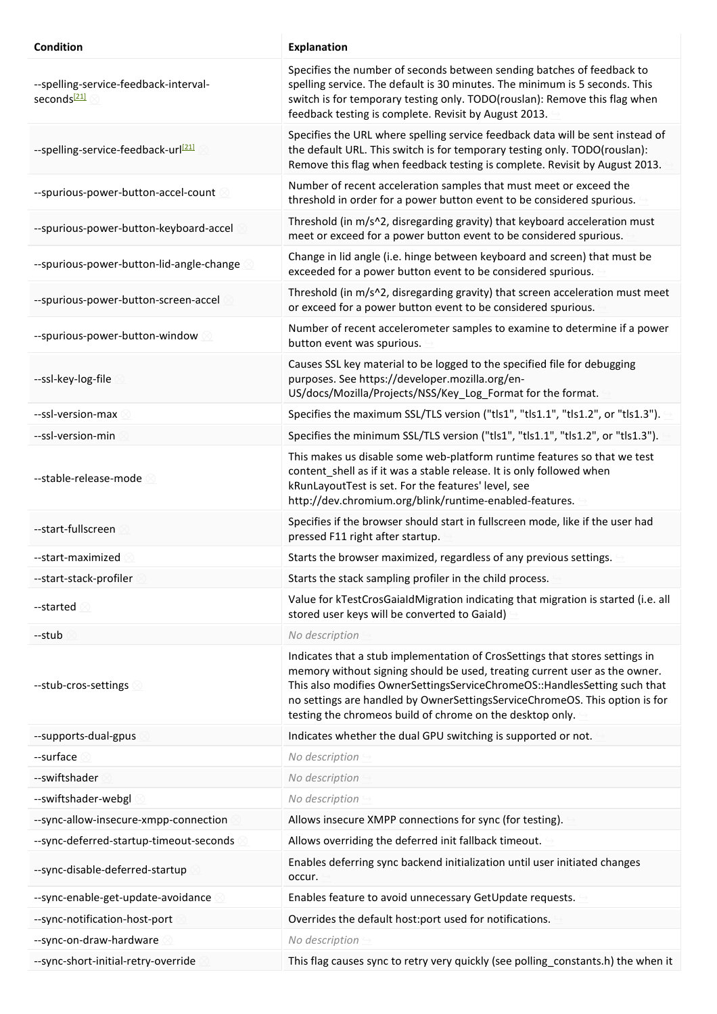| <b>Condition</b>                                                 | <b>Explanation</b>                                                                                                                                                                                                                                                                                                                                                                  |
|------------------------------------------------------------------|-------------------------------------------------------------------------------------------------------------------------------------------------------------------------------------------------------------------------------------------------------------------------------------------------------------------------------------------------------------------------------------|
| --spelling-service-feedback-interval-<br>seconds <sup>[21]</sup> | Specifies the number of seconds between sending batches of feedback to<br>spelling service. The default is 30 minutes. The minimum is 5 seconds. This<br>switch is for temporary testing only. TODO(rouslan): Remove this flag when<br>feedback testing is complete. Revisit by August 2013.                                                                                        |
| --spelling-service-feedback-url <sup>[21]</sup>                  | Specifies the URL where spelling service feedback data will be sent instead of<br>the default URL. This switch is for temporary testing only. TODO(rouslan):<br>Remove this flag when feedback testing is complete. Revisit by August 2013.                                                                                                                                         |
| --spurious-power-button-accel-count                              | Number of recent acceleration samples that must meet or exceed the<br>threshold in order for a power button event to be considered spurious.                                                                                                                                                                                                                                        |
| --spurious-power-button-keyboard-accel                           | Threshold (in m/s^2, disregarding gravity) that keyboard acceleration must<br>meet or exceed for a power button event to be considered spurious.                                                                                                                                                                                                                                    |
| --spurious-power-button-lid-angle-change                         | Change in lid angle (i.e. hinge between keyboard and screen) that must be<br>exceeded for a power button event to be considered spurious.                                                                                                                                                                                                                                           |
| --spurious-power-button-screen-accel                             | Threshold (in m/s^2, disregarding gravity) that screen acceleration must meet<br>or exceed for a power button event to be considered spurious.                                                                                                                                                                                                                                      |
| --spurious-power-button-window                                   | Number of recent accelerometer samples to examine to determine if a power<br>button event was spurious.                                                                                                                                                                                                                                                                             |
| --ssl-key-log-file                                               | Causes SSL key material to be logged to the specified file for debugging<br>purposes. See https://developer.mozilla.org/en-<br>US/docs/Mozilla/Projects/NSS/Key_Log_Format for the format.                                                                                                                                                                                          |
| --ssl-version-max                                                | Specifies the maximum SSL/TLS version ("tls1", "tls1.1", "tls1.2", or "tls1.3").                                                                                                                                                                                                                                                                                                    |
| --ssl-version-min                                                | Specifies the minimum SSL/TLS version ("tls1", "tls1.1", "tls1.2", or "tls1.3").                                                                                                                                                                                                                                                                                                    |
| --stable-release-mode 8                                          | This makes us disable some web-platform runtime features so that we test<br>content_shell as if it was a stable release. It is only followed when<br>kRunLayoutTest is set. For the features' level, see<br>http://dev.chromium.org/blink/runtime-enabled-features.                                                                                                                 |
| --start-fullscreen                                               | Specifies if the browser should start in fullscreen mode, like if the user had<br>pressed F11 right after startup.                                                                                                                                                                                                                                                                  |
| --start-maximized                                                | Starts the browser maximized, regardless of any previous settings.                                                                                                                                                                                                                                                                                                                  |
| --start-stack-profiler                                           | Starts the stack sampling profiler in the child process.                                                                                                                                                                                                                                                                                                                            |
| --started $\otimes$                                              | Value for kTestCrosGaialdMigration indicating that migration is started (i.e. all<br>stored user keys will be converted to Gaiald)                                                                                                                                                                                                                                                  |
| --stub                                                           | No description                                                                                                                                                                                                                                                                                                                                                                      |
| --stub-cros-settings                                             | Indicates that a stub implementation of CrosSettings that stores settings in<br>memory without signing should be used, treating current user as the owner.<br>This also modifies OwnerSettingsServiceChromeOS::HandlesSetting such that<br>no settings are handled by OwnerSettingsServiceChromeOS. This option is for<br>testing the chromeos build of chrome on the desktop only. |
| --supports-dual-gpus                                             | Indicates whether the dual GPU switching is supported or not.                                                                                                                                                                                                                                                                                                                       |
| --surface                                                        | No description                                                                                                                                                                                                                                                                                                                                                                      |
| --swiftshader                                                    | No description                                                                                                                                                                                                                                                                                                                                                                      |
| --swiftshader-webgl                                              | No description                                                                                                                                                                                                                                                                                                                                                                      |
| --sync-allow-insecure-xmpp-connection                            | Allows insecure XMPP connections for sync (for testing).                                                                                                                                                                                                                                                                                                                            |
| --sync-deferred-startup-timeout-seconds                          | Allows overriding the deferred init fallback timeout.                                                                                                                                                                                                                                                                                                                               |
| --sync-disable-deferred-startup                                  | Enables deferring sync backend initialization until user initiated changes<br>occur.                                                                                                                                                                                                                                                                                                |
| --sync-enable-get-update-avoidance                               | Enables feature to avoid unnecessary GetUpdate requests.                                                                                                                                                                                                                                                                                                                            |
| --sync-notification-host-port                                    | Overrides the default host:port used for notifications.                                                                                                                                                                                                                                                                                                                             |
| --sync-on-draw-hardware                                          | No description                                                                                                                                                                                                                                                                                                                                                                      |
| --sync-short-initial-retry-override                              | This flag causes sync to retry very quickly (see polling_constants.h) the when it                                                                                                                                                                                                                                                                                                   |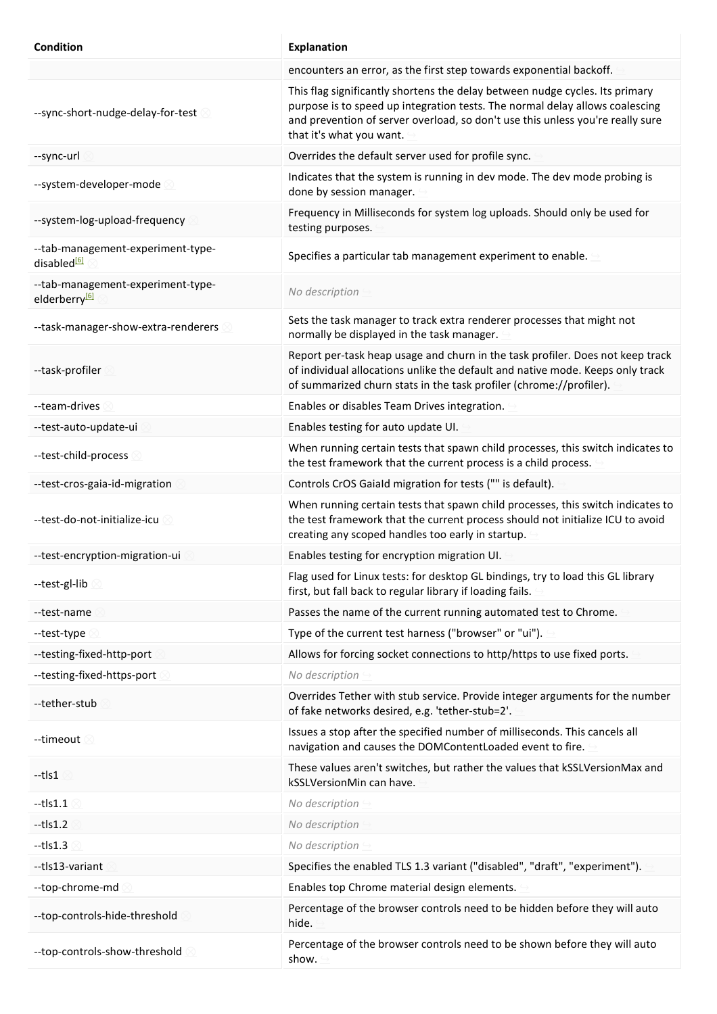| <b>Condition</b>                                               | <b>Explanation</b>                                                                                                                                                                                                                                                         |
|----------------------------------------------------------------|----------------------------------------------------------------------------------------------------------------------------------------------------------------------------------------------------------------------------------------------------------------------------|
|                                                                | encounters an error, as the first step towards exponential backoff.                                                                                                                                                                                                        |
| --sync-short-nudge-delay-for-test                              | This flag significantly shortens the delay between nudge cycles. Its primary<br>purpose is to speed up integration tests. The normal delay allows coalescing<br>and prevention of server overload, so don't use this unless you're really sure<br>that it's what you want. |
| --sync-url                                                     | Overrides the default server used for profile sync.                                                                                                                                                                                                                        |
| --system-developer-mode                                        | Indicates that the system is running in dev mode. The dev mode probing is<br>done by session manager.                                                                                                                                                                      |
| --system-log-upload-frequency                                  | Frequency in Milliseconds for system log uploads. Should only be used for<br>testing purposes.                                                                                                                                                                             |
| --tab-management-experiment-type-<br>disabled <sup>[6]</sup>   | Specifies a particular tab management experiment to enable.                                                                                                                                                                                                                |
| --tab-management-experiment-type-<br>elderberry <sup>[6]</sup> | No description                                                                                                                                                                                                                                                             |
| --task-manager-show-extra-renderers                            | Sets the task manager to track extra renderer processes that might not<br>normally be displayed in the task manager.                                                                                                                                                       |
| --task-profiler                                                | Report per-task heap usage and churn in the task profiler. Does not keep track<br>of individual allocations unlike the default and native mode. Keeps only track<br>of summarized churn stats in the task profiler (chrome://profiler).                                    |
| --team-drives                                                  | Enables or disables Team Drives integration.                                                                                                                                                                                                                               |
| --test-auto-update-ui                                          | Enables testing for auto update UI.                                                                                                                                                                                                                                        |
| --test-child-process                                           | When running certain tests that spawn child processes, this switch indicates to<br>the test framework that the current process is a child process.                                                                                                                         |
| --test-cros-gaia-id-migration                                  | Controls CrOS Gaiald migration for tests ("" is default).                                                                                                                                                                                                                  |
| --test-do-not-initialize-icu 8                                 | When running certain tests that spawn child processes, this switch indicates to<br>the test framework that the current process should not initialize ICU to avoid<br>creating any scoped handles too early in startup.                                                     |
| --test-encryption-migration-ui                                 | Enables testing for encryption migration UI.                                                                                                                                                                                                                               |
| --test-gl-lib 2                                                | Flag used for Linux tests: for desktop GL bindings, try to load this GL library<br>first, but fall back to regular library if loading fails.                                                                                                                               |
| --test-name                                                    | Passes the name of the current running automated test to Chrome.                                                                                                                                                                                                           |
| --test-type                                                    | Type of the current test harness ("browser" or "ui").                                                                                                                                                                                                                      |
| --testing-fixed-http-port                                      | Allows for forcing socket connections to http/https to use fixed ports.                                                                                                                                                                                                    |
| --testing-fixed-https-port                                     | No description                                                                                                                                                                                                                                                             |
| --tether-stub                                                  | Overrides Tether with stub service. Provide integer arguments for the number<br>of fake networks desired, e.g. 'tether-stub=2'.                                                                                                                                            |
| --timeout <i></i>                                              | Issues a stop after the specified number of milliseconds. This cancels all<br>navigation and causes the DOMContentLoaded event to fire.                                                                                                                                    |
| --tls1                                                         | These values aren't switches, but rather the values that kSSLVersionMax and<br>kSSLVersionMin can have.                                                                                                                                                                    |
| --tls1.1                                                       | No description                                                                                                                                                                                                                                                             |
| $-$ tls1.2                                                     | No description                                                                                                                                                                                                                                                             |
| $-$ tls $1.3$                                                  | No description                                                                                                                                                                                                                                                             |
| --tls13-variant                                                | Specifies the enabled TLS 1.3 variant ("disabled", "draft", "experiment").                                                                                                                                                                                                 |
| --top-chrome-md                                                | Enables top Chrome material design elements.                                                                                                                                                                                                                               |
| --top-controls-hide-threshold                                  | Percentage of the browser controls need to be hidden before they will auto<br>hide.                                                                                                                                                                                        |
| --top-controls-show-threshold                                  | Percentage of the browser controls need to be shown before they will auto<br>show.                                                                                                                                                                                         |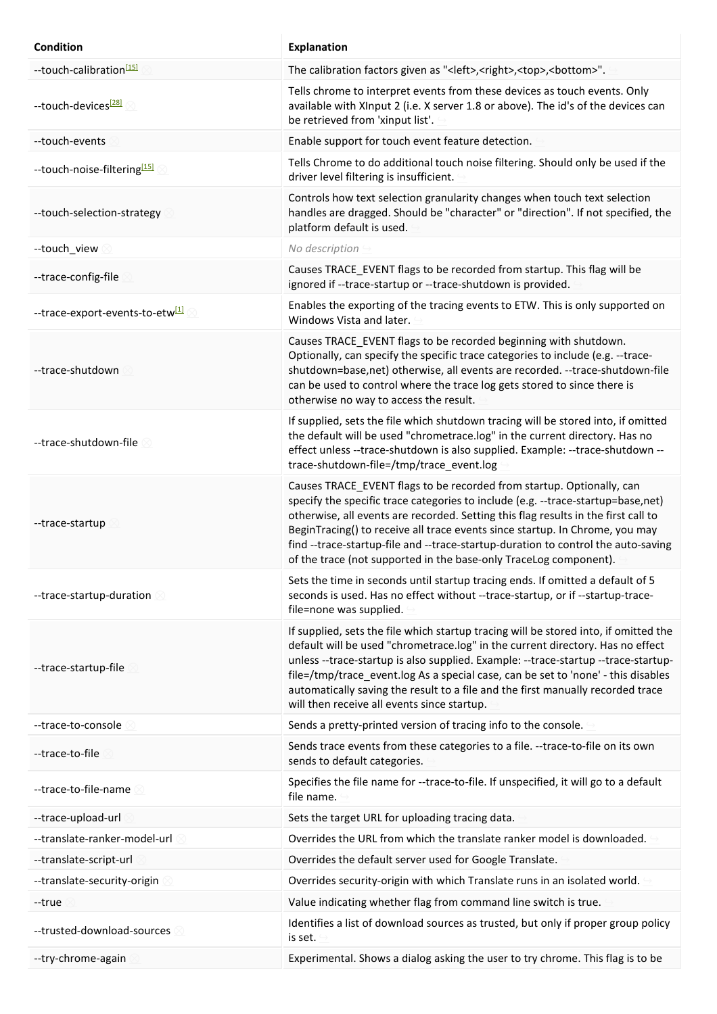| Condition                                   | <b>Explanation</b>                                                                                                                                                                                                                                                                                                                                                                                                                                                                        |
|---------------------------------------------|-------------------------------------------------------------------------------------------------------------------------------------------------------------------------------------------------------------------------------------------------------------------------------------------------------------------------------------------------------------------------------------------------------------------------------------------------------------------------------------------|
| --touch-calibration <sup>[15]</sup>         | The calibration factors given as " <left>,<right>,<top>,<br/>bottom&gt;".</top></right></left>                                                                                                                                                                                                                                                                                                                                                                                            |
| --touch-devices <sup>[28]</sup>             | Tells chrome to interpret events from these devices as touch events. Only<br>available with XInput 2 (i.e. X server 1.8 or above). The id's of the devices can<br>be retrieved from 'xinput list'.                                                                                                                                                                                                                                                                                        |
| --touch-events                              | Enable support for touch event feature detection.                                                                                                                                                                                                                                                                                                                                                                                                                                         |
| --touch-noise-filtering <sup>[15]</sup>     | Tells Chrome to do additional touch noise filtering. Should only be used if the<br>driver level filtering is insufficient.                                                                                                                                                                                                                                                                                                                                                                |
| --touch-selection-strategy                  | Controls how text selection granularity changes when touch text selection<br>handles are dragged. Should be "character" or "direction". If not specified, the<br>platform default is used.                                                                                                                                                                                                                                                                                                |
| --touch_view                                | No description                                                                                                                                                                                                                                                                                                                                                                                                                                                                            |
| --trace-config-file                         | Causes TRACE_EVENT flags to be recorded from startup. This flag will be<br>ignored if --trace-startup or --trace-shutdown is provided.                                                                                                                                                                                                                                                                                                                                                    |
| --trace-export-events-to-etw <sup>[1]</sup> | Enables the exporting of the tracing events to ETW. This is only supported on<br>Windows Vista and later.                                                                                                                                                                                                                                                                                                                                                                                 |
| --trace-shutdown                            | Causes TRACE_EVENT flags to be recorded beginning with shutdown.<br>Optionally, can specify the specific trace categories to include (e.g. --trace-<br>shutdown=base, net) otherwise, all events are recorded. --trace-shutdown-file<br>can be used to control where the trace log gets stored to since there is<br>otherwise no way to access the result.                                                                                                                                |
| --trace-shutdown-file                       | If supplied, sets the file which shutdown tracing will be stored into, if omitted<br>the default will be used "chrometrace.log" in the current directory. Has no<br>effect unless --trace-shutdown is also supplied. Example: --trace-shutdown --<br>trace-shutdown-file=/tmp/trace_event.log                                                                                                                                                                                             |
| --trace-startup                             | Causes TRACE_EVENT flags to be recorded from startup. Optionally, can<br>specify the specific trace categories to include (e.g. --trace-startup=base,net)<br>otherwise, all events are recorded. Setting this flag results in the first call to<br>BeginTracing() to receive all trace events since startup. In Chrome, you may<br>find --trace-startup-file and --trace-startup-duration to control the auto-saving<br>of the trace (not supported in the base-only TraceLog component). |
| --trace-startup-duration                    | Sets the time in seconds until startup tracing ends. If omitted a default of 5<br>seconds is used. Has no effect without --trace-startup, or if --startup-trace-<br>file=none was supplied.                                                                                                                                                                                                                                                                                               |
| --trace-startup-file                        | If supplied, sets the file which startup tracing will be stored into, if omitted the<br>default will be used "chrometrace.log" in the current directory. Has no effect<br>unless --trace-startup is also supplied. Example: --trace-startup --trace-startup-<br>file=/tmp/trace_event.log As a special case, can be set to 'none' - this disables<br>automatically saving the result to a file and the first manually recorded trace<br>will then receive all events since startup.       |
| --trace-to-console                          | Sends a pretty-printed version of tracing info to the console.                                                                                                                                                                                                                                                                                                                                                                                                                            |
| --trace-to-file                             | Sends trace events from these categories to a file. --trace-to-file on its own<br>sends to default categories.                                                                                                                                                                                                                                                                                                                                                                            |
| --trace-to-file-name                        | Specifies the file name for --trace-to-file. If unspecified, it will go to a default<br>file name.                                                                                                                                                                                                                                                                                                                                                                                        |
| --trace-upload-url                          | Sets the target URL for uploading tracing data.                                                                                                                                                                                                                                                                                                                                                                                                                                           |
| --translate-ranker-model-url                | Overrides the URL from which the translate ranker model is downloaded.                                                                                                                                                                                                                                                                                                                                                                                                                    |
| --translate-script-url                      | Overrides the default server used for Google Translate.                                                                                                                                                                                                                                                                                                                                                                                                                                   |
| --translate-security-origin                 | Overrides security-origin with which Translate runs in an isolated world.                                                                                                                                                                                                                                                                                                                                                                                                                 |
| --true                                      | Value indicating whether flag from command line switch is true.                                                                                                                                                                                                                                                                                                                                                                                                                           |
| --trusted-download-sources                  | Identifies a list of download sources as trusted, but only if proper group policy<br>is set.                                                                                                                                                                                                                                                                                                                                                                                              |
| --try-chrome-again                          | Experimental. Shows a dialog asking the user to try chrome. This flag is to be                                                                                                                                                                                                                                                                                                                                                                                                            |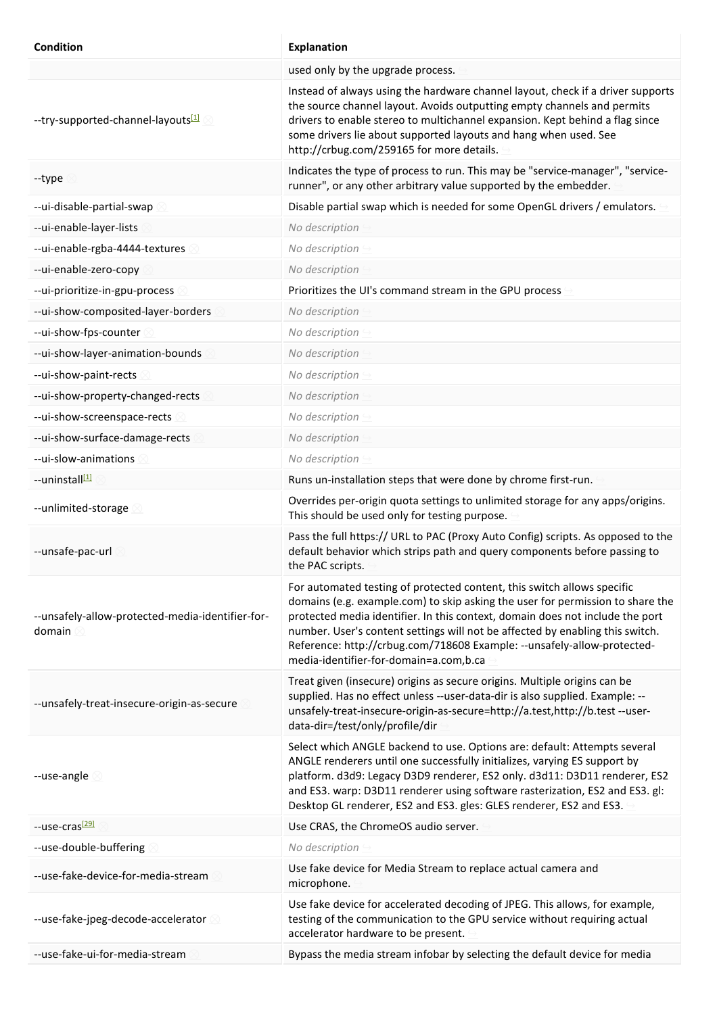| <b>Condition</b>                                           | <b>Explanation</b>                                                                                                                                                                                                                                                                                                                                                                                                                                |
|------------------------------------------------------------|---------------------------------------------------------------------------------------------------------------------------------------------------------------------------------------------------------------------------------------------------------------------------------------------------------------------------------------------------------------------------------------------------------------------------------------------------|
|                                                            | used only by the upgrade process.                                                                                                                                                                                                                                                                                                                                                                                                                 |
| --try-supported-channel-layouts <sup>[1]</sup>             | Instead of always using the hardware channel layout, check if a driver supports<br>the source channel layout. Avoids outputting empty channels and permits<br>drivers to enable stereo to multichannel expansion. Kept behind a flag since<br>some drivers lie about supported layouts and hang when used. See<br>http://crbug.com/259165 for more details.                                                                                       |
| --type                                                     | Indicates the type of process to run. This may be "service-manager", "service-<br>runner", or any other arbitrary value supported by the embedder.                                                                                                                                                                                                                                                                                                |
| --ui-disable-partial-swap                                  | Disable partial swap which is needed for some OpenGL drivers / emulators.                                                                                                                                                                                                                                                                                                                                                                         |
| --ui-enable-layer-lists                                    | No description                                                                                                                                                                                                                                                                                                                                                                                                                                    |
| --ui-enable-rgba-4444-textures                             | No description                                                                                                                                                                                                                                                                                                                                                                                                                                    |
| --ui-enable-zero-copy                                      | No description                                                                                                                                                                                                                                                                                                                                                                                                                                    |
| --ui-prioritize-in-gpu-process                             | Prioritizes the UI's command stream in the GPU process                                                                                                                                                                                                                                                                                                                                                                                            |
| --ui-show-composited-layer-borders                         | No description                                                                                                                                                                                                                                                                                                                                                                                                                                    |
| --ui-show-fps-counter                                      | No description                                                                                                                                                                                                                                                                                                                                                                                                                                    |
| --ui-show-layer-animation-bounds                           | No description                                                                                                                                                                                                                                                                                                                                                                                                                                    |
| --ui-show-paint-rects                                      | No description                                                                                                                                                                                                                                                                                                                                                                                                                                    |
| --ui-show-property-changed-rects                           | No description                                                                                                                                                                                                                                                                                                                                                                                                                                    |
| --ui-show-screenspace-rects                                | No description                                                                                                                                                                                                                                                                                                                                                                                                                                    |
| --ui-show-surface-damage-rects                             | No description                                                                                                                                                                                                                                                                                                                                                                                                                                    |
| --ui-slow-animations                                       | No description                                                                                                                                                                                                                                                                                                                                                                                                                                    |
| --uninstall <sup>11</sup>                                  | Runs un-installation steps that were done by chrome first-run.                                                                                                                                                                                                                                                                                                                                                                                    |
| --unlimited-storage                                        | Overrides per-origin quota settings to unlimited storage for any apps/origins.<br>This should be used only for testing purpose.                                                                                                                                                                                                                                                                                                                   |
| --unsafe-pac-url                                           | Pass the full https:// URL to PAC (Proxy Auto Config) scripts. As opposed to the<br>default behavior which strips path and query components before passing to<br>the PAC scripts.                                                                                                                                                                                                                                                                 |
| --unsafely-allow-protected-media-identifier-for-<br>domain | For automated testing of protected content, this switch allows specific<br>domains (e.g. example.com) to skip asking the user for permission to share the<br>protected media identifier. In this context, domain does not include the port<br>number. User's content settings will not be affected by enabling this switch.<br>Reference: http://crbug.com/718608 Example: -- unsafely-allow-protected-<br>media-identifier-for-domain=a.com,b.ca |
| --unsafely-treat-insecure-origin-as-secure                 | Treat given (insecure) origins as secure origins. Multiple origins can be<br>supplied. Has no effect unless --user-data-dir is also supplied. Example: --<br>unsafely-treat-insecure-origin-as-secure=http://a.test,http://b.test --user-<br>data-dir=/test/only/profile/dir                                                                                                                                                                      |
| --use-angle                                                | Select which ANGLE backend to use. Options are: default: Attempts several<br>ANGLE renderers until one successfully initializes, varying ES support by<br>platform. d3d9: Legacy D3D9 renderer, ES2 only. d3d11: D3D11 renderer, ES2<br>and ES3. warp: D3D11 renderer using software rasterization, ES2 and ES3. gl:<br>Desktop GL renderer, ES2 and ES3. gles: GLES renderer, ES2 and ES3.                                                       |
| --use-cras <sup>[29]</sup>                                 | Use CRAS, the ChromeOS audio server.                                                                                                                                                                                                                                                                                                                                                                                                              |
| --use-double-buffering                                     | No description                                                                                                                                                                                                                                                                                                                                                                                                                                    |
| --use-fake-device-for-media-stream                         | Use fake device for Media Stream to replace actual camera and<br>microphone.                                                                                                                                                                                                                                                                                                                                                                      |
| --use-fake-jpeg-decode-accelerator                         | Use fake device for accelerated decoding of JPEG. This allows, for example,<br>testing of the communication to the GPU service without requiring actual<br>accelerator hardware to be present.                                                                                                                                                                                                                                                    |
| --use-fake-ui-for-media-stream                             | Bypass the media stream infobar by selecting the default device for media                                                                                                                                                                                                                                                                                                                                                                         |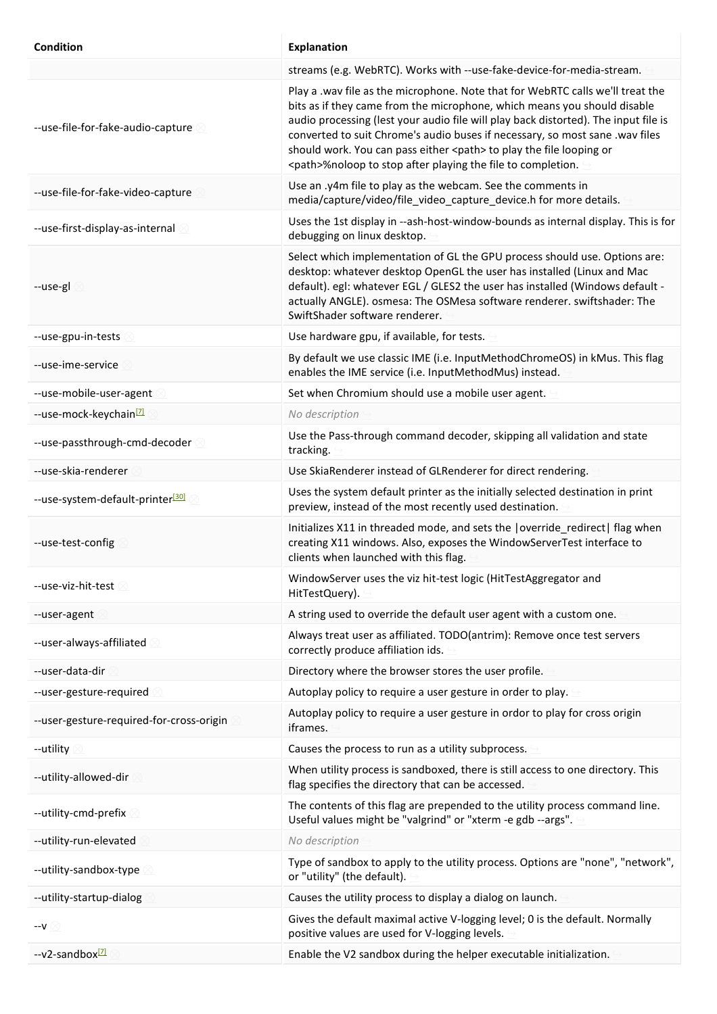| <b>Condition</b>                             | <b>Explanation</b>                                                                                                                                                                                                                                                                                                                                                                                                                                                                     |
|----------------------------------------------|----------------------------------------------------------------------------------------------------------------------------------------------------------------------------------------------------------------------------------------------------------------------------------------------------------------------------------------------------------------------------------------------------------------------------------------------------------------------------------------|
|                                              | streams (e.g. WebRTC). Works with --use-fake-device-for-media-stream.                                                                                                                                                                                                                                                                                                                                                                                                                  |
| --use-file-for-fake-audio-capture            | Play a .wav file as the microphone. Note that for WebRTC calls we'll treat the<br>bits as if they came from the microphone, which means you should disable<br>audio processing (lest your audio file will play back distorted). The input file is<br>converted to suit Chrome's audio buses if necessary, so most sane .wav files<br>should work. You can pass either <path> to play the file looping or<br/><path>%noloop to stop after playing the file to completion.</path></path> |
| --use-file-for-fake-video-capture            | Use an .y4m file to play as the webcam. See the comments in<br>media/capture/video/file_video_capture_device.h for more details.                                                                                                                                                                                                                                                                                                                                                       |
| --use-first-display-as-internal              | Uses the 1st display in --ash-host-window-bounds as internal display. This is for<br>debugging on linux desktop.                                                                                                                                                                                                                                                                                                                                                                       |
| --use-gl                                     | Select which implementation of GL the GPU process should use. Options are:<br>desktop: whatever desktop OpenGL the user has installed (Linux and Mac<br>default). egl: whatever EGL / GLES2 the user has installed (Windows default -<br>actually ANGLE). osmesa: The OSMesa software renderer. swiftshader: The<br>SwiftShader software renderer.                                                                                                                                     |
| --use-gpu-in-tests                           | Use hardware gpu, if available, for tests.                                                                                                                                                                                                                                                                                                                                                                                                                                             |
| --use-ime-service                            | By default we use classic IME (i.e. InputMethodChromeOS) in kMus. This flag<br>enables the IME service (i.e. InputMethodMus) instead.                                                                                                                                                                                                                                                                                                                                                  |
| --use-mobile-user-agent                      | Set when Chromium should use a mobile user agent.                                                                                                                                                                                                                                                                                                                                                                                                                                      |
| --use-mock-keychain <sup>[7]</sup>           | No description                                                                                                                                                                                                                                                                                                                                                                                                                                                                         |
| --use-passthrough-cmd-decoder                | Use the Pass-through command decoder, skipping all validation and state<br>tracking.                                                                                                                                                                                                                                                                                                                                                                                                   |
| --use-skia-renderer                          | Use SkiaRenderer instead of GLRenderer for direct rendering.                                                                                                                                                                                                                                                                                                                                                                                                                           |
| --use-system-default-printer <sup>[30]</sup> | Uses the system default printer as the initially selected destination in print<br>preview, instead of the most recently used destination.                                                                                                                                                                                                                                                                                                                                              |
| --use-test-config                            | Initializes X11 in threaded mode, and sets the   override_redirect  flag when<br>creating X11 windows. Also, exposes the WindowServerTest interface to<br>clients when launched with this flag.                                                                                                                                                                                                                                                                                        |
| --use-viz-hit-test                           | WindowServer uses the viz hit-test logic (HitTestAggregator and<br>HitTestQuery).                                                                                                                                                                                                                                                                                                                                                                                                      |
| --user-agent                                 | A string used to override the default user agent with a custom one.                                                                                                                                                                                                                                                                                                                                                                                                                    |
| --user-always-affiliated                     | Always treat user as affiliated. TODO(antrim): Remove once test servers<br>correctly produce affiliation ids.                                                                                                                                                                                                                                                                                                                                                                          |
| --user-data-dir                              | Directory where the browser stores the user profile.                                                                                                                                                                                                                                                                                                                                                                                                                                   |
| --user-gesture-required                      | Autoplay policy to require a user gesture in order to play.                                                                                                                                                                                                                                                                                                                                                                                                                            |
| --user-gesture-required-for-cross-origin     | Autoplay policy to require a user gesture in ordor to play for cross origin<br>iframes.                                                                                                                                                                                                                                                                                                                                                                                                |
| --utility                                    | Causes the process to run as a utility subprocess.                                                                                                                                                                                                                                                                                                                                                                                                                                     |
| --utility-allowed-dir                        | When utility process is sandboxed, there is still access to one directory. This<br>flag specifies the directory that can be accessed.                                                                                                                                                                                                                                                                                                                                                  |
| --utility-cmd-prefix                         | The contents of this flag are prepended to the utility process command line.<br>Useful values might be "valgrind" or "xterm -e gdb --args".                                                                                                                                                                                                                                                                                                                                            |
| --utility-run-elevated                       | No description                                                                                                                                                                                                                                                                                                                                                                                                                                                                         |
| --utility-sandbox-type                       | Type of sandbox to apply to the utility process. Options are "none", "network",<br>or "utility" (the default).                                                                                                                                                                                                                                                                                                                                                                         |
| --utility-startup-dialog                     | Causes the utility process to display a dialog on launch.                                                                                                                                                                                                                                                                                                                                                                                                                              |
| --v ⊠                                        | Gives the default maximal active V-logging level; 0 is the default. Normally<br>positive values are used for V-logging levels.                                                                                                                                                                                                                                                                                                                                                         |
| --v2-sandbox <sup>[7]</sup>                  | Enable the V2 sandbox during the helper executable initialization.                                                                                                                                                                                                                                                                                                                                                                                                                     |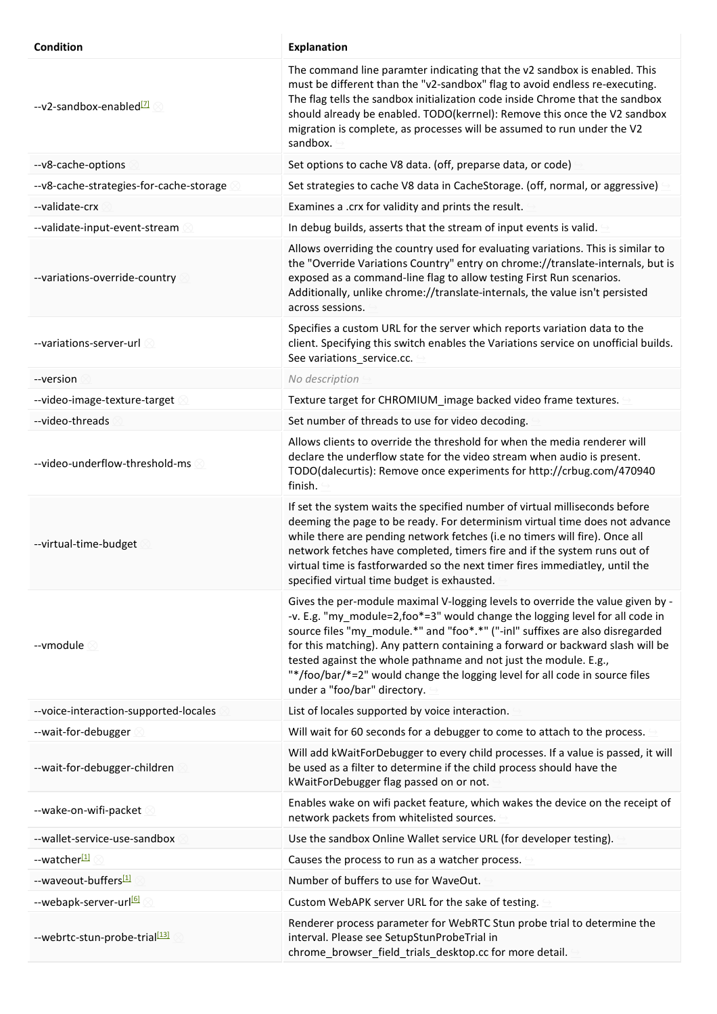| Condition                                | <b>Explanation</b>                                                                                                                                                                                                                                                                                                                                                                                                                                                                                                   |
|------------------------------------------|----------------------------------------------------------------------------------------------------------------------------------------------------------------------------------------------------------------------------------------------------------------------------------------------------------------------------------------------------------------------------------------------------------------------------------------------------------------------------------------------------------------------|
| --v2-sandbox-enabled <sup>[7]</sup>      | The command line paramter indicating that the v2 sandbox is enabled. This<br>must be different than the "v2-sandbox" flag to avoid endless re-executing.<br>The flag tells the sandbox initialization code inside Chrome that the sandbox<br>should already be enabled. TODO(kerrnel): Remove this once the V2 sandbox<br>migration is complete, as processes will be assumed to run under the V2<br>sandbox.                                                                                                        |
| --v8-cache-options                       | Set options to cache V8 data. (off, preparse data, or code)                                                                                                                                                                                                                                                                                                                                                                                                                                                          |
| -- v8-cache-strategies-for-cache-storage | Set strategies to cache V8 data in CacheStorage. (off, normal, or aggressive)                                                                                                                                                                                                                                                                                                                                                                                                                                        |
| --validate-crx                           | Examines a .crx for validity and prints the result.                                                                                                                                                                                                                                                                                                                                                                                                                                                                  |
| --validate-input-event-stream            | In debug builds, asserts that the stream of input events is valid.                                                                                                                                                                                                                                                                                                                                                                                                                                                   |
| --variations-override-country            | Allows overriding the country used for evaluating variations. This is similar to<br>the "Override Variations Country" entry on chrome://translate-internals, but is<br>exposed as a command-line flag to allow testing First Run scenarios.<br>Additionally, unlike chrome://translate-internals, the value isn't persisted<br>across sessions.                                                                                                                                                                      |
| --variations-server-url $\otimes$        | Specifies a custom URL for the server which reports variation data to the<br>client. Specifying this switch enables the Variations service on unofficial builds.<br>See variations_service.cc.                                                                                                                                                                                                                                                                                                                       |
| --version                                | No description                                                                                                                                                                                                                                                                                                                                                                                                                                                                                                       |
| --video-image-texture-target             | Texture target for CHROMIUM_image backed video frame textures.                                                                                                                                                                                                                                                                                                                                                                                                                                                       |
| --video-threads                          | Set number of threads to use for video decoding.                                                                                                                                                                                                                                                                                                                                                                                                                                                                     |
| --video-underflow-threshold-ms           | Allows clients to override the threshold for when the media renderer will<br>declare the underflow state for the video stream when audio is present.<br>TODO(dalecurtis): Remove once experiments for http://crbug.com/470940<br>finish.                                                                                                                                                                                                                                                                             |
| --virtual-time-budget                    | If set the system waits the specified number of virtual milliseconds before<br>deeming the page to be ready. For determinism virtual time does not advance<br>while there are pending network fetches (i.e no timers will fire). Once all<br>network fetches have completed, timers fire and if the system runs out of<br>virtual time is fastforwarded so the next timer fires immediatley, until the<br>specified virtual time budget is exhausted.                                                                |
| --vmodule ©                              | Gives the per-module maximal V-logging levels to override the value given by -<br>-v. E.g. "my module=2,foo*=3" would change the logging level for all code in<br>source files "my_module.*" and "foo*.*" ("-inl" suffixes are also disregarded<br>for this matching). Any pattern containing a forward or backward slash will be<br>tested against the whole pathname and not just the module. E.g.,<br>"*/foo/bar/*=2" would change the logging level for all code in source files<br>under a "foo/bar" directory. |
| --voice-interaction-supported-locales    | List of locales supported by voice interaction.                                                                                                                                                                                                                                                                                                                                                                                                                                                                      |
| --wait-for-debugger                      | Will wait for 60 seconds for a debugger to come to attach to the process.                                                                                                                                                                                                                                                                                                                                                                                                                                            |
| --wait-for-debugger-children             | Will add kWaitForDebugger to every child processes. If a value is passed, it will<br>be used as a filter to determine if the child process should have the<br>kWaitForDebugger flag passed on or not.                                                                                                                                                                                                                                                                                                                |
| --wake-on-wifi-packet                    | Enables wake on wifi packet feature, which wakes the device on the receipt of<br>network packets from whitelisted sources.                                                                                                                                                                                                                                                                                                                                                                                           |
| --wallet-service-use-sandbox             | Use the sandbox Online Wallet service URL (for developer testing).                                                                                                                                                                                                                                                                                                                                                                                                                                                   |
| --watcher <sup>[1]</sup>                 | Causes the process to run as a watcher process.                                                                                                                                                                                                                                                                                                                                                                                                                                                                      |
| --waveout-buffers[1]                     | Number of buffers to use for WaveOut.                                                                                                                                                                                                                                                                                                                                                                                                                                                                                |
| --webapk-server-url <sup>61</sup>        | Custom WebAPK server URL for the sake of testing.                                                                                                                                                                                                                                                                                                                                                                                                                                                                    |
| --webrtc-stun-probe-trial[13]            | Renderer process parameter for WebRTC Stun probe trial to determine the<br>interval. Please see SetupStunProbeTrial in<br>chrome_browser_field_trials_desktop.cc for more detail.                                                                                                                                                                                                                                                                                                                                    |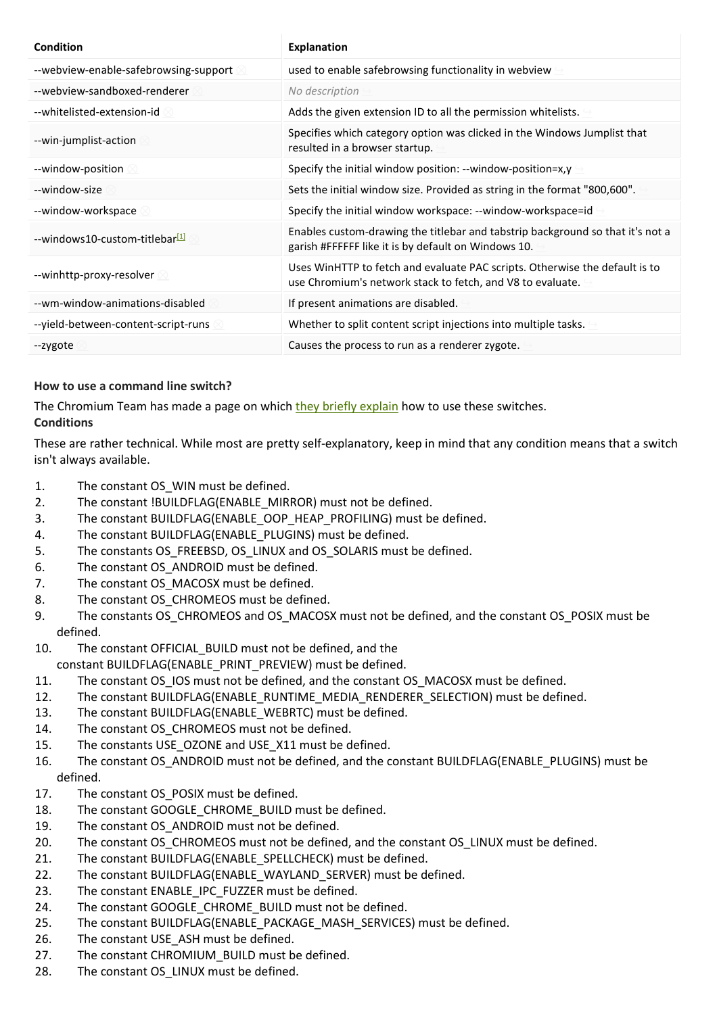| Condition                                  | <b>Explanation</b>                                                                                                                        |
|--------------------------------------------|-------------------------------------------------------------------------------------------------------------------------------------------|
| --webview-enable-safebrowsing-support      | used to enable safebrowsing functionality in webview                                                                                      |
| --webview-sandboxed-renderer               | No description                                                                                                                            |
| --whitelisted-extension-id-                | Adds the given extension ID to all the permission whitelists.                                                                             |
| --win-jumplist-action                      | Specifies which category option was clicked in the Windows Jumplist that<br>resulted in a browser startup.                                |
| --window-position                          | Specify the initial window position: --window-position=x,y                                                                                |
| --window-size                              | Sets the initial window size. Provided as string in the format "800,600".                                                                 |
| --window-workspace                         | Specify the initial window workspace: --window-workspace=id                                                                               |
| --windows10-custom-titlebar <sup>[1]</sup> | Enables custom-drawing the titlebar and tabstrip background so that it's not a<br>garish #FFFFFF like it is by default on Windows 10.     |
| --winhttp-proxy-resolver                   | Uses WinHTTP to fetch and evaluate PAC scripts. Otherwise the default is to<br>use Chromium's network stack to fetch, and V8 to evaluate. |
| --wm-window-animations-disabled            | If present animations are disabled.                                                                                                       |
| --yield-between-content-script-runs        | Whether to split content script injections into multiple tasks.                                                                           |
| --zygote                                   | Causes the process to run as a renderer zygote.                                                                                           |

## **How to use a command line switch?**

The Chromium Team has made a page on which they briefly explain how to use these switches. **Conditions** 

These are rather technical. While most are pretty self-explanatory, keep in mind that any condition means that a switch isn't always available.

- 1. The constant OS WIN must be defined.
- 2. The constant !BUILDFLAG(ENABLE\_MIRROR) must not be defined.
- 3. The constant BUILDFLAG(ENABLE\_OOP\_HEAP\_PROFILING) must be defined.
- 4. The constant BUILDFLAG(ENABLE\_PLUGINS) must be defined.
- 5. The constants OS\_FREEBSD, OS\_LINUX and OS\_SOLARIS must be defined.
- 6. The constant OS ANDROID must be defined.
- 7. The constant OS MACOSX must be defined.
- 8. The constant OS CHROMEOS must be defined.
- 9. The constants OS CHROMEOS and OS MACOSX must not be defined, and the constant OS POSIX must be defined.
- 10. The constant OFFICIAL\_BUILD must not be defined, and the
- constant BUILDFLAG(ENABLE\_PRINT\_PREVIEW) must be defined.
- 11. The constant OS IOS must not be defined, and the constant OS MACOSX must be defined.
- 12. The constant BUILDFLAG(ENABLE\_RUNTIME\_MEDIA\_RENDERER\_SELECTION) must be defined.
- 13. The constant BUILDFLAG(ENABLE\_WEBRTC) must be defined.
- 14. The constant OS CHROMEOS must not be defined.
- 15. The constants USE OZONE and USE X11 must be defined.
- 16. The constant OS ANDROID must not be defined, and the constant BUILDFLAG(ENABLE\_PLUGINS) must be defined.
- 17. The constant OS POSIX must be defined.
- 18. The constant GOOGLE\_CHROME\_BUILD must be defined.
- 19. The constant OS ANDROID must not be defined.
- 20. The constant OS\_CHROMEOS must not be defined, and the constant OS\_LINUX must be defined.
- 21. The constant BUILDFLAG(ENABLE\_SPELLCHECK) must be defined.
- 22. The constant BUILDFLAG(ENABLE\_WAYLAND\_SERVER) must be defined.
- 23. The constant ENABLE\_IPC\_FUZZER must be defined.
- 24. The constant GOOGLE CHROME BUILD must not be defined.
- 25. The constant BUILDFLAG(ENABLE\_PACKAGE\_MASH\_SERVICES) must be defined.
- 26. The constant USE ASH must be defined.
- 27. The constant CHROMIUM BUILD must be defined.
- 28. The constant OS LINUX must be defined.